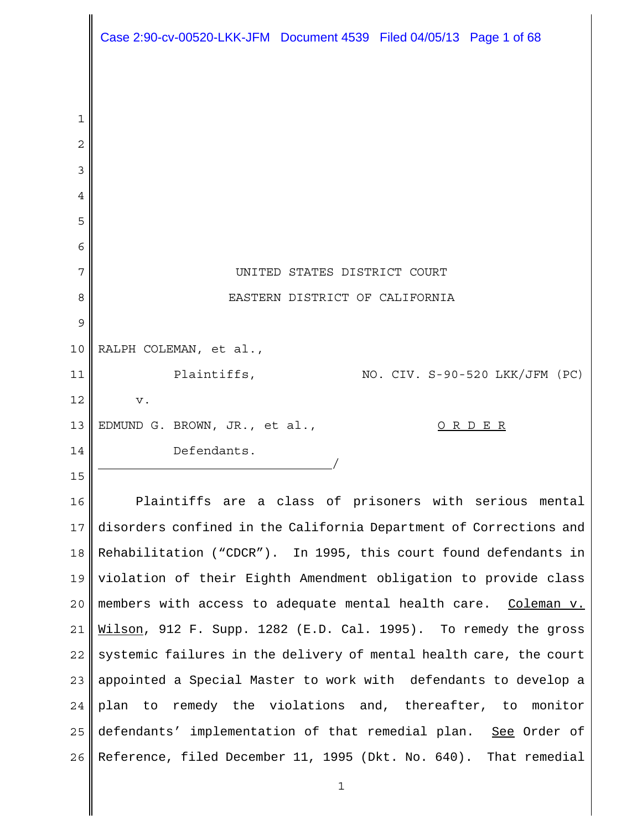|    | Case 2:90-cv-00520-LKK-JFM Document 4539 Filed 04/05/13 Page 1 of 68 |
|----|----------------------------------------------------------------------|
|    |                                                                      |
| 1  |                                                                      |
| 2  |                                                                      |
| 3  |                                                                      |
| 4  |                                                                      |
| 5  |                                                                      |
| 6  |                                                                      |
| 7  | UNITED STATES DISTRICT COURT                                         |
| 8  | EASTERN DISTRICT OF CALIFORNIA                                       |
| 9  |                                                                      |
| 10 | RALPH COLEMAN, et al.,                                               |
| 11 | Plaintiffs,<br>NO. CIV. S-90-520 LKK/JFM (PC)                        |
| 12 | V.                                                                   |
| 13 | EDMUND G. BROWN, JR., et al.,<br><u>ORDER</u>                        |
| 14 | Defendants.                                                          |
| 15 |                                                                      |
| 16 | Plaintiffs are a class of prisoners with serious mental              |
| 17 | disorders confined in the California Department of Corrections and   |
| 18 | Rehabilitation ("CDCR"). In 1995, this court found defendants in     |
| 19 | violation of their Eighth Amendment obligation to provide class      |
| 20 | members with access to adequate mental health care. Coleman v.       |
| 21 | Wilson, 912 F. Supp. 1282 (E.D. Cal. 1995). To remedy the gross      |
| 22 | systemic failures in the delivery of mental health care, the court   |
| 23 | appointed a Special Master to work with defendants to develop a      |
| 24 | plan to remedy the violations and, thereafter, to monitor            |
| 25 | defendants' implementation of that remedial plan. See Order of       |
| 26 | Reference, filed December 11, 1995 (Dkt. No. 640). That remedial     |

1

I

 $\mathsf I$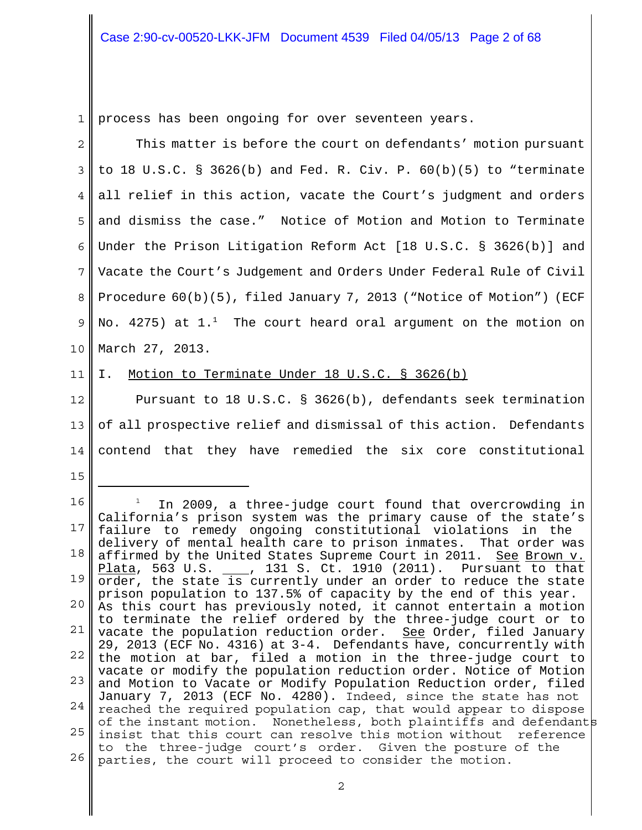1 process has been ongoing for over seventeen years.

2 3 4 5 6 7 8 9 10 11 12 13 14 15 16 17 18 19 20 21 22 23 24 25 26 This matter is before the court on defendants' motion pursuant to 18 U.S.C. § 3626(b) and Fed. R. Civ. P.  $60(b)(5)$  to "terminate all relief in this action, vacate the Court's judgment and orders and dismiss the case." Notice of Motion and Motion to Terminate Under the Prison Litigation Reform Act [18 U.S.C. § 3626(b)] and Vacate the Court's Judgement and Orders Under Federal Rule of Civil Procedure 60(b)(5), filed January 7, 2013 ("Notice of Motion") (ECF No. 4275) at  $1.^1$  The court heard oral argument on the motion on March 27, 2013. I. Motion to Terminate Under 18 U.S.C. § 3626(b) Pursuant to 18 U.S.C. § 3626(b), defendants seek termination of all prospective relief and dismissal of this action. Defendants contend that they have remedied the six core constitutional 1 In 2009, a three-judge court found that overcrowding in California's prison system was the primary cause of the state's failure to remedy ongoing constitutional violations in the delivery of mental health care to prison inmates. That order was affirmed by the United States Supreme Court in 2011. See Brown v. Plata, 563 U.S. \_\_\_, 131 S. Ct. 1910 (2011). Pursuant to that order, the state is currently under an order to reduce the state prison population to 137.5% of capacity by the end of this year. As this court has previously noted, it cannot entertain a motion to terminate the relief ordered by the three-judge court or to vacate the population reduction order. <u>See</u> Order, filed January 29, 2013 (ECF No. 4316) at 3-4. Defendants have, concurrently with the motion at bar, filed a motion in the three-judge court to vacate or modify the population reduction order. Notice of Motion and Motion to Vacate or Modify Population Reduction order, filed January 7, 2013 (ECF No. 4280). Indeed, since the state has not reached the required population cap, that would appear to dispose of the instant motion. Nonetheless, both plaintiffs and defendants insist that this court can resolve this motion without reference to the three-judge court's order. Given the posture of the parties, the court will proceed to consider the motion.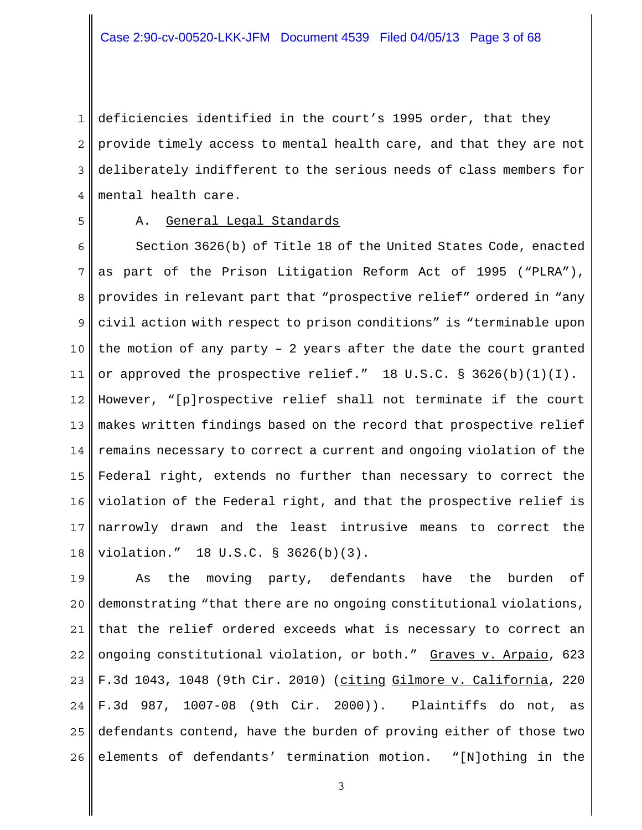1 2 3 4 deficiencies identified in the court's 1995 order, that they provide timely access to mental health care, and that they are not deliberately indifferent to the serious needs of class members for mental health care.

5

#### A. General Legal Standards

6 7 8 9 10 11 12 13 14 15 16 17 18 Section 3626(b) of Title 18 of the United States Code, enacted as part of the Prison Litigation Reform Act of 1995 ("PLRA"), provides in relevant part that "prospective relief" ordered in "any civil action with respect to prison conditions" is "terminable upon the motion of any party – 2 years after the date the court granted or approved the prospective relief." 18 U.S.C. § 3626(b)(1)(I). However, "[p]rospective relief shall not terminate if the court makes written findings based on the record that prospective relief remains necessary to correct a current and ongoing violation of the Federal right, extends no further than necessary to correct the violation of the Federal right, and that the prospective relief is narrowly drawn and the least intrusive means to correct the violation." 18 U.S.C. § 3626(b)(3).

19 20 21 22 23 24 25 26 As the moving party, defendants have the burden of demonstrating "that there are no ongoing constitutional violations, that the relief ordered exceeds what is necessary to correct an ongoing constitutional violation, or both." Graves v. Arpaio, 623 F.3d 1043, 1048 (9th Cir. 2010) (citing Gilmore v. California, 220 F.3d 987, 1007-08 (9th Cir. 2000)). Plaintiffs do not, as defendants contend, have the burden of proving either of those two elements of defendants' termination motion. "[N]othing in the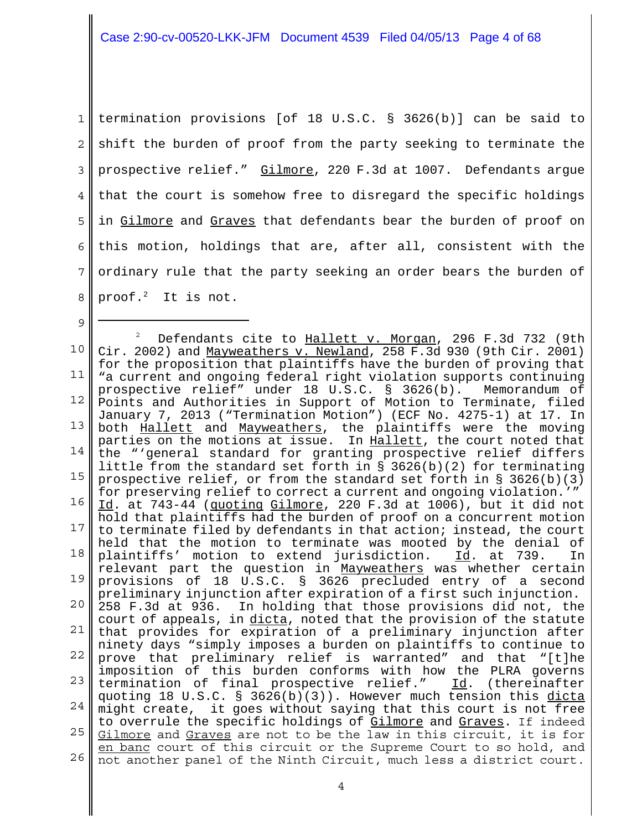1 2 3 4 5 6 7 8 termination provisions [of 18 U.S.C. § 3626(b)] can be said to shift the burden of proof from the party seeking to terminate the prospective relief." Gilmore, 220 F.3d at 1007. Defendants argue that the court is somehow free to disregard the specific holdings in Gilmore and Graves that defendants bear the burden of proof on this motion, holdings that are, after all, consistent with the ordinary rule that the party seeking an order bears the burden of proof. $2$  It is not.

9

10 11 12 13 14 15 16 17 18 19 20 21 22 23 24 25 I 26 2 Defendants cite to Hallett v. Morgan, 296 F.3d 732 (9th Cir. 2002) and Mayweathers v. Newland, 258 F.3d 930 (9th Cir. 2001) for the proposition that plaintiffs have the burden of proving that "a current and ongoing federal right violation supports continuing prospective relief" under 18 U.S.C. § 3626(b). Memorandum of Points and Authorities in Support of Motion to Terminate, filed January 7, 2013 ("Termination Motion") (ECF No. 4275-1) at 17. In both **Hallett** and Mayweathers, the plaintiffs were the moving parties on the motions at issue. In Hallett, the court noted that the "'general standard for granting prospective relief differs little from the standard set forth in  $\S$  3626(b)(2) for terminating prospective relief, or from the standard set forth in  $\S$  3626(b)(3) for preserving relief to correct a current and ongoing violation.'" Id. at 743-44 (quoting Gilmore, 220 F.3d at 1006), but it did not hold that plaintiffs had the burden of proof on a concurrent motion to terminate filed by defendants in that action; instead, the court held that the motion to terminate was mooted by the denial of plaintiffs' motion to extend jurisdiction. Id. at 739. In relevant part the question in Mayweathers was whether certain provisions of 18 U.S.C. § 3626 precluded entry of a second preliminary injunction after expiration of a first such injunction. 258 F.3d at 936. In holding that those provisions did not, the court of appeals, in dicta, noted that the provision of the statute that provides for expiration of a preliminary injunction after ninety days "simply imposes a burden on plaintiffs to continue to prove that preliminary relief is warranted" and that "[t]he imposition of this burden conforms with how the PLRA governs termination of final prospective relief." Id. (thereinafter quoting 18 U.S.C. § 3626(b)(3)). However much tension this dicta might create, it goes without saying that this court is not free to overrule the specific holdings of Gilmore and Graves. If indeed Gilmore and Graves are not to be the law in this circuit, it is for en banc court of this circuit or the Supreme Court to so hold, and not another panel of the Ninth Circuit, much less a district court.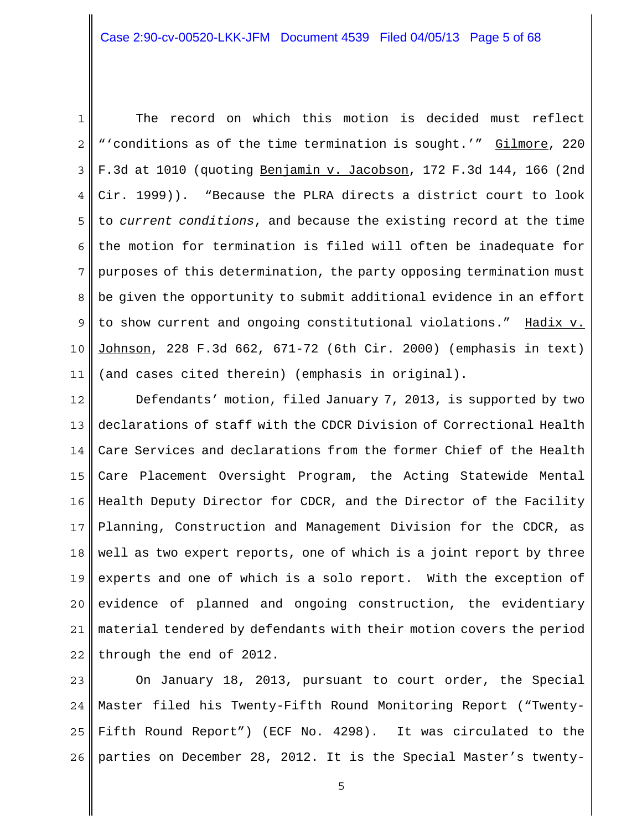1

2 3 4 5 6 7 8 9 10 11 The record on which this motion is decided must reflect "'conditions as of the time termination is sought.'" Gilmore, 220 F.3d at 1010 (quoting Benjamin v. Jacobson, 172 F.3d 144, 166 (2nd Cir. 1999)). "Because the PLRA directs a district court to look to *current conditions*, and because the existing record at the time the motion for termination is filed will often be inadequate for purposes of this determination, the party opposing termination must be given the opportunity to submit additional evidence in an effort to show current and ongoing constitutional violations." Hadix v. Johnson, 228 F.3d 662, 671-72 (6th Cir. 2000) (emphasis in text) (and cases cited therein) (emphasis in original).

12 13 14 15 16 17 18 19 20 21 22 Defendants' motion, filed January 7, 2013, is supported by two declarations of staff with the CDCR Division of Correctional Health Care Services and declarations from the former Chief of the Health Care Placement Oversight Program, the Acting Statewide Mental Health Deputy Director for CDCR, and the Director of the Facility Planning, Construction and Management Division for the CDCR, as well as two expert reports, one of which is a joint report by three experts and one of which is a solo report. With the exception of evidence of planned and ongoing construction, the evidentiary material tendered by defendants with their motion covers the period through the end of 2012.

23 24 25 26 On January 18, 2013, pursuant to court order, the Special Master filed his Twenty-Fifth Round Monitoring Report ("Twenty-Fifth Round Report") (ECF No. 4298). It was circulated to the parties on December 28, 2012. It is the Special Master's twenty-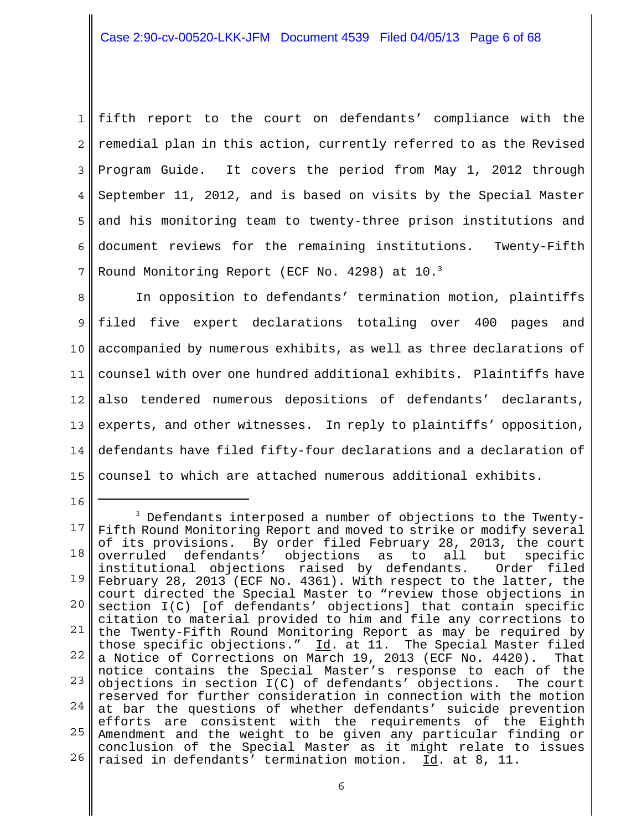1 2 3 4 5 6 7 fifth report to the court on defendants' compliance with the remedial plan in this action, currently referred to as the Revised Program Guide. It covers the period from May 1, 2012 through September 11, 2012, and is based on visits by the Special Master and his monitoring team to twenty-three prison institutions and document reviews for the remaining institutions. Twenty-Fifth Round Monitoring Report (ECF No. 4298) at 10.3

8 9 10 11 12 13 14 15 In opposition to defendants' termination motion, plaintiffs filed five expert declarations totaling over 400 pages and accompanied by numerous exhibits, as well as three declarations of counsel with over one hundred additional exhibits. Plaintiffs have also tendered numerous depositions of defendants' declarants, experts, and other witnesses. In reply to plaintiffs' opposition, defendants have filed fifty-four declarations and a declaration of counsel to which are attached numerous additional exhibits.

<sup>17</sup> 18 19 20 21 22 23 24 25 26 <sup>3</sup> Defendants interposed a number of objections to the Twenty-Fifth Round Monitoring Report and moved to strike or modify several of its provisions. By order filed February 28, 2013, the court overruled defendants' objections as to all but specific institutional objections raised by defendants. Order filed February 28, 2013 (ECF No. 4361). With respect to the latter, the court directed the Special Master to "review those objections in section I(C) [of defendants' objections] that contain specific citation to material provided to him and file any corrections to the Twenty-Fifth Round Monitoring Report as may be required by those specific objections."  $\underline{Id}$ . at 11. The Special Master filed a Notice of Corrections on March 19, 2013 (ECF No. 4420). That notice contains the Special Master's response to each of the objections in section I(C) of defendants' objections. The court reserved for further consideration in connection with the motion at bar the questions of whether defendants' suicide prevention efforts are consistent with the requirements of the Eighth Amendment and the weight to be given any particular finding or conclusion of the Special Master as it might relate to issues raised in defendants' termination motion. Id. at 8, 11.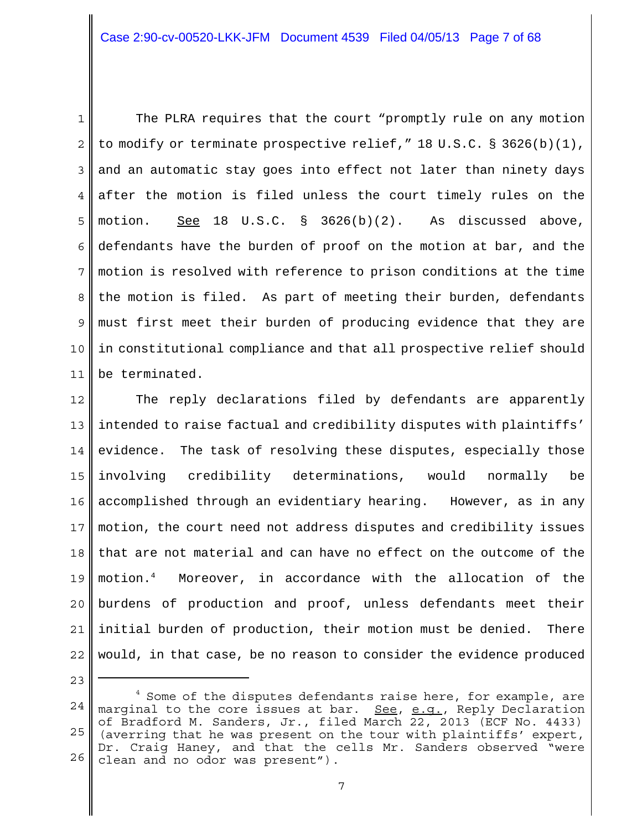1 2 3 4 5 6 7 8 9 10 11 The PLRA requires that the court "promptly rule on any motion to modify or terminate prospective relief,"  $18 \text{ U.S.C.}$  § 3626(b)(1), and an automatic stay goes into effect not later than ninety days after the motion is filed unless the court timely rules on the motion. See 18 U.S.C. § 3626(b)(2). As discussed above, defendants have the burden of proof on the motion at bar, and the motion is resolved with reference to prison conditions at the time the motion is filed. As part of meeting their burden, defendants must first meet their burden of producing evidence that they are in constitutional compliance and that all prospective relief should be terminated.

12 13 14 15 16 17 18 19 20 21 22 The reply declarations filed by defendants are apparently intended to raise factual and credibility disputes with plaintiffs' evidence. The task of resolving these disputes, especially those involving credibility determinations, would normally be accomplished through an evidentiary hearing. However, as in any motion, the court need not address disputes and credibility issues that are not material and can have no effect on the outcome of the motion.4 Moreover, in accordance with the allocation of the burdens of production and proof, unless defendants meet their initial burden of production, their motion must be denied. There would, in that case, be no reason to consider the evidence produced

<sup>24</sup> 25 26  $4$  Some of the disputes defendants raise here, for example, are marginal to the core issues at bar. See, e.g., Reply Declaration of Bradford M. Sanders, Jr., filed March 22, 2013 (ECF No. 4433) (averring that he was present on the tour with plaintiffs' expert, Dr. Craig Haney, and that the cells Mr. Sanders observed "were clean and no odor was present").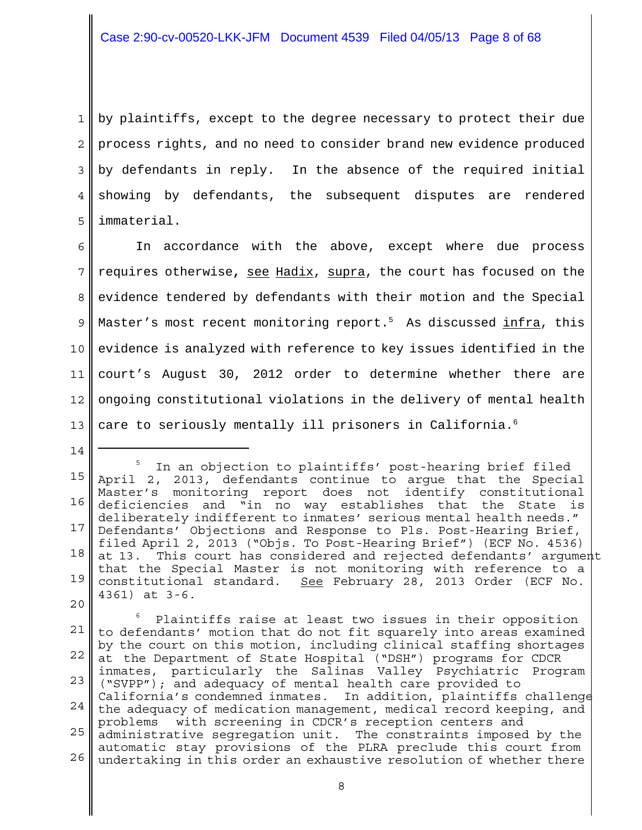1 2 3 4 5 by plaintiffs, except to the degree necessary to protect their due process rights, and no need to consider brand new evidence produced by defendants in reply. In the absence of the required initial showing by defendants, the subsequent disputes are rendered immaterial.

6 7 8 9 10 11 12 13 In accordance with the above, except where due process requires otherwise**,** see Hadix, supra, the court has focused on the evidence tendered by defendants with their motion and the Special Master's most recent monitoring report.<sup>5</sup> As discussed infra, this evidence is analyzed with reference to key issues identified in the court's August 30, 2012 order to determine whether there are ongoing constitutional violations in the delivery of mental health care to seriously mentally ill prisoners in California.<sup>6</sup>

<sup>15</sup> 16 17 18 19 20 5 In an objection to plaintiffs' post-hearing brief filed April 2, 2013, defendants continue to argue that the Special Master's monitoring report does not identify constitutional deficiencies and "in no way establishes that the State is deliberately indifferent to inmates' serious mental health needs." Defendants' Objections and Response to Pls. Post-Hearing Brief, filed April 2, 2013 ("Objs. To Post-Hearing Brief") (ECF No. 4536) at 13. This court has considered and rejected defendants' argument that the Special Master is not monitoring with reference to a constitutional standard. See February 28, 2013 Order (ECF No. 4361) at 3-6.

<sup>21</sup> 22 23 24 25 26 6 Plaintiffs raise at least two issues in their opposition to defendants' motion that do not fit squarely into areas examined by the court on this motion, including clinical staffing shortages at the Department of State Hospital ("DSH") programs for CDCR inmates, particularly the Salinas Valley Psychiatric Program ("SVPP"); and adequacy of mental health care provided to California's condemned inmates. In addition, plaintiffs challenge the adequacy of medication management, medical record keeping, and problems with screening in CDCR's reception centers and administrative segregation unit. The constraints imposed by the automatic stay provisions of the PLRA preclude this court from undertaking in this order an exhaustive resolution of whether there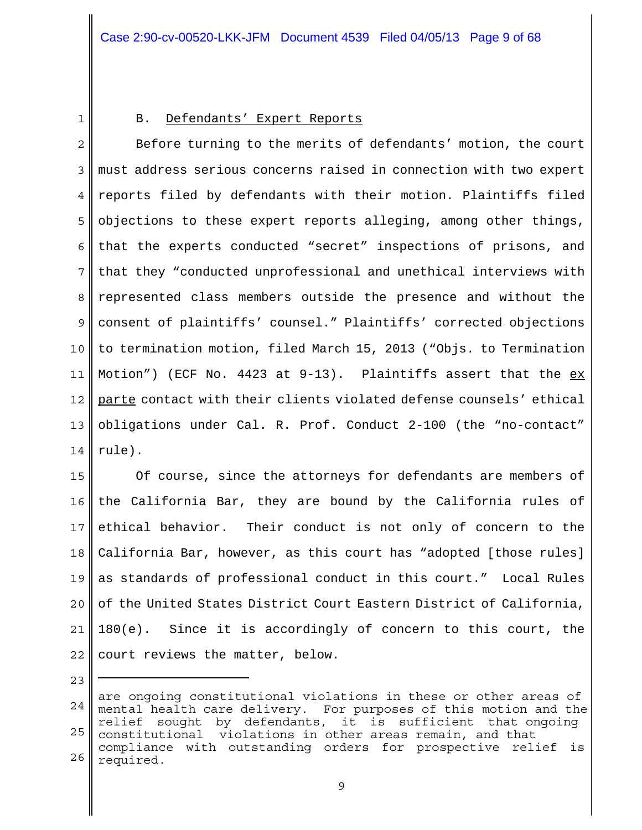1

## B. Defendants' Expert Reports

2 3 4 5 6 7 8 9 10 11 12 13 14 Before turning to the merits of defendants' motion, the court must address serious concerns raised in connection with two expert reports filed by defendants with their motion. Plaintiffs filed objections to these expert reports alleging, among other things, that the experts conducted "secret" inspections of prisons, and that they "conducted unprofessional and unethical interviews with represented class members outside the presence and without the consent of plaintiffs' counsel." Plaintiffs' corrected objections to termination motion, filed March 15, 2013 ("Objs. to Termination Motion") (ECF No. 4423 at  $9-13$ ). Plaintiffs assert that the  $ex$ parte contact with their clients violated defense counsels' ethical obligations under Cal. R. Prof. Conduct 2-100 (the "no-contact" rule).

15 16 17 18 19 20 21 22 Of course, since the attorneys for defendants are members of the California Bar, they are bound by the California rules of ethical behavior. Their conduct is not only of concern to the California Bar, however, as this court has "adopted [those rules] as standards of professional conduct in this court." Local Rules of the United States District Court Eastern District of California, 180(e). Since it is accordingly of concern to this court, the court reviews the matter, below.

<sup>24</sup> 25 26 are ongoing constitutional violations in these or other areas of mental health care delivery. For purposes of this motion and the relief sought by defendants, it is sufficient that ongoing constitutional violations in other areas remain, and that compliance with outstanding orders for prospective relief is required.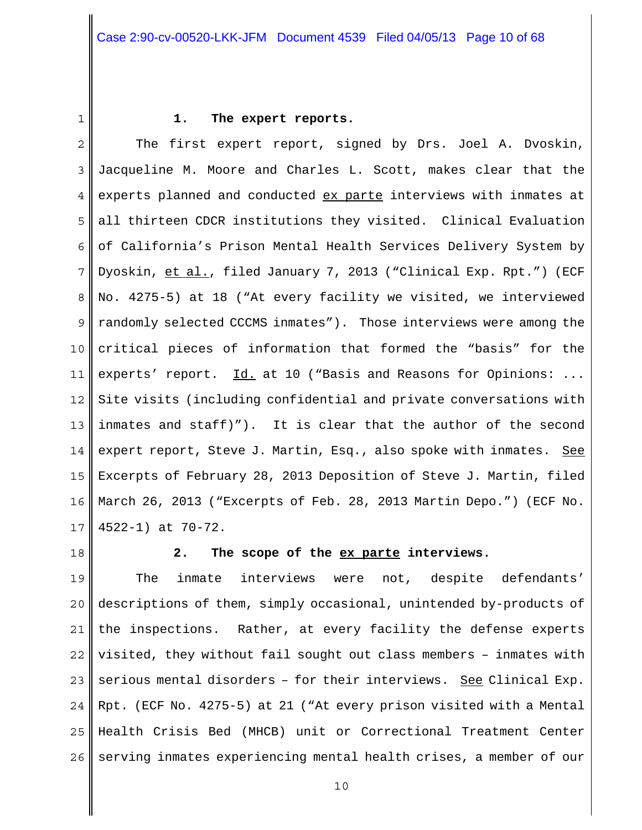1

#### **1. The expert reports.**

2 3 4 5 6 7 8 9 10 11 12 13 14 15 16 17 The first expert report, signed by Drs. Joel A. Dvoskin, Jacqueline M. Moore and Charles L. Scott, makes clear that the experts planned and conducted ex parte interviews with inmates at all thirteen CDCR institutions they visited. Clinical Evaluation of California's Prison Mental Health Services Delivery System by Dyoskin, et al., filed January 7, 2013 ("Clinical Exp. Rpt.") (ECF No. 4275-5) at 18 ("At every facility we visited, we interviewed randomly selected CCCMS inmates"). Those interviews were among the critical pieces of information that formed the "basis" for the experts' report. Id. at 10 ("Basis and Reasons for Opinions: ... Site visits (including confidential and private conversations with inmates and staff)"). It is clear that the author of the second expert report, Steve J. Martin, Esq., also spoke with inmates. See Excerpts of February 28, 2013 Deposition of Steve J. Martin, filed March 26, 2013 ("Excerpts of Feb. 28, 2013 Martin Depo.") (ECF No. 4522-1) at 70-72.

18

#### **2. The scope of the ex parte interviews.**

19 20 21 22 23 24 25 26 The inmate interviews were not, despite defendants' descriptions of them, simply occasional, unintended by-products of the inspections. Rather, at every facility the defense experts visited, they without fail sought out class members – inmates with serious mental disorders – for their interviews. See Clinical Exp. Rpt. (ECF No. 4275-5) at 21 ("At every prison visited with a Mental Health Crisis Bed (MHCB) unit or Correctional Treatment Center serving inmates experiencing mental health crises, a member of our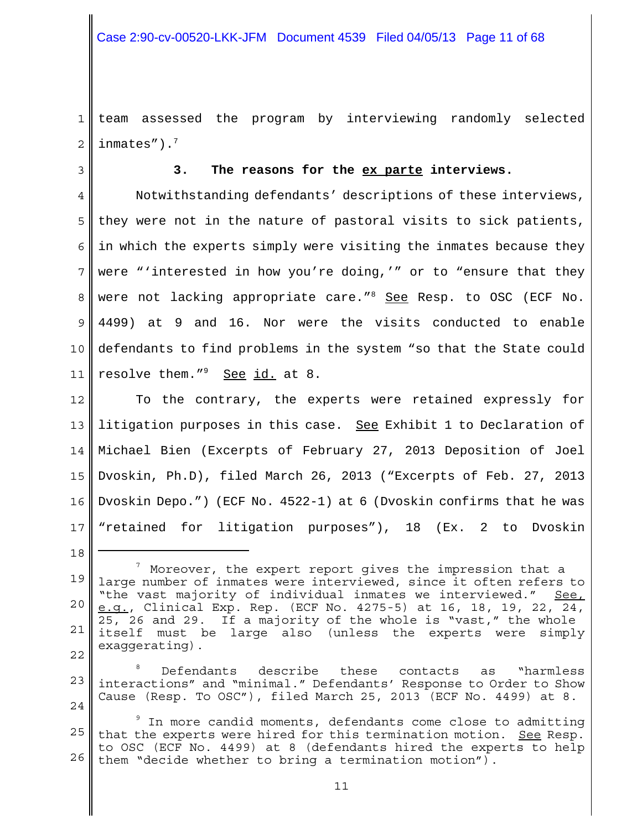1 2 team assessed the program by interviewing randomly selected inmates").7

3

18

#### **3. The reasons for the ex parte interviews.**

4 5 6 7 8 9 10 11 Notwithstanding defendants' descriptions of these interviews, they were not in the nature of pastoral visits to sick patients, in which the experts simply were visiting the inmates because they were "'interested in how you're doing,'" or to "ensure that they were not lacking appropriate care."<sup>8</sup> See Resp. to OSC (ECF No. 4499) at 9 and 16. Nor were the visits conducted to enable defendants to find problems in the system "so that the State could resolve them."<sup>9</sup> See id. at 8.

12 13 14 15 16 17 To the contrary, the experts were retained expressly for litigation purposes in this case. See Exhibit 1 to Declaration of Michael Bien (Excerpts of February 27, 2013 Deposition of Joel Dvoskin, Ph.D), filed March 26, 2013 ("Excerpts of Feb. 27, 2013 Dvoskin Depo.") (ECF No. 4522-1) at 6 (Dvoskin confirms that he was "retained for litigation purposes"), 18 (Ex. 2 to Dvoskin

<sup>19</sup> 20 21 22  $^7$  Moreover, the expert report gives the impression that a large number of inmates were interviewed, since it often refers to "the vast majority of individual inmates we interviewed." See, e.g., Clinical Exp. Rep. (ECF No. 4275-5) at 16, 18, 19, 22, 24, 25, 26 and 29. If a majority of the whole is "vast," the whole itself must be large also (unless the experts were simply exaggerating).

<sup>23</sup>  $2.4$ 8 Defendants describe these contacts as "harmless interactions" and "minimal." Defendants' Response to Order to Show Cause (Resp. To OSC"), filed March 25, 2013 (ECF No. 4499) at 8.

<sup>25</sup> 26  $^{\circ}$  In more candid moments, defendants come close to admitting that the experts were hired for this termination motion. See Resp. to OSC (ECF No. 4499) at 8 (defendants hired the experts to help them "decide whether to bring a termination motion").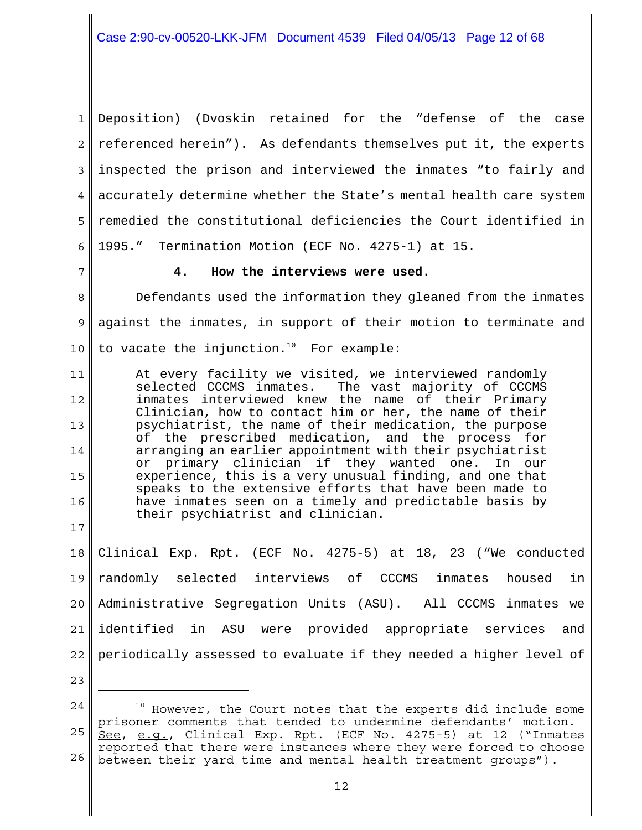1 2 3 4 5 6 Deposition) (Dvoskin retained for the "defense of the case referenced herein"). As defendants themselves put it, the experts inspected the prison and interviewed the inmates "to fairly and accurately determine whether the State's mental health care system remedied the constitutional deficiencies the Court identified in 1995." Termination Motion (ECF No. 4275-1) at 15.

7

#### **4. How the interviews were used.**

8 9 10 Defendants used the information they gleaned from the inmates against the inmates, in support of their motion to terminate and to vacate the injunction.<sup>10</sup> For example:

11 12 13 14 15 16 At every facility we visited, we interviewed randomly selected CCCMS inmates. The vast majority of CCCMS inmates interviewed knew the name of their Primary Clinician, how to contact him or her, the name of their psychiatrist, the name of their medication, the purpose of the prescribed medication, and the process for arranging an earlier appointment with their psychiatrist or primary clinician if they wanted one. In our experience, this is a very unusual finding, and one that speaks to the extensive efforts that have been made to have inmates seen on a timely and predictable basis by their psychiatrist and clinician.

18 19 20 21 22 Clinical Exp. Rpt. (ECF No. 4275-5) at 18, 23 ("We conducted randomly selected interviews of CCCMS inmates housed in Administrative Segregation Units (ASU). All CCCMS inmates we identified in ASU were provided appropriate services and periodically assessed to evaluate if they needed a higher level of

23

<sup>24</sup> 25 26 <sup>10</sup> However, the Court notes that the experts did include some prisoner comments that tended to undermine defendants' motion. See, e.g., Clinical Exp. Rpt. (ECF No. 4275-5) at 12 ("Inmates reported that there were instances where they were forced to choose between their yard time and mental health treatment groups").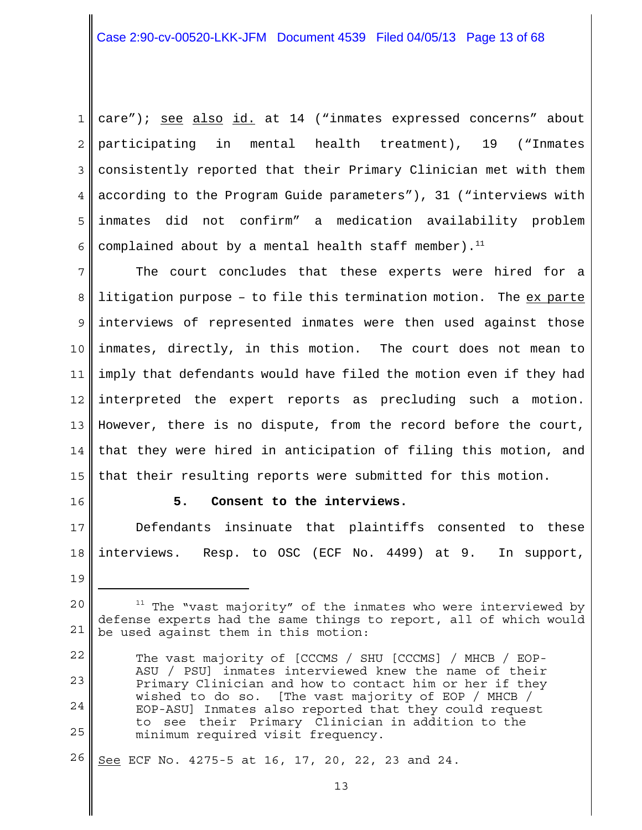1 2 3 4 5 6 care"); see also id. at 14 ("inmates expressed concerns" about participating in mental health treatment), 19 ("Inmates consistently reported that their Primary Clinician met with them according to the Program Guide parameters"), 31 ("interviews with inmates did not confirm" a medication availability problem complained about by a mental health staff member).<sup>11</sup>

7 8 9 10 11 12 13 14 15 The court concludes that these experts were hired for a litigation purpose - to file this termination motion. The ex parte interviews of represented inmates were then used against those inmates, directly, in this motion. The court does not mean to imply that defendants would have filed the motion even if they had interpreted the expert reports as precluding such a motion. However, there is no dispute, from the record before the court, that they were hired in anticipation of filing this motion, and that their resulting reports were submitted for this motion.

16

#### **5. Consent to the interviews.**

17 18 Defendants insinuate that plaintiffs consented to these interviews. Resp. to OSC (ECF No. 4499) at 9. In support,

26 See ECF No. 4275-5 at 16, 17, 20, 22, 23 and 24.

<sup>19</sup>

<sup>20</sup> 21  $11$  The "vast majority" of the inmates who were interviewed by defense experts had the same things to report, all of which would be used against them in this motion:

<sup>22</sup> 23 24 25 The vast majority of [CCCMS / SHU [CCCMS] / MHCB / EOP-ASU / PSU] inmates interviewed knew the name of their Primary Clinician and how to contact him or her if they wished to do so. [The vast majority of EOP / MHCB / EOP-ASU] Inmates also reported that they could request to see their Primary Clinician in addition to the minimum required visit frequency.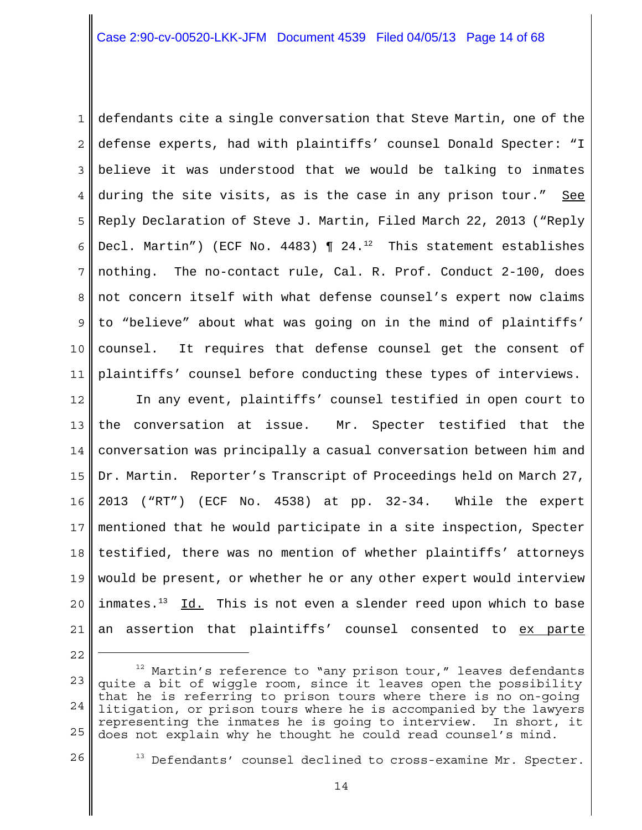1 2 3 4 5 6 7 8 9 10 11 defendants cite a single conversation that Steve Martin, one of the defense experts, had with plaintiffs' counsel Donald Specter: "I believe it was understood that we would be talking to inmates during the site visits, as is the case in any prison tour." See Reply Declaration of Steve J. Martin, Filed March 22, 2013 ("Reply Decl. Martin") (ECF No. 4483)  $\P$  24.<sup>12</sup> This statement establishes nothing. The no-contact rule, Cal. R. Prof. Conduct 2-100, does not concern itself with what defense counsel's expert now claims to "believe" about what was going on in the mind of plaintiffs' counsel. It requires that defense counsel get the consent of plaintiffs' counsel before conducting these types of interviews.

12 13 14 15 16 17 18 19 20 21 In any event, plaintiffs' counsel testified in open court to the conversation at issue. Mr. Specter testified that the conversation was principally a casual conversation between him and Dr. Martin. Reporter's Transcript of Proceedings held on March 27, 2013 ("RT") (ECF No. 4538) at pp. 32-34. While the expert mentioned that he would participate in a site inspection, Specter testified, there was no mention of whether plaintiffs' attorneys would be present, or whether he or any other expert would interview inmates.<sup>13</sup> Id. This is not even a slender reed upon which to base an assertion that plaintiffs' counsel consented to ex parte

<sup>22</sup> 23 24 25  $12$  Martin's reference to "any prison tour," leaves defendants quite a bit of wiggle room, since it leaves open the possibility that he is referring to prison tours where there is no on-going litigation, or prison tours where he is accompanied by the lawyers representing the inmates he is going to interview. In short, it does not explain why he thought he could read counsel's mind.

 $13$  Defendants' counsel declined to cross-examine Mr. Specter.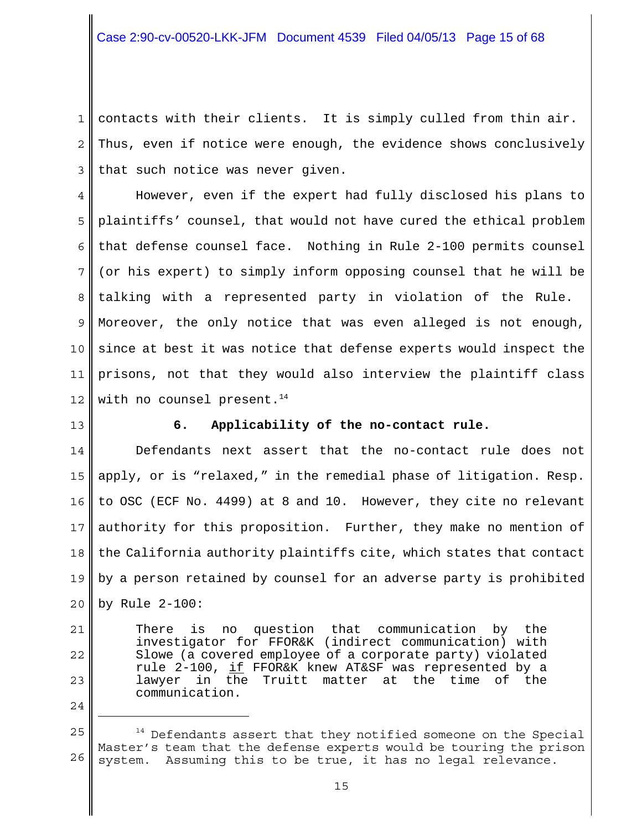1 2 3 contacts with their clients. It is simply culled from thin air. Thus, even if notice were enough, the evidence shows conclusively that such notice was never given.

4 5 6 7 8 9 10 11 12 However, even if the expert had fully disclosed his plans to plaintiffs' counsel, that would not have cured the ethical problem that defense counsel face. Nothing in Rule 2-100 permits counsel (or his expert) to simply inform opposing counsel that he will be talking with a represented party in violation of the Rule. Moreover, the only notice that was even alleged is not enough, since at best it was notice that defense experts would inspect the prisons, not that they would also interview the plaintiff class with no counsel present. $14$ 

13

21

22

23

24

## **6. Applicability of the no-contact rule.**

14 15 16 17 18 19 20 Defendants next assert that the no-contact rule does not apply, or is "relaxed," in the remedial phase of litigation. Resp. to OSC (ECF No. 4499) at 8 and 10. However, they cite no relevant authority for this proposition. Further, they make no mention of the California authority plaintiffs cite, which states that contact by a person retained by counsel for an adverse party is prohibited by Rule 2-100:

There is no question that communication by the investigator for FFOR&K (indirect communication) with Slowe (a covered employee of a corporate party) violated rule 2-100, if FFOR&K knew AT&SF was represented by a lawyer in the Truitt matter at the time of the communication.

<sup>25</sup> 26 <sup>14</sup> Defendants assert that they notified someone on the Special Master's team that the defense experts would be touring the prison system. Assuming this to be true, it has no legal relevance.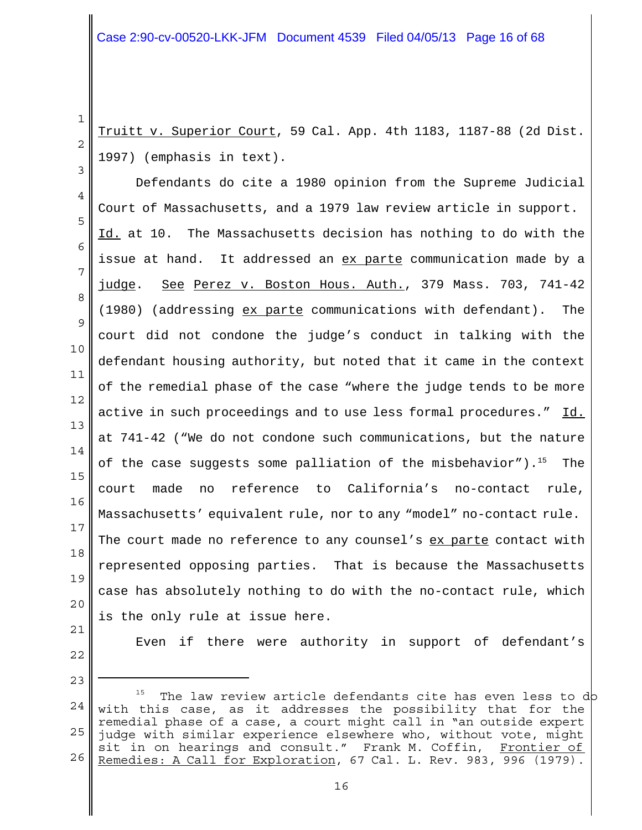2 Truitt v. Superior Court, 59 Cal. App. 4th 1183, 1187-88 (2d Dist. 1997) (emphasis in text).

4 5 6 7 8 9 10 11 12 13 14 15 16 17 18 19 20 Defendants do cite a 1980 opinion from the Supreme Judicial Court of Massachusetts, and a 1979 law review article in support. Id. at 10. The Massachusetts decision has nothing to do with the issue at hand. It addressed an ex parte communication made by a judge. See Perez v. Boston Hous. Auth., 379 Mass. 703, 741-42 (1980) (addressing ex parte communications with defendant). The court did not condone the judge's conduct in talking with the defendant housing authority, but noted that it came in the context of the remedial phase of the case "where the judge tends to be more active in such proceedings and to use less formal procedures." Id. at 741-42 ("We do not condone such communications, but the nature of the case suggests some palliation of the misbehavior").<sup>15</sup> The court made no reference to California's no-contact rule, Massachusetts' equivalent rule, nor to any "model" no-contact rule. The court made no reference to any counsel's ex parte contact with represented opposing parties. That is because the Massachusetts case has absolutely nothing to do with the no-contact rule, which is the only rule at issue here.

21

1

3

22 23 Even if there were authority in support of defendant's

<sup>24</sup> 25 26  $15$  The law review article defendants cite has even less to do with this case, as it addresses the possibility that for the remedial phase of a case, a court might call in "an outside expert judge with similar experience elsewhere who, without vote, might sit in on hearings and consult." Frank M. Coffin, Frontier of Remedies: A Call for Exploration, 67 Cal. L. Rev. 983, 996 (1979).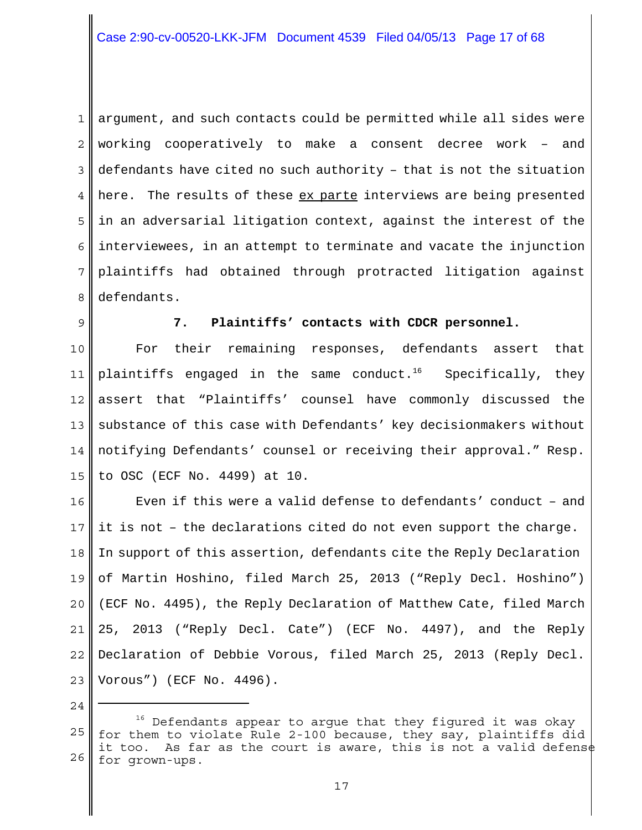1 2 3 4 5 6 7 8 argument, and such contacts could be permitted while all sides were working cooperatively to make a consent decree work – and defendants have cited no such authority – that is not the situation here. The results of these ex parte interviews are being presented in an adversarial litigation context, against the interest of the interviewees, in an attempt to terminate and vacate the injunction plaintiffs had obtained through protracted litigation against defendants.

9

#### **7. Plaintiffs' contacts with CDCR personnel.**

10 11 12 13 14 15 For their remaining responses, defendants assert that plaintiffs engaged in the same conduct.<sup>16</sup> Specifically, they assert that "Plaintiffs' counsel have commonly discussed the substance of this case with Defendants' key decisionmakers without notifying Defendants' counsel or receiving their approval." Resp. to OSC (ECF No. 4499) at 10.

16 17 18 19 20 21 22 23 Even if this were a valid defense to defendants' conduct – and it is not – the declarations cited do not even support the charge. In support of this assertion, defendants cite the Reply Declaration of Martin Hoshino, filed March 25, 2013 ("Reply Decl. Hoshino") (ECF No. 4495), the Reply Declaration of Matthew Cate, filed March 25, 2013 ("Reply Decl. Cate") (ECF No. 4497), and the Reply Declaration of Debbie Vorous, filed March 25, 2013 (Reply Decl. Vorous") (ECF No. 4496).

<sup>25</sup> 26  $16$  Defendants appear to argue that they figured it was okay for them to violate Rule 2-100 because, they say, plaintiffs did it too. As far as the court is aware, this is not a valid defense for grown-ups.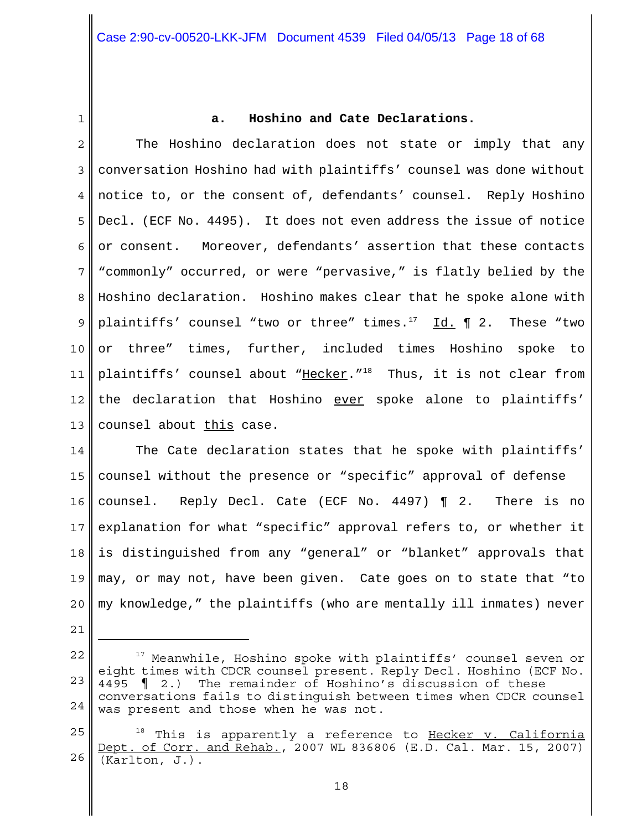1

## **a. Hoshino and Cate Declarations.**

2 3 4 5 6 7 8 9 10 11 12 13 The Hoshino declaration does not state or imply that any conversation Hoshino had with plaintiffs' counsel was done without notice to, or the consent of, defendants' counsel. Reply Hoshino Decl. (ECF No. 4495). It does not even address the issue of notice or consent. Moreover, defendants' assertion that these contacts "commonly" occurred, or were "pervasive," is flatly belied by the Hoshino declaration. Hoshino makes clear that he spoke alone with plaintiffs' counsel "two or three" times. $17$  Id. 12. These "two or three" times, further, included times Hoshino spoke to plaintiffs' counsel about "Hecker."<sup>18</sup> Thus, it is not clear from the declaration that Hoshino ever spoke alone to plaintiffs' counsel about this case.

14 15 16 17 18 19 20 The Cate declaration states that he spoke with plaintiffs' counsel without the presence or "specific" approval of defense counsel. Reply Decl. Cate (ECF No. 4497) ¶ 2. There is no explanation for what "specific" approval refers to, or whether it is distinguished from any "general" or "blanket" approvals that may, or may not, have been given. Cate goes on to state that "to my knowledge," the plaintiffs (who are mentally ill inmates) never

<sup>22</sup> 23 24 <sup>17</sup> Meanwhile, Hoshino spoke with plaintiffs' counsel seven or eight times with CDCR counsel present. Reply Decl. Hoshino (ECF No. 4495 ¶ 2.) The remainder of Hoshino's discussion of these conversations fails to distinguish between times when CDCR counsel was present and those when he was not.

<sup>25</sup> 26 <sup>18</sup> This is apparently a reference to Hecker v. California Dept. of Corr. and Rehab., 2007 WL 836806 (E.D. Cal. Mar. 15, 2007) (Karlton, J.).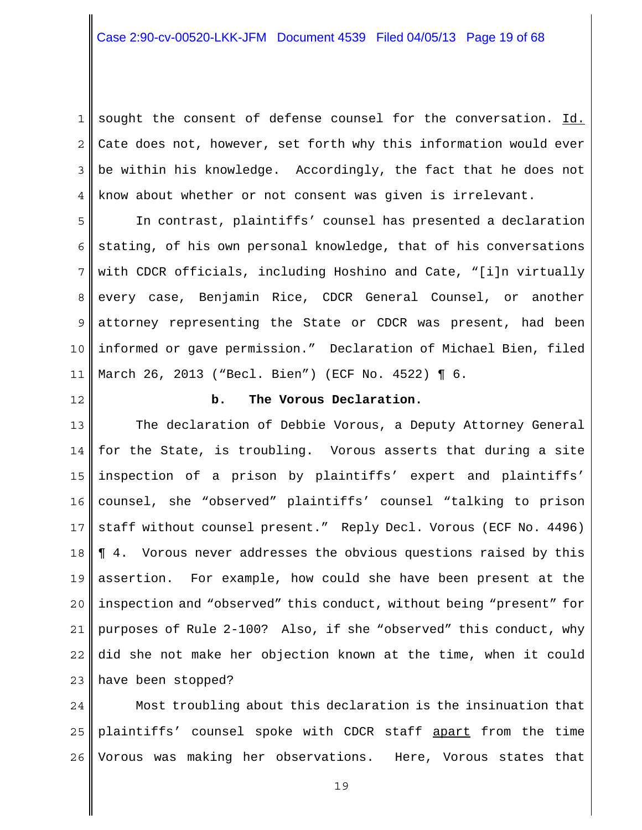1 2 3 4 sought the consent of defense counsel for the conversation. Id. Cate does not, however, set forth why this information would ever be within his knowledge. Accordingly, the fact that he does not know about whether or not consent was given is irrelevant.

5 6 7 8 9 10 11 In contrast, plaintiffs' counsel has presented a declaration stating, of his own personal knowledge, that of his conversations with CDCR officials, including Hoshino and Cate, "[i]n virtually every case, Benjamin Rice, CDCR General Counsel, or another attorney representing the State or CDCR was present, had been informed or gave permission." Declaration of Michael Bien, filed March 26, 2013 ("Becl. Bien") (ECF No. 4522) ¶ 6.

12

#### **b. The Vorous Declaration.**

13 14 15 16 17 18 19 20 21 22 23 The declaration of Debbie Vorous, a Deputy Attorney General for the State, is troubling. Vorous asserts that during a site inspection of a prison by plaintiffs' expert and plaintiffs' counsel, she "observed" plaintiffs' counsel "talking to prison staff without counsel present." Reply Decl. Vorous (ECF No. 4496) ¶ 4. Vorous never addresses the obvious questions raised by this assertion. For example, how could she have been present at the inspection and "observed" this conduct, without being "present" for purposes of Rule 2-100? Also, if she "observed" this conduct, why did she not make her objection known at the time, when it could have been stopped?

24 25 26 Most troubling about this declaration is the insinuation that plaintiffs' counsel spoke with CDCR staff apart from the time Vorous was making her observations. Here, Vorous states that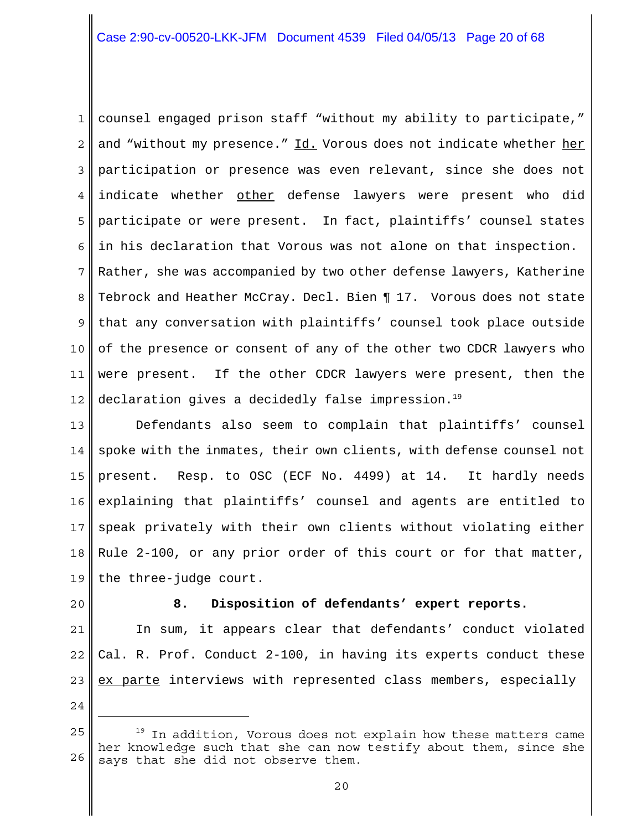1 2 3 4 5 6 7 8 9 10 11 12 counsel engaged prison staff "without my ability to participate," and "without my presence." Id. Vorous does not indicate whether her participation or presence was even relevant, since she does not indicate whether other defense lawyers were present who did participate or were present. In fact, plaintiffs' counsel states in his declaration that Vorous was not alone on that inspection. Rather, she was accompanied by two other defense lawyers, Katherine Tebrock and Heather McCray. Decl. Bien ¶ 17. Vorous does not state that any conversation with plaintiffs' counsel took place outside of the presence or consent of any of the other two CDCR lawyers who were present. If the other CDCR lawyers were present, then the declaration gives a decidedly false impression.<sup>19</sup>

13 14 15 16 17 18 19 Defendants also seem to complain that plaintiffs' counsel spoke with the inmates, their own clients, with defense counsel not present. Resp. to OSC (ECF No. 4499) at 14. It hardly needs explaining that plaintiffs' counsel and agents are entitled to speak privately with their own clients without violating either Rule 2-100, or any prior order of this court or for that matter, the three-judge court.

20

## **8. Disposition of defendants' expert reports.**

21 22 23 In sum, it appears clear that defendants' conduct violated Cal. R. Prof. Conduct 2-100, in having its experts conduct these ex parte interviews with represented class members, especially

<sup>25</sup> 26 <sup>19</sup> In addition, Vorous does not explain how these matters came her knowledge such that she can now testify about them, since she says that she did not observe them.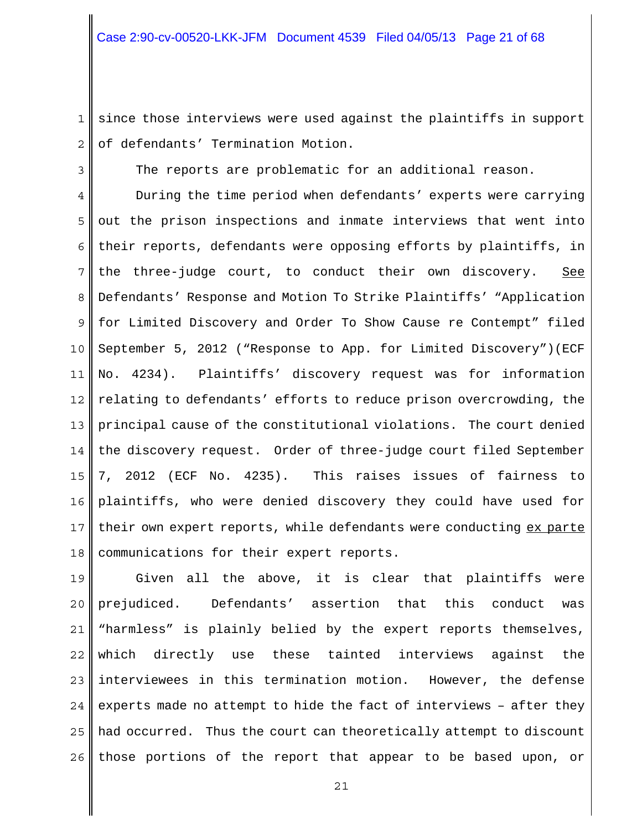1 2 since those interviews were used against the plaintiffs in support of defendants' Termination Motion.

The reports are problematic for an additional reason.

3

4 5 6 7 8 9 10 11 12 13 14 15 16 17 18 During the time period when defendants' experts were carrying out the prison inspections and inmate interviews that went into their reports, defendants were opposing efforts by plaintiffs, in the three-judge court, to conduct their own discovery. See Defendants' Response and Motion To Strike Plaintiffs' "Application for Limited Discovery and Order To Show Cause re Contempt" filed September 5, 2012 ("Response to App. for Limited Discovery")(ECF No. 4234). Plaintiffs' discovery request was for information relating to defendants' efforts to reduce prison overcrowding, the principal cause of the constitutional violations. The court denied the discovery request. Order of three-judge court filed September 7, 2012 (ECF No. 4235). This raises issues of fairness to plaintiffs, who were denied discovery they could have used for their own expert reports, while defendants were conducting ex parte communications for their expert reports.

19 20 21 22 23 24 25 26 Given all the above, it is clear that plaintiffs were prejudiced. Defendants' assertion that this conduct was "harmless" is plainly belied by the expert reports themselves, which directly use these tainted interviews against the interviewees in this termination motion. However, the defense experts made no attempt to hide the fact of interviews – after they had occurred. Thus the court can theoretically attempt to discount those portions of the report that appear to be based upon, or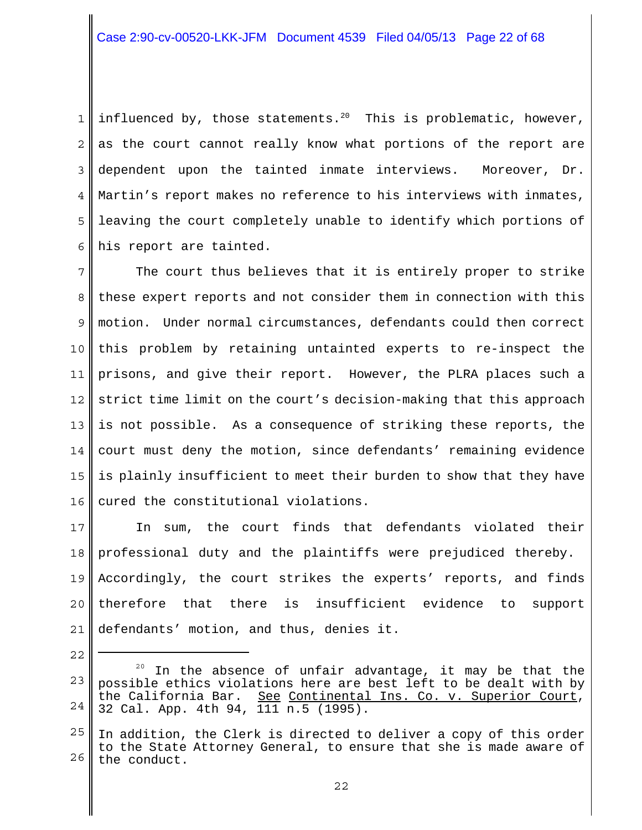1 2 3 4 5 6 influenced by, those statements.<sup>20</sup> This is problematic, however, as the court cannot really know what portions of the report are dependent upon the tainted inmate interviews. Moreover, Dr. Martin's report makes no reference to his interviews with inmates, leaving the court completely unable to identify which portions of his report are tainted.

7 8 9 10 11 12 13 14 15 16 The court thus believes that it is entirely proper to strike these expert reports and not consider them in connection with this motion. Under normal circumstances, defendants could then correct this problem by retaining untainted experts to re-inspect the prisons, and give their report. However, the PLRA places such a strict time limit on the court's decision-making that this approach is not possible. As a consequence of striking these reports, the court must deny the motion, since defendants' remaining evidence is plainly insufficient to meet their burden to show that they have cured the constitutional violations.

17 18 19 20 21 In sum, the court finds that defendants violated their professional duty and the plaintiffs were prejudiced thereby. Accordingly, the court strikes the experts' reports, and finds therefore that there is insufficient evidence to support defendants' motion, and thus, denies it.

<sup>23</sup> 24 In the absence of unfair advantage, it may be that the possible ethics violations here are best left to be dealt with by the California Bar. See Continental Ins. Co. v. Superior Court, 32 Cal. App. 4th 94, 111 n.5 (1995).

<sup>25</sup> 26 In addition, the Clerk is directed to deliver a copy of this order to the State Attorney General, to ensure that she is made aware of the conduct.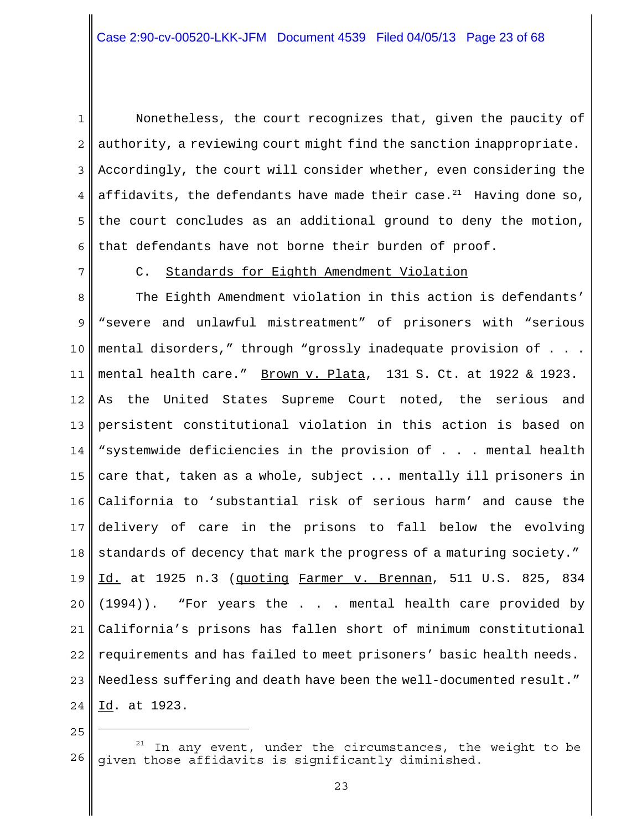1 2 3 4 5 6 Nonetheless, the court recognizes that, given the paucity of authority, a reviewing court might find the sanction inappropriate. Accordingly, the court will consider whether, even considering the affidavits, the defendants have made their case. $^{21}$  Having done so, the court concludes as an additional ground to deny the motion, that defendants have not borne their burden of proof.

7

C. Standards for Eighth Amendment Violation

8 9 10 11 12 13 14 15 16 17 18 19 20 21 22 23 24 The Eighth Amendment violation in this action is defendants' "severe and unlawful mistreatment" of prisoners with "serious mental disorders," through "grossly inadequate provision of . . . mental health care." Brown v. Plata, 131 S. Ct. at 1922 & 1923. As the United States Supreme Court noted, the serious and persistent constitutional violation in this action is based on "systemwide deficiencies in the provision of . . . mental health care that, taken as a whole, subject ... mentally ill prisoners in California to 'substantial risk of serious harm' and cause the delivery of care in the prisons to fall below the evolving standards of decency that mark the progress of a maturing society." Id. at 1925 n.3 (quoting Farmer v. Brennan, 511 U.S. 825, 834 (1994)). "For years the . . . mental health care provided by California's prisons has fallen short of minimum constitutional requirements and has failed to meet prisoners' basic health needs. Needless suffering and death have been the well-documented result." Id. at 1923.

<sup>26</sup> In any event, under the circumstances, the weight to be given those affidavits is significantly diminished.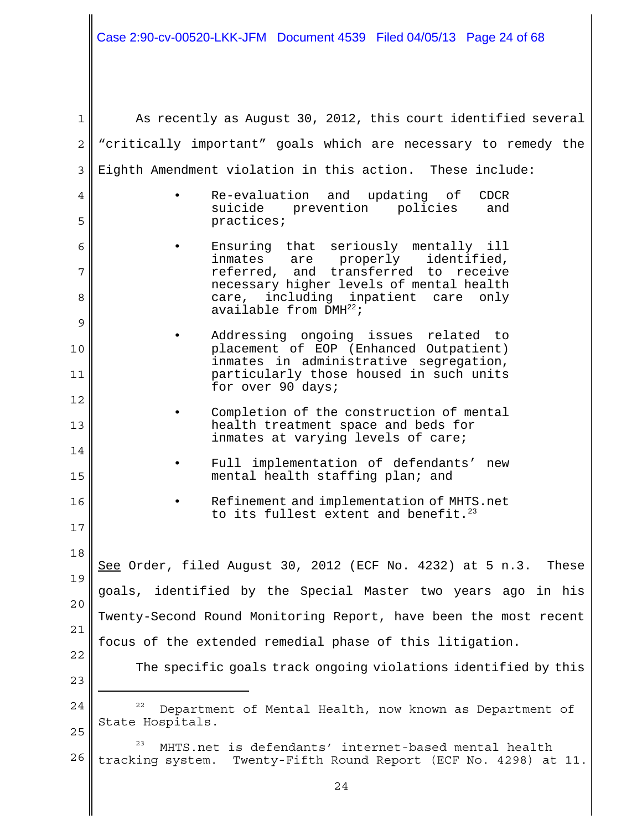I

| $\mathbf 1$    | As recently as August 30, 2012, this court identified several                                                                  |
|----------------|--------------------------------------------------------------------------------------------------------------------------------|
| $\overline{c}$ | "critically important" goals which are necessary to remedy the                                                                 |
| 3              | Eighth Amendment violation in this action. These include:                                                                      |
| 4              | Re-evaluation<br>and updating of<br><b>CDCR</b>                                                                                |
| 5              | prevention policies<br>suicide<br>and<br>practices;                                                                            |
| 6              | Ensuring that seriously mentally ill<br>inmates are properly<br>identified,                                                    |
| 7              | referred, and transferred to receive<br>necessary higher levels of mental health                                               |
| 8              | including inpatient care only<br>care,<br>available from $DMH^{22}$ ;                                                          |
| 9              | Addressing ongoing issues related to                                                                                           |
| 10             | placement of EOP (Enhanced Outpatient)<br>inmates in administrative segregation,                                               |
| 11             | particularly those housed in such units<br>for over 90 days;                                                                   |
| 12             | Completion of the construction of mental                                                                                       |
| 13             | health treatment space and beds for<br>inmates at varying levels of care;                                                      |
| 14             | Full implementation of defendants' new                                                                                         |
| 15             | mental health staffing plan; and                                                                                               |
| 16             | Refinement and implementation of MHTS.net<br>to its fullest extent and benefit. <sup>23</sup>                                  |
| 17             |                                                                                                                                |
| 18             | See Order, filed August 30, 2012 (ECF No. 4232) at 5 n.3.<br>These                                                             |
| 19             | goals, identified by the Special Master two years ago in his                                                                   |
| 20             |                                                                                                                                |
| 21             | Twenty-Second Round Monitoring Report, have been the most recent                                                               |
| 22             | focus of the extended remedial phase of this litigation.                                                                       |
| 23             | The specific goals track ongoing violations identified by this                                                                 |
| 24             | 22<br>Department of Mental Health, now known as Department of                                                                  |
| 25             | State Hospitals.                                                                                                               |
| 26             | 23<br>MHTS.net is defendants' internet-based mental health<br>tracking system. Twenty-Fifth Round Report (ECF No. 4298) at 11. |
|                |                                                                                                                                |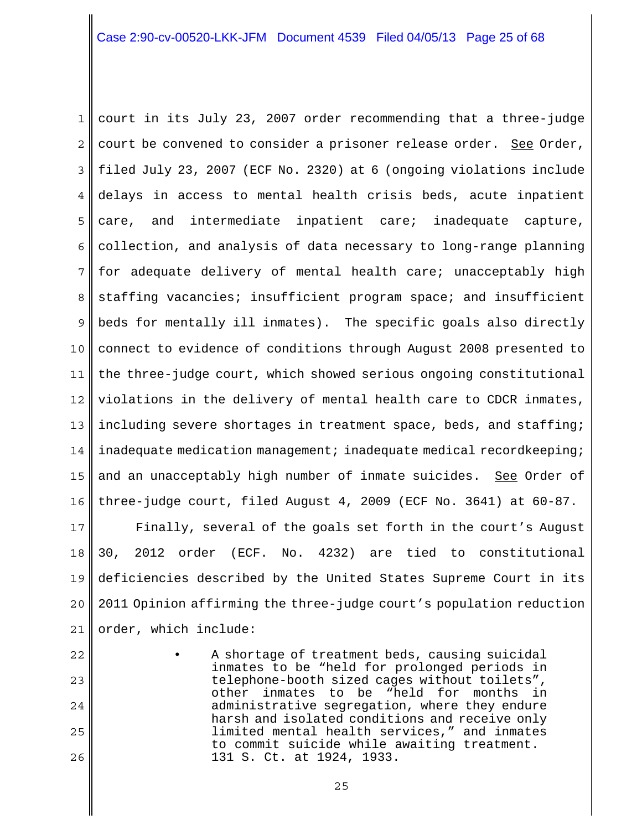1 2 3 4 5 6 7 8 9 10 11 12 13 14 15 16 court in its July 23, 2007 order recommending that a three-judge court be convened to consider a prisoner release order. See Order, filed July 23, 2007 (ECF No. 2320) at 6 (ongoing violations include delays in access to mental health crisis beds, acute inpatient care, and intermediate inpatient care; inadequate capture, collection, and analysis of data necessary to long-range planning for adequate delivery of mental health care; unacceptably high staffing vacancies; insufficient program space; and insufficient beds for mentally ill inmates). The specific goals also directly connect to evidence of conditions through August 2008 presented to the three-judge court, which showed serious ongoing constitutional violations in the delivery of mental health care to CDCR inmates, including severe shortages in treatment space, beds, and staffing; inadequate medication management; inadequate medical recordkeeping; and an unacceptably high number of inmate suicides. See Order of three-judge court, filed August 4, 2009 (ECF No. 3641) at 60-87.

17 18 19 20 21 Finally, several of the goals set forth in the court's August 30, 2012 order (ECF. No. 4232) are tied to constitutional deficiencies described by the United States Supreme Court in its 2011 Opinion affirming the three-judge court's population reduction order, which include:

23 24 25

26

22

inmates to be "held for prolonged periods in telephone-booth sized cages without toilets", other inmates to be "held for months in administrative segregation, where they endure harsh and isolated conditions and receive only limited mental health services," and inmates to commit suicide while awaiting treatment. 131 S. Ct. at 1924, 1933.

25

A shortage of treatment beds, causing suicidal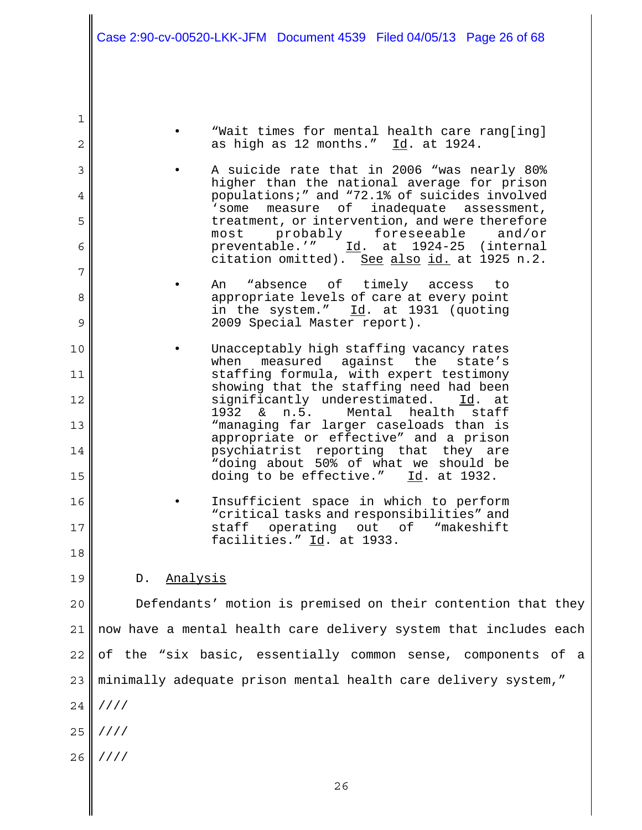- "Wait times for mental health care rang[ing] as high as 12 months." Id. at 1924.
- A suicide rate that in 2006 "was nearly 80% higher than the national average for prison populations;" and "72.1% of suicides involved 'some measure of inadequate assessment, treatment, or intervention, and were therefore most probably foreseeable and/or preventable.'" Id. at 1924-25 (internal citation omitted). See also id. at 1925 n.2.
- An "absence of timely access to appropriate levels of care at every point in the system." Id. at 1931 (quoting 2009 Special Master report).
- Unacceptably high staffing vacancy rates when measured against the state's staffing formula, with expert testimony showing that the staffing need had been significantly underestimated. Id. at 1932 & n.5. Mental health staff "managing far larger caseloads than is appropriate or effective" and a prison psychiatrist reporting that they are "doing about 50% of what we should be doing to be effective."  $Id.$  at 1932.
- 16 17 Insufficient space in which to perform "critical tasks and responsibilities" and staff operating out of "makeshift facilities." Id. at 1933.
- 19 D. Analysis

1

2

3

4

5

6

7

8

9

10

11

12

13

14

15

18

20 21 22  $23<sub>1</sub>$ 24 //// 25 //// 26 //// Defendants' motion is premised on their contention that they now have a mental health care delivery system that includes each of the "six basic, essentially common sense, components of a minimally adequate prison mental health care delivery system,"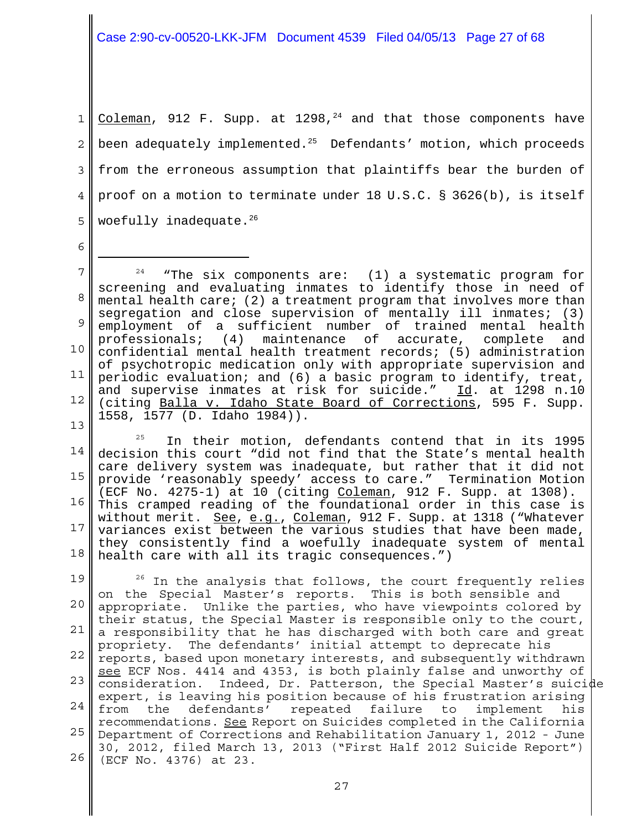Case 2:90-cv-00520-LKK-JFM Document 4539 Filed 04/05/13 Page 27 of 68

1 2 3 4 5 Coleman, 912 F. Supp. at 1298,  $24$  and that those components have been adequately implemented.<sup>25</sup> Defendants' motion, which proceeds from the erroneous assumption that plaintiffs bear the burden of proof on a motion to terminate under 18 U.S.C. § 3626(b), is itself woefully inadequate.<sup>26</sup>

6

14 15 16 17 18 25 In their motion, defendants contend that in its 1995 decision this court "did not find that the State's mental health care delivery system was inadequate, but rather that it did not provide 'reasonably speedy' access to care." Termination Motion (ECF No. 4275-1) at 10 (citing Coleman, 912 F. Supp. at 1308). This cramped reading of the foundational order in this case is without merit. See, e.g., Coleman, 912 F. Supp. at 1318 ("Whatever variances exist between the various studies that have been made, they consistently find a woefully inadequate system of mental health care with all its tragic consequences.")

19 20 21 22 23 24 25 Department of Corrections and Rehabilitation January 1, 2012 - June 26  $26$  In the analysis that follows, the court frequently relies on the Special Master's reports. This is both sensible and appropriate. Unlike the parties, who have viewpoints colored by their status, the Special Master is responsible only to the court, a responsibility that he has discharged with both care and great propriety. The defendants' initial attempt to deprecate his reports, based upon monetary interests, and subsequently withdrawn see ECF Nos. 4414 and 4353, is both plainly false and unworthy of consideration. Indeed, Dr. Patterson, the Special Master's suicide expert, is leaving his position because of his frustration arising from the defendants' repeated failure to implement his recommendations. See Report on Suicides completed in the California 30, 2012, filed March 13, 2013 ("First Half 2012 Suicide Report") (ECF No. 4376) at 23.

<sup>7</sup> 8 9 10 11 12 13  $24$  "The six components are: (1) a systematic program for screening and evaluating inmates to identify those in need of mental health care; (2) a treatment program that involves more than segregation and close supervision of mentally ill inmates; (3) employment of a sufficient number of trained mental health<br>professionals; (4) maintenance of accurate, complete and professionals; (4) maintenance of accurate, complete and confidential mental health treatment records; (5) administration of psychotropic medication only with appropriate supervision and periodic evaluation; and (6) a basic program to identify, treat, and supervise inmates at risk for suicide." Id. at 1298 n.10 (citing Balla v. Idaho State Board of Corrections, 595 F. Supp. 1558, 1577 (D. Idaho 1984)).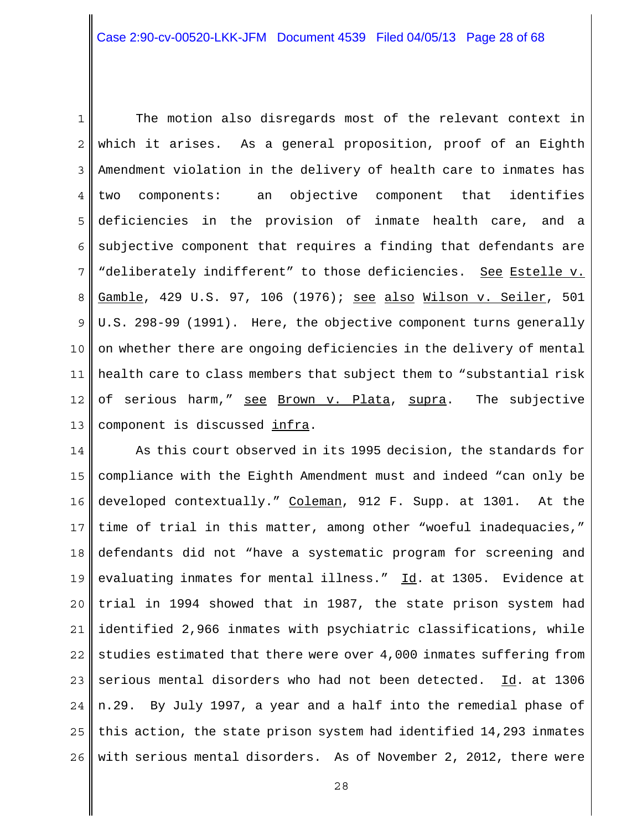1 2 3 4 5 6 7 8 9 10 11 12 13 The motion also disregards most of the relevant context in which it arises. As a general proposition, proof of an Eighth Amendment violation in the delivery of health care to inmates has two components: an objective component that identifies deficiencies in the provision of inmate health care, and a subjective component that requires a finding that defendants are "deliberately indifferent" to those deficiencies. See Estelle v. Gamble, 429 U.S. 97, 106 (1976); see also Wilson v. Seiler, 501 U.S. 298-99 (1991). Here, the objective component turns generally on whether there are ongoing deficiencies in the delivery of mental health care to class members that subject them to "substantial risk of serious harm," see Brown v. Plata, supra. The subjective component is discussed infra.

14 15 16 17 18 19 20 21 22 23 24 25 26 As this court observed in its 1995 decision, the standards for compliance with the Eighth Amendment must and indeed "can only be developed contextually." Coleman, 912 F. Supp. at 1301. At the time of trial in this matter, among other "woeful inadequacies," defendants did not "have a systematic program for screening and evaluating inmates for mental illness." Id. at 1305. Evidence at trial in 1994 showed that in 1987, the state prison system had identified 2,966 inmates with psychiatric classifications, while studies estimated that there were over 4,000 inmates suffering from serious mental disorders who had not been detected. Id. at 1306 n.29. By July 1997, a year and a half into the remedial phase of this action, the state prison system had identified 14,293 inmates with serious mental disorders. As of November 2, 2012, there were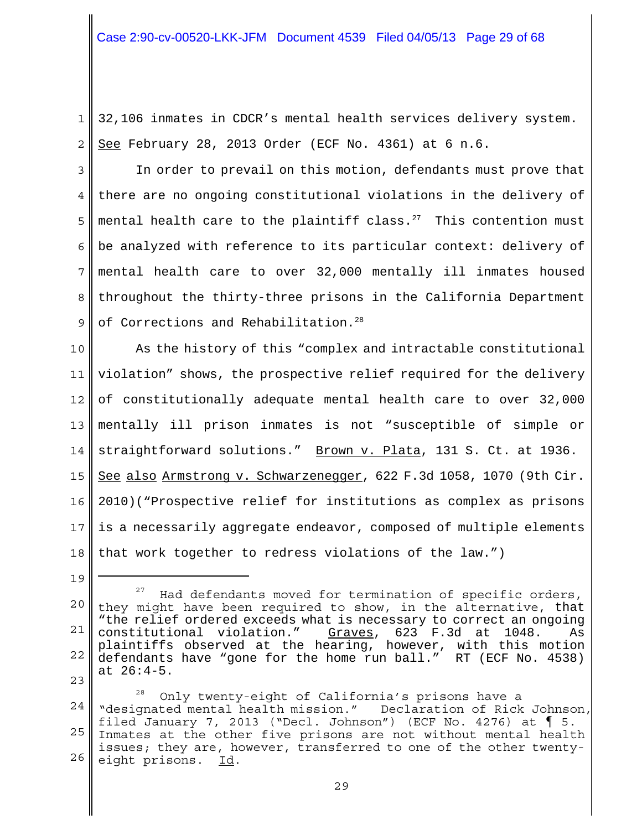1 2 32,106 inmates in CDCR's mental health services delivery system. See February 28, 2013 Order (ECF No. 4361) at 6 n.6.

3 4 5 6 7 8 9 In order to prevail on this motion, defendants must prove that there are no ongoing constitutional violations in the delivery of mental health care to the plaintiff class. $27$  This contention must be analyzed with reference to its particular context: delivery of mental health care to over 32,000 mentally ill inmates housed throughout the thirty-three prisons in the California Department of Corrections and Rehabilitation.<sup>28</sup>

10 11 12 13 14 15 16 17 18 As the history of this "complex and intractable constitutional violation" shows, the prospective relief required for the delivery of constitutionally adequate mental health care to over 32,000 mentally ill prison inmates is not "susceptible of simple or straightforward solutions." Brown v. Plata, 131 S. Ct. at 1936. See also Armstrong v. Schwarzenegger, 622 F.3d 1058, 1070 (9th Cir. 2010)("Prospective relief for institutions as complex as prisons is a necessarily aggregate endeavor, composed of multiple elements that work together to redress violations of the law.")

23

24 25 26 <sup>28</sup> Only twenty-eight of California's prisons have a "designated mental health mission." Declaration of Rick Johnson, filed January 7, 2013 ("Decl. Johnson") (ECF No. 4276) at  $\P$  5. Inmates at the other five prisons are not without mental health issues; they are, however, transferred to one of the other twentyeight prisons. Id.

<sup>19</sup>

<sup>20</sup> 21 22 Had defendants moved for termination of specific orders, they might have been required to show, in the alternative, that "the relief ordered exceeds what is necessary to correct an ongoing constitutional violation." Graves, 623 F.3d at 1048. plaintiffs observed at the hearing, however, with this motion defendants have "gone for the home run ball." RT (ECF No. 4538) at 26:4-5.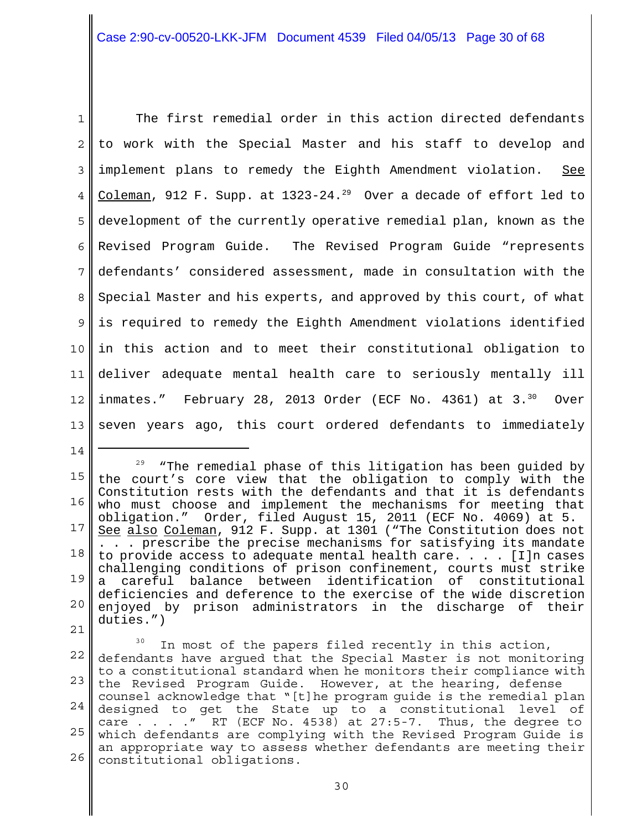1 2 3 4 5 6 7 8 9 10 11 12 13 The first remedial order in this action directed defendants to work with the Special Master and his staff to develop and implement plans to remedy the Eighth Amendment violation. See Coleman, 912 F. Supp. at 1323-24.<sup>29</sup> Over a decade of effort led to development of the currently operative remedial plan, known as the Revised Program Guide. The Revised Program Guide "represents defendants' considered assessment, made in consultation with the Special Master and his experts, and approved by this court, of what is required to remedy the Eighth Amendment violations identified in this action and to meet their constitutional obligation to deliver adequate mental health care to seriously mentally ill inmates." February 28, 2013 Order (ECF No. 4361) at  $3.^{30}$  Over seven years ago, this court ordered defendants to immediately

15 16 17 18 19 20 21  $29$  "The remedial phase of this litigation has been guided by the court's core view that the obligation to comply with the Constitution rests with the defendants and that it is defendants who must choose and implement the mechanisms for meeting that obligation." Order, filed August 15, 2011 (ECF No. 4069) at 5. See also Coleman, 912 F. Supp. at 1301 ("The Constitution does not . . . prescribe the precise mechanisms for satisfying its mandate to provide access to adequate mental health care.  $\ldots$  . [I]n cases challenging conditions of prison confinement, courts must strike a careful balance between identification of constitutional deficiencies and deference to the exercise of the wide discretion enjoyed by prison administrators in the discharge of their duties.")

14

22 23 24 25 26  $30$  In most of the papers filed recently in this action, defendants have argued that the Special Master is not monitoring to a constitutional standard when he monitors their compliance with the Revised Program Guide. However, at the hearing, defense counsel acknowledge that "[t]he program guide is the remedial plan designed to get the State up to a constitutional level of care . . . .  $\mu$  RT (ECF No. 4538) at 27:5-7. Thus, the degree to which defendants are complying with the Revised Program Guide is an appropriate way to assess whether defendants are meeting their constitutional obligations.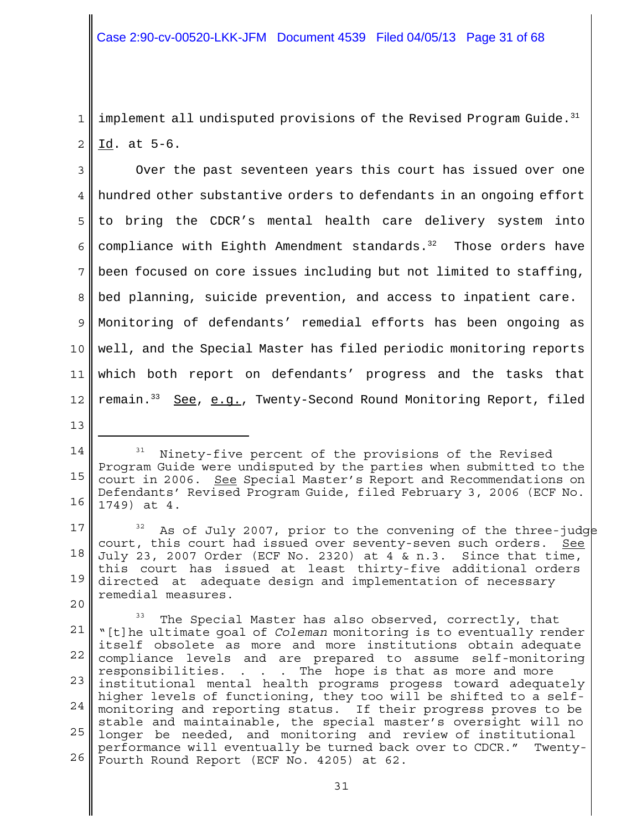1 2  $\parallel$  implement all undisputed provisions of the Revised Program Guide.<sup>31</sup> Id. at 5-6.

3 4 5 6 7 8 9 10 11 12 Over the past seventeen years this court has issued over one hundred other substantive orders to defendants in an ongoing effort to bring the CDCR's mental health care delivery system into compliance with Eighth Amendment standards. $32$  Those orders have been focused on core issues including but not limited to staffing, bed planning, suicide prevention, and access to inpatient care. Monitoring of defendants' remedial efforts has been ongoing as well, and the Special Master has filed periodic monitoring reports which both report on defendants' progress and the tasks that remain.33 See, e.g., Twenty-Second Round Monitoring Report, filed

<sup>14</sup> 15 16 Ninety-five percent of the provisions of the Revised Program Guide were undisputed by the parties when submitted to the court in 2006. See Special Master's Report and Recommendations on Defendants' Revised Program Guide, filed February 3, 2006 (ECF No. 1749) at 4.

<sup>17</sup> 18 19 20  $32$  As of July 2007, prior to the convening of the three-judge court, this court had issued over seventy-seven such orders. See July 23, 2007 Order (ECF No. 2320) at 4 & n.3. Since that time, this court has issued at least thirty-five additional orders directed at adequate design and implementation of necessary remedial measures.

<sup>21</sup> 22 23 institutional mental health programs progess toward adequately 24 25 longer be needed, and monitoring and review of institutional 26 The Special Master has also observed, correctly, that "[t]he ultimate goal of *Coleman* monitoring is to eventually render itself obsolete as more and more institutions obtain adequate compliance levels and are prepared to assume self-monitoring responsibilities. . . . The hope is that as more and more higher levels of functioning, they too will be shifted to a selfmonitoring and reporting status. If their progress proves to be stable and maintainable, the special master's oversight will no performance will eventually be turned back over to CDCR." Twenty-Fourth Round Report (ECF No. 4205) at 62.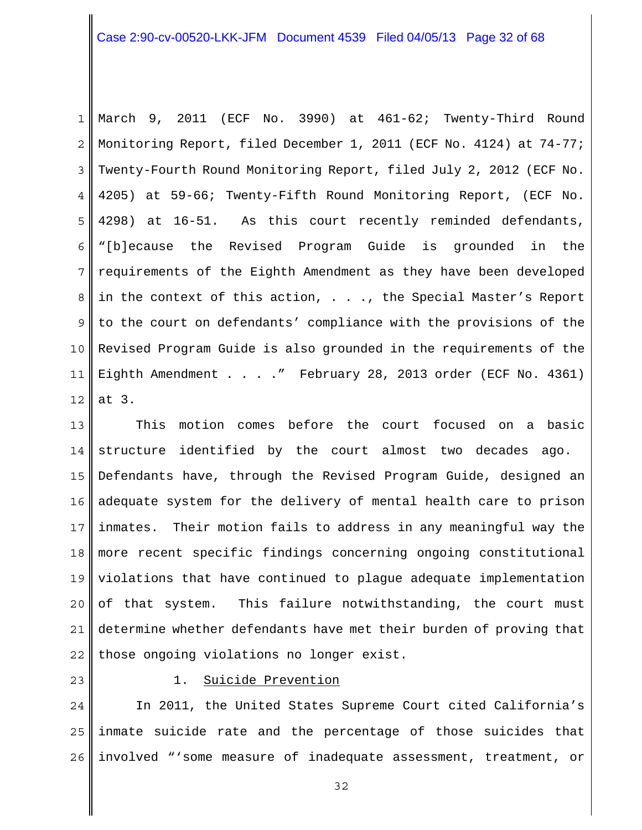# Case 2:90-cv-00520-LKK-JFM Document 4539 Filed 04/05/13 Page 32 of 68

1 2 3 4 5 6 7 8 9 10 11 12 March 9, 2011 (ECF No. 3990) at 461-62; Twenty-Third Round Monitoring Report, filed December 1, 2011 (ECF No. 4124) at 74-77; Twenty-Fourth Round Monitoring Report, filed July 2, 2012 (ECF No. 4205) at 59-66; Twenty-Fifth Round Monitoring Report, (ECF No. 4298) at 16-51. As this court recently reminded defendants, "[b]ecause the Revised Program Guide is grounded in the requirements of the Eighth Amendment as they have been developed in the context of this action,  $\ldots$ , the Special Master's Report to the court on defendants' compliance with the provisions of the Revised Program Guide is also grounded in the requirements of the Eighth Amendment . . . . " February 28, 2013 order (ECF No. 4361) at 3.

13 14 15 16 17 18 19 20 21 22 This motion comes before the court focused on a basic structure identified by the court almost two decades ago. Defendants have, through the Revised Program Guide, designed an adequate system for the delivery of mental health care to prison inmates. Their motion fails to address in any meaningful way the more recent specific findings concerning ongoing constitutional violations that have continued to plague adequate implementation of that system. This failure notwithstanding, the court must determine whether defendants have met their burden of proving that those ongoing violations no longer exist.

23

#### 1. Suicide Prevention

24 25 26 In 2011, the United States Supreme Court cited California's inmate suicide rate and the percentage of those suicides that involved "'some measure of inadequate assessment, treatment, or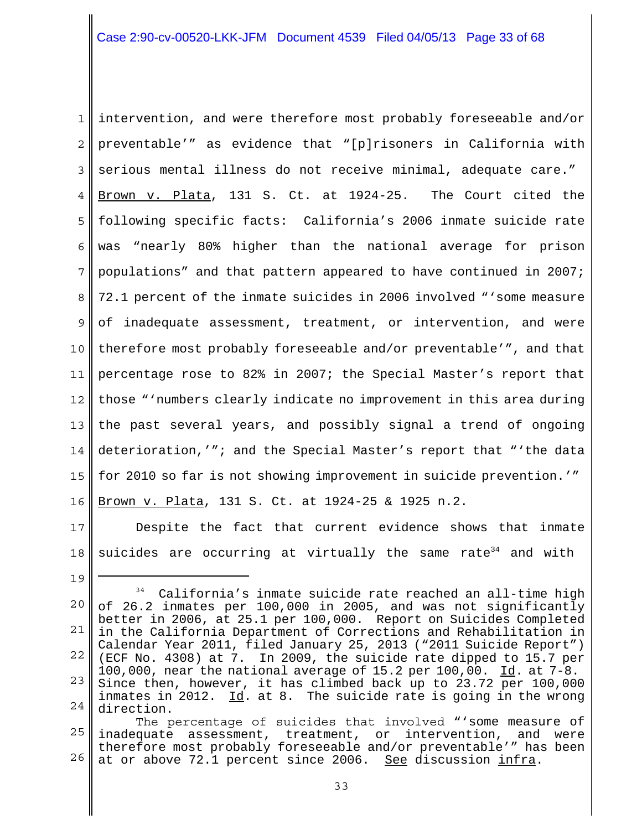1 2 3 4 5 6 7 8 9 10 11 12 13 14 15 16 intervention, and were therefore most probably foreseeable and/or preventable'" as evidence that "[p]risoners in California with serious mental illness do not receive minimal, adequate care." Brown v. Plata, 131 S. Ct. at 1924-25. The Court cited the following specific facts: California's 2006 inmate suicide rate was "nearly 80% higher than the national average for prison populations" and that pattern appeared to have continued in 2007; 72.1 percent of the inmate suicides in 2006 involved "'some measure of inadequate assessment, treatment, or intervention, and were therefore most probably foreseeable and/or preventable'", and that percentage rose to 82% in 2007; the Special Master's report that those "'numbers clearly indicate no improvement in this area during the past several years, and possibly signal a trend of ongoing deterioration,'"; and the Special Master's report that "'the data for 2010 so far is not showing improvement in suicide prevention.'" Brown v. Plata, 131 S. Ct. at 1924-25 & 1925 n.2.

17 18 Despite the fact that current evidence shows that inmate suicides are occurring at virtually the same rate $34$  and with

<sup>20</sup> 21 22 23 24  $34$  California's inmate suicide rate reached an all-time high of 26.2 inmates per 100,000 in 2005, and was not significantly better in 2006, at 25.1 per 100,000. Report on Suicides Completed in the California Department of Corrections and Rehabilitation in Calendar Year 2011, filed January 25, 2013 ("2011 Suicide Report") (ECF No. 4308) at 7. In 2009, the suicide rate dipped to 15.7 per 100,000, near the national average of  $15.2$  per  $100,00$ .  $\underline{Id}$ . at  $7-8$ . Since then, however, it has climbed back up to 23.72 per 100,000 inmates in 2012.  $Id.$  at 8. The suicide rate is going in the wrong direction.

<sup>25</sup> 26 The percentage of suicides that involved "'some measure of inadequate assessment, treatment, or intervention, and were therefore most probably foreseeable and/or preventable'" has been at or above 72.1 percent since 2006. See discussion infra.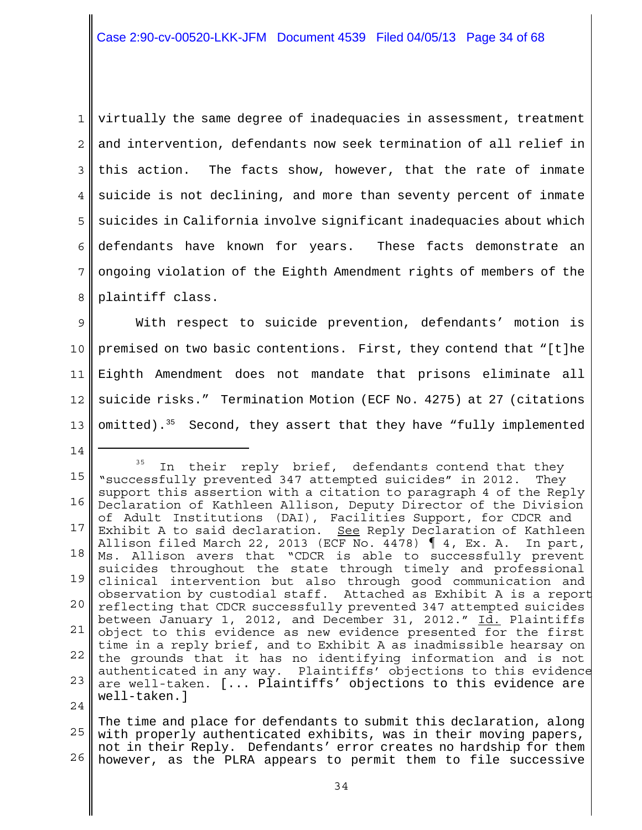1 2 3 4 5 6 7 8 virtually the same degree of inadequacies in assessment, treatment and intervention, defendants now seek termination of all relief in this action. The facts show, however, that the rate of inmate suicide is not declining, and more than seventy percent of inmate suicides in California involve significant inadequacies about which defendants have known for years. These facts demonstrate an ongoing violation of the Eighth Amendment rights of members of the plaintiff class.

9 10 11 12 13 With respect to suicide prevention, defendants' motion is premised on two basic contentions. First, they contend that "[t]he Eighth Amendment does not mandate that prisons eliminate all suicide risks." Termination Motion (ECF No. 4275) at 27 (citations omitted).<sup>35</sup> Second, they assert that they have "fully implemented

14

15 16 17 18 19 20 21 22 23  $2.4$  $35$  In their reply brief, defendants contend that they "successfully prevented 347 attempted suicides" in 2012. They support this assertion with a citation to paragraph 4 of the Reply Declaration of Kathleen Allison, Deputy Director of the Division of Adult Institutions (DAI), Facilities Support, for CDCR and Exhibit A to said declaration. See Reply Declaration of Kathleen Allison filed March 22, 2013 (ECF No. 4478)  $\parallel$  4, Ex. A. In part, Ms. Allison avers that "CDCR is able to successfully prevent suicides throughout the state through timely and professional clinical intervention but also through good communication and observation by custodial staff. Attached as Exhibit A is a report reflecting that CDCR successfully prevented 347 attempted suicides between January 1, 2012, and December 31, 2012." Id. Plaintiffs object to this evidence as new evidence presented for the first time in a reply brief, and to Exhibit A as inadmissible hearsay on the grounds that it has no identifying information and is not authenticated in any way. Plaintiffs' objections to this evidence are well-taken. [... Plaintiffs' objections to this evidence are well-taken.]

25 26 The time and place for defendants to submit this declaration, along with properly authenticated exhibits, was in their moving papers, not in their Reply. Defendants' error creates no hardship for them however, as the PLRA appears to permit them to file successive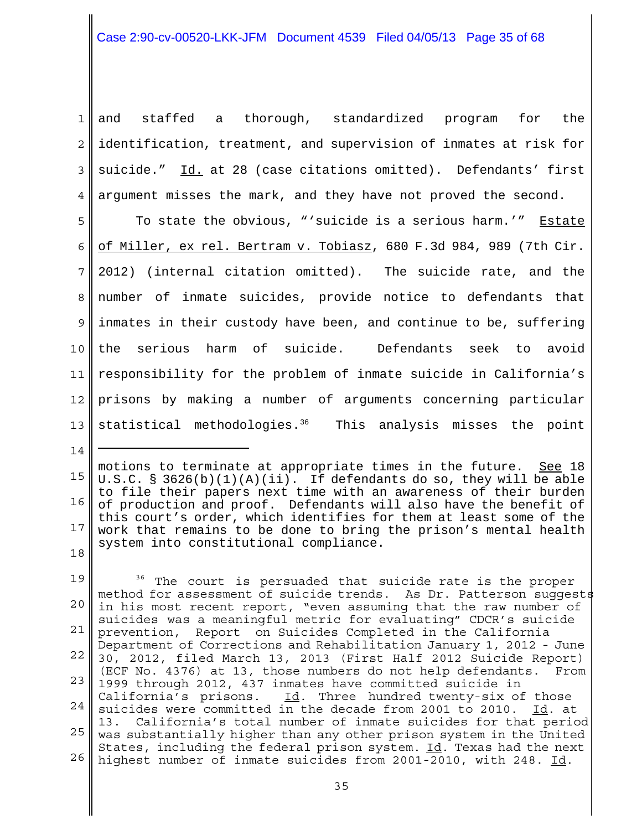# Case 2:90-cv-00520-LKK-JFM Document 4539 Filed 04/05/13 Page 35 of 68

1 2 3 4 and staffed a thorough, standardized program for the identification, treatment, and supervision of inmates at risk for suicide." Id. at 28 (case citations omitted). Defendants' first argument misses the mark, and they have not proved the second.

5 6 7 8 9 10 11 12 13 To state the obvious, "'suicide is a serious harm.'" Estate of Miller, ex rel. Bertram v. Tobiasz, 680 F.3d 984, 989 (7th Cir. 2012) (internal citation omitted). The suicide rate, and the number of inmate suicides, provide notice to defendants that inmates in their custody have been, and continue to be, suffering the serious harm of suicide. Defendants seek to avoid responsibility for the problem of inmate suicide in California's prisons by making a number of arguments concerning particular statistical methodologies. $36$  This analysis misses the point

<sup>15</sup> 16 17 18 motions to terminate at appropriate times in the future. See 18 U.S.C. § 3626(b)(1)(A)(ii). If defendants do so, they will be able to file their papers next time with an awareness of their burden of production and proof. Defendants will also have the benefit of this court's order, which identifies for them at least some of the work that remains to be done to bring the prison's mental health system into constitutional compliance.

<sup>19</sup> 20 21 22 23 1999 through 2012, 437 inmates have committed suicide in 24 25 was substantially higher than any other prison system in the United 26 <sup>36</sup> The court is persuaded that suicide rate is the proper method for assessment of suicide trends. As Dr. Patterson suggests in his most recent report, "even assuming that the raw number of suicides was a meaningful metric for evaluating" CDCR's suicide prevention, Report on Suicides Completed in the California Department of Corrections and Rehabilitation January 1, 2012 - June 30, 2012, filed March 13, 2013 (First Half 2012 Suicide Report) (ECF No. 4376) at 13, those numbers do not help defendants. From California's prisons.  $\underline{Id}$ . Three hundred twenty-six of those suicides were committed in the decade from 2001 to 2010. Id. at 13. California's total number of inmate suicides for that period States, including the federal prison system. Id. Texas had the next highest number of inmate suicides from 2001-2010, with 248. Id.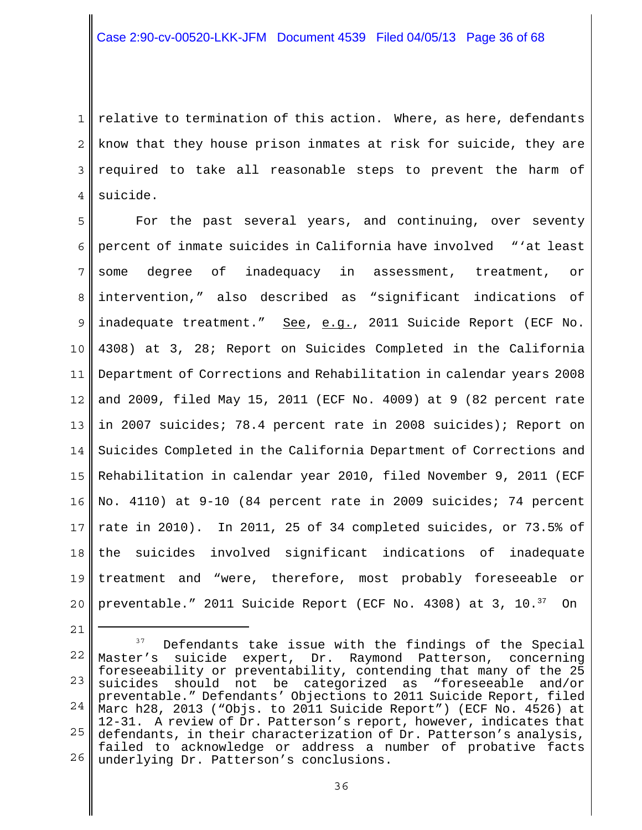1 2 3 4 relative to termination of this action. Where, as here, defendants know that they house prison inmates at risk for suicide, they are required to take all reasonable steps to prevent the harm of suicide.

5 6 7 8 9 10 11 12 13 14 15 16 17 18 19 20 For the past several years, and continuing, over seventy percent of inmate suicides in California have involved "'at least some degree of inadequacy in assessment, treatment, or intervention," also described as "significant indications of inadequate treatment." See, e.g., 2011 Suicide Report (ECF No. 4308) at 3, 28; Report on Suicides Completed in the California Department of Corrections and Rehabilitation in calendar years 2008 and 2009, filed May 15, 2011 (ECF No. 4009) at 9 (82 percent rate in 2007 suicides; 78.4 percent rate in 2008 suicides); Report on Suicides Completed in the California Department of Corrections and Rehabilitation in calendar year 2010, filed November 9, 2011 (ECF No. 4110) at 9-10 (84 percent rate in 2009 suicides; 74 percent rate in 2010). In 2011, 25 of 34 completed suicides, or 73.5% of the suicides involved significant indications of inadequate treatment and "were, therefore, most probably foreseeable or preventable." 2011 Suicide Report (ECF No. 4308) at 3, 10.<sup>37</sup> On

<sup>22</sup> 23 24 25 26 <sup>37</sup> Defendants take issue with the findings of the Special Master's suicide expert, Dr. Raymond Patterson, concerning foreseeability or preventability, contending that many of the 25 suicides should not be categorized as "foreseeable and/or preventable." Defendants' Objections to 2011 Suicide Report, filed Marc h28, 2013 ("Objs. to 2011 Suicide Report") (ECF No. 4526) at 12-31. A review of Dr. Patterson's report, however, indicates that defendants, in their characterization of Dr. Patterson's analysis, failed to acknowledge or address a number of probative facts underlying Dr. Patterson's conclusions.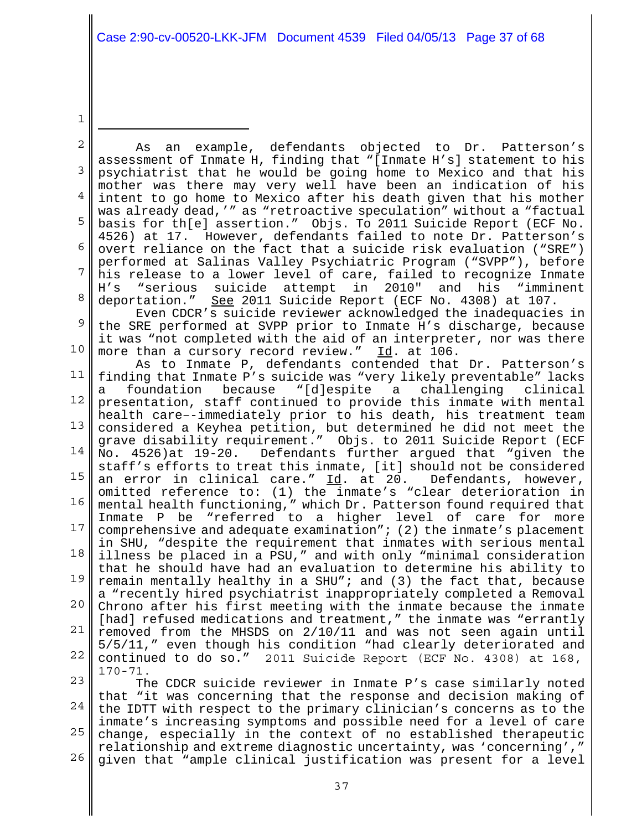1

2 3 4 5 6 7 8 9 10 11 12 13 14 15 16 17 18 19 20 21 22 23 24 As an example, defendants objected to Dr. Patterson's assessment of Inmate H, finding that "[Inmate H's] statement to his psychiatrist that he would be going home to Mexico and that his mother was there may very well have been an indication of his intent to go home to Mexico after his death given that his mother was already dead,'" as "retroactive speculation" without a "factual basis for th[e] assertion." Objs. To 2011 Suicide Report (ECF No. 4526) at 17. However, defendants failed to note Dr. Patterson's overt reliance on the fact that a suicide risk evaluation ("SRE") performed at Salinas Valley Psychiatric Program ("SVPP"), before his release to a lower level of care, failed to recognize Inmate<br>H's "serious suicide attempt in 2010" and his "imminent H's "serious suicide attempt in 2010" and his "imminent deportation." See 2011 Suicide Report (ECF No. 4308) at 107. Even CDCR's suicide reviewer acknowledged the inadequacies in the SRE performed at SVPP prior to Inmate H's discharge, because it was "not completed with the aid of an interpreter, nor was there more than a cursory record review." Id. at 106. As to Inmate P, defendants contended that Dr. Patterson's finding that Inmate P's suicide was "very likely preventable" lacks foundation because "[d]espite a challenging clinical presentation, staff continued to provide this inmate with mental health care–-immediately prior to his death, his treatment team considered a Keyhea petition, but determined he did not meet the grave disability requirement." Objs. to 2011 Suicide Report (ECF No. 4526)at 19-20. Defendants further argued that "given the staff's efforts to treat this inmate, [it] should not be considered an error in clinical care." Id. at 20. Defendants, however, omitted reference to: (1) the inmate's "clear deterioration in mental health functioning," which Dr. Patterson found required that Inmate P be "referred to a higher level of care for more comprehensive and adequate examination"; (2) the inmate's placement in SHU, "despite the requirement that inmates with serious mental illness be placed in a PSU," and with only "minimal consideration that he should have had an evaluation to determine his ability to remain mentally healthy in a SHU"; and (3) the fact that, because a "recently hired psychiatrist inappropriately completed a Removal Chrono after his first meeting with the inmate because the inmate [had] refused medications and treatment," the inmate was "errantly removed from the MHSDS on 2/10/11 and was not seen again until 5/5/11," even though his condition "had clearly deteriorated and continued to do so." 2011 Suicide Report (ECF No. 4308) at 168, 170-71. The CDCR suicide reviewer in Inmate P's case similarly noted that "it was concerning that the response and decision making of the IDTT with respect to the primary clinician's concerns as to the

25 26 inmate's increasing symptoms and possible need for a level of care change, especially in the context of no established therapeutic relationship and extreme diagnostic uncertainty, was 'concerning'," given that "ample clinical justification was present for a level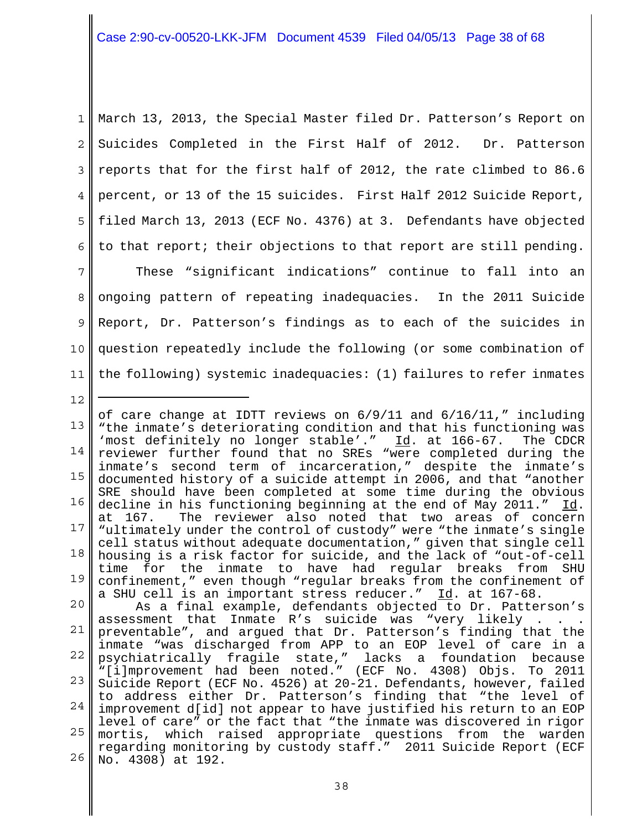1 2 3 4 5 6 March 13, 2013, the Special Master filed Dr. Patterson's Report on Suicides Completed in the First Half of 2012. Dr. Patterson reports that for the first half of 2012, the rate climbed to 86.6 percent, or 13 of the 15 suicides. First Half 2012 Suicide Report, filed March 13, 2013 (ECF No. 4376) at 3. Defendants have objected to that report; their objections to that report are still pending.

7 8 9 10 11 These "significant indications" continue to fall into an ongoing pattern of repeating inadequacies. In the 2011 Suicide Report, Dr. Patterson's findings as to each of the suicides in question repeatedly include the following (or some combination of the following) systemic inadequacies: (1) failures to refer inmates

12

13 14 15 16 17 18 19 20 21 22 23 24  $25 \parallel$ 26 of care change at IDTT reviews on 6/9/11 and 6/16/11," including "the inmate's deteriorating condition and that his functioning was 'most definitely no longer stable'." Id. at 166-67. The CDCR reviewer further found that no SREs "were completed during the inmate's second term of incarceration," despite the inmate's documented history of a suicide attempt in 2006, and that "another SRE should have been completed at some time during the obvious decline in his functioning beginning at the end of May 2011." Id. at 167. The reviewer also noted that two areas of concern "ultimately under the control of custody" were "the inmate's single cell status without adequate documentation," given that single cell housing is a risk factor for suicide, and the lack of "out-of-cell time for the inmate to have had regular breaks from SHU confinement," even though "regular breaks from the confinement of a SHU cell is an important stress reducer." Id. at 167-68. As a final example, defendants objected to Dr. Patterson's assessment that Inmate R's suicide was "very likely . . . preventable", and argued that Dr. Patterson's finding that the inmate "was discharged from APP to an EOP level of care in a psychiatrically fragile state," lacks a foundation because "[i]mprovement had been noted." (ECF No. 4308) Objs. To 2011 Suicide Report (ECF No. 4526) at 20-21. Defendants, however, failed to address either Dr. Patterson's finding that "the level of improvement d[id] not appear to have justified his return to an EOP level of care" or the fact that "the inmate was discovered in rigor mortis, which raised appropriate questions from the warden regarding monitoring by custody staff." 2011 Suicide Report (ECF No. 4308) at 192.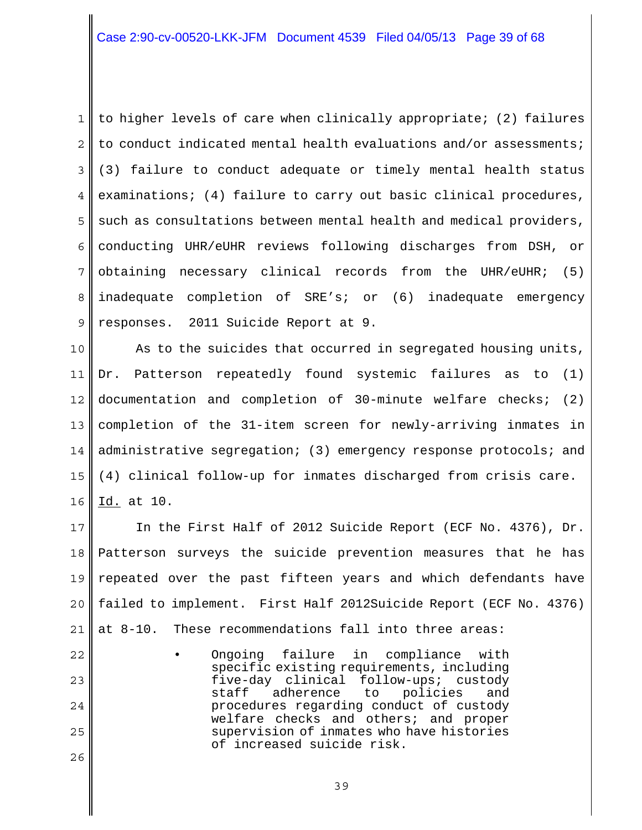1 2 3 4 5 6 7 8 9 to higher levels of care when clinically appropriate; (2) failures to conduct indicated mental health evaluations and/or assessments; (3) failure to conduct adequate or timely mental health status examinations; (4) failure to carry out basic clinical procedures, such as consultations between mental health and medical providers, conducting UHR/eUHR reviews following discharges from DSH, or obtaining necessary clinical records from the UHR/eUHR; (5) inadequate completion of SRE's; or (6) inadequate emergency responses. 2011 Suicide Report at 9.

10 11 12 13 14 15 16 As to the suicides that occurred in segregated housing units, Dr. Patterson repeatedly found systemic failures as to (1) documentation and completion of 30-minute welfare checks; (2) completion of the 31-item screen for newly-arriving inmates in administrative segregation; (3) emergency response protocols; and (4) clinical follow-up for inmates discharged from crisis care. Id. at 10.

17 18 19 20 21 In the First Half of 2012 Suicide Report (ECF No. 4376), Dr. Patterson surveys the suicide prevention measures that he has repeated over the past fifteen years and which defendants have failed to implement. First Half 2012Suicide Report (ECF No. 4376) at 8-10. These recommendations fall into three areas:

Ongoing failure in compliance with specific existing requirements, including five-day clinical follow-ups; custody staff adherence to policies and procedures regarding conduct of custody welfare checks and others; and proper supervision of inmates who have histories of increased suicide risk.

22

23

24

25

26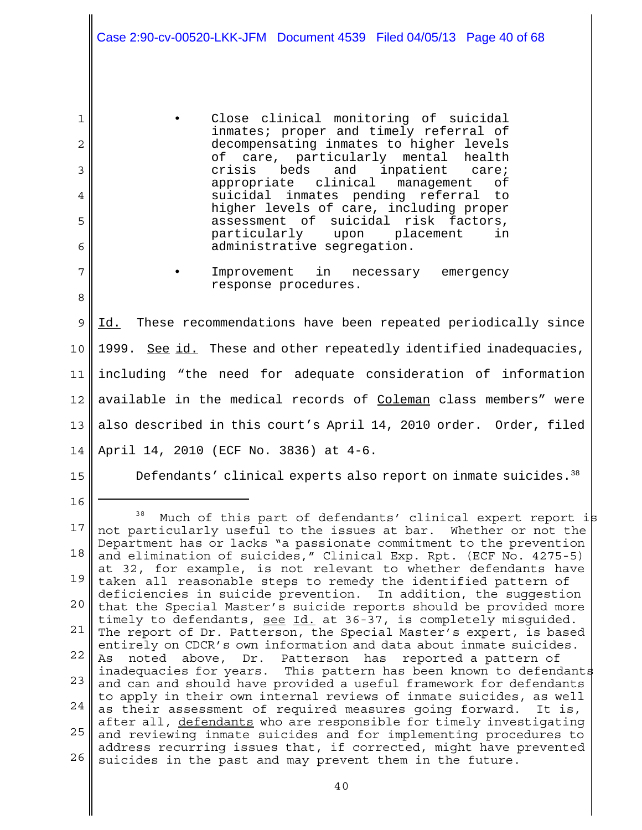|                                 | Case 2:90-cv-00520-LKK-JFM Document 4539 Filed 04/05/13 Page 40 of 68                                                                                                                                                                                                                                                                                                                                                                                                                          |
|---------------------------------|------------------------------------------------------------------------------------------------------------------------------------------------------------------------------------------------------------------------------------------------------------------------------------------------------------------------------------------------------------------------------------------------------------------------------------------------------------------------------------------------|
| 1<br>2<br>3<br>4<br>5<br>6<br>7 | Close clinical monitoring of suicidal<br>inmates; proper and timely referral of<br>decompensating inmates to higher levels<br>of care, particularly mental<br>health<br>beds<br>and inpatient care;<br>crisis<br>appropriate clinical management<br>оf<br>suicidal inmates pending referral<br>to<br>higher levels of care, including proper<br>assessment of suicidal risk factors,<br>particularly upon placement<br>in<br>administrative segregation.<br>Improvement in necessary emergency |
| 8                               | response procedures.                                                                                                                                                                                                                                                                                                                                                                                                                                                                           |
| 9                               | Id. These recommendations have been repeated periodically since                                                                                                                                                                                                                                                                                                                                                                                                                                |
| 10                              | 1999. See id. These and other repeatedly identified inadequacies,                                                                                                                                                                                                                                                                                                                                                                                                                              |
| 11                              | including "the need for adequate consideration of information                                                                                                                                                                                                                                                                                                                                                                                                                                  |
| 12                              | available in the medical records of Coleman class members" were                                                                                                                                                                                                                                                                                                                                                                                                                                |
| 13                              | also described in this court's April 14, 2010 order. Order, filed                                                                                                                                                                                                                                                                                                                                                                                                                              |
| 14                              | April 14, 2010 (ECF No. 3836) at 4-6.                                                                                                                                                                                                                                                                                                                                                                                                                                                          |
| 15 <sup>1</sup>                 | Defendants' clinical experts also report on inmate suicides. <sup>38</sup>                                                                                                                                                                                                                                                                                                                                                                                                                     |
| 16                              | 38<br>Much of this part of defendants' clinical expert report is                                                                                                                                                                                                                                                                                                                                                                                                                               |
| 17                              | not particularly useful to the issues at bar. Whether or not the<br>Department has or lacks "a passionate commitment to the prevention                                                                                                                                                                                                                                                                                                                                                         |
| 18                              | and elimination of suicides," Clinical Exp. Rpt. (ECF No. 4275-5)<br>at 32, for example, is not relevant to whether defendants have                                                                                                                                                                                                                                                                                                                                                            |
| 19                              | taken all reasonable steps to remedy the identified pattern of<br>deficiencies in suicide prevention. In addition, the suggestion                                                                                                                                                                                                                                                                                                                                                              |
| 20                              | that the Special Master's suicide reports should be provided more<br>timely to defendants, see Id. at 36-37, is completely misquided.                                                                                                                                                                                                                                                                                                                                                          |
| 21                              | The report of Dr. Patterson, the Special Master's expert, is based<br>entirely on CDCR's own information and data about inmate suicides.                                                                                                                                                                                                                                                                                                                                                       |
| 22<br>23                        | noted above, Dr. Patterson<br>reported a pattern of<br>As<br>has<br>inadequacies for years. This pattern has been known to defendants                                                                                                                                                                                                                                                                                                                                                          |
| 24                              | and can and should have provided a useful framework for defendants<br>to apply in their own internal reviews of inmate suicides, as well                                                                                                                                                                                                                                                                                                                                                       |
| 25                              | as their assessment of required measures going forward.<br>It is,<br>after all, defendants who are responsible for timely investigating                                                                                                                                                                                                                                                                                                                                                        |
| 26                              | and reviewing inmate suicides and for implementing procedures to<br>address recurring issues that, if corrected, might have prevented<br>suicides in the past and may prevent them in the future.                                                                                                                                                                                                                                                                                              |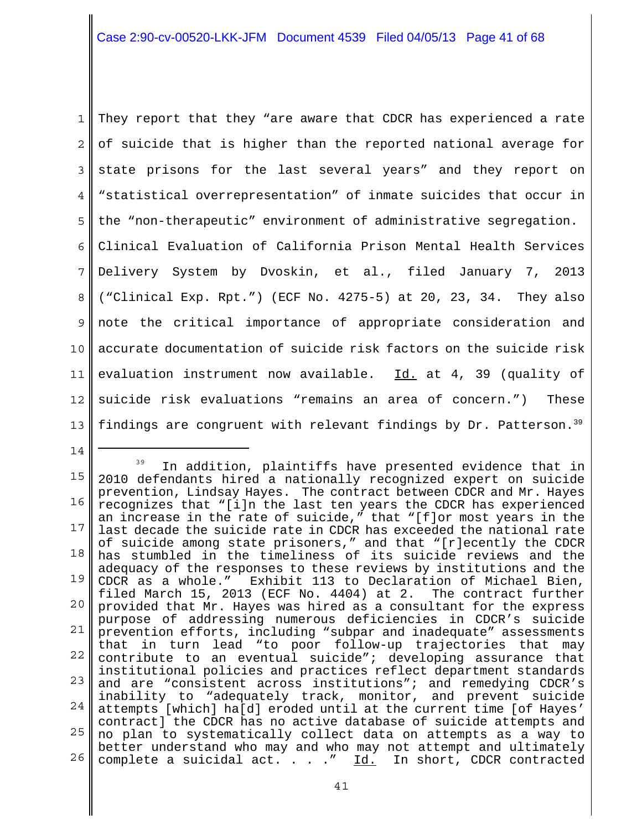1 2 3 4 5 6 7 8 9 10 11 12 13 They report that they "are aware that CDCR has experienced a rate of suicide that is higher than the reported national average for state prisons for the last several years" and they report on "statistical overrepresentation" of inmate suicides that occur in the "non-therapeutic" environment of administrative segregation. Clinical Evaluation of California Prison Mental Health Services Delivery System by Dvoskin, et al., filed January 7, 2013 ("Clinical Exp. Rpt.") (ECF No. 4275-5) at 20, 23, 34. They also note the critical importance of appropriate consideration and accurate documentation of suicide risk factors on the suicide risk evaluation instrument now available. Id. at 4, 39 (quality of suicide risk evaluations "remains an area of concern.") These findings are congruent with relevant findings by Dr. Patterson.<sup>39</sup>

<sup>15</sup> 16 17 18 19 20 21 22 23 24 25 no plan to systematically collect data on attempts as a way to 26 <sup>39</sup> In addition, plaintiffs have presented evidence that in 2010 defendants hired a nationally recognized expert on suicide prevention, Lindsay Hayes. The contract between CDCR and Mr. Hayes recognizes that "[i]n the last ten years the CDCR has experienced an increase in the rate of suicide," that "[f]or most years in the last decade the suicide rate in CDCR has exceeded the national rate of suicide among state prisoners," and that "[r]ecently the CDCR has stumbled in the timeliness of its suicide reviews and the adequacy of the responses to these reviews by institutions and the CDCR as a whole." Exhibit 113 to Declaration of Michael Bien, filed March 15, 2013 (ECF No. 4404) at 2. The contract further provided that Mr. Hayes was hired as a consultant for the express purpose of addressing numerous deficiencies in CDCR's suicide prevention efforts, including "subpar and inadequate" assessments that in turn lead "to poor follow-up trajectories that may contribute to an eventual suicide"; developing assurance that institutional policies and practices reflect department standards and are "consistent across institutions"; and remedying CDCR's inability to "adequately track, monitor, and prevent suicide attempts [which] ha[d] eroded until at the current time [of Hayes' contract] the CDCR has no active database of suicide attempts and better understand who may and who may not attempt and ultimately complete a suicidal act.  $\ldots$   $\ldots$  Id. In short, CDCR contracted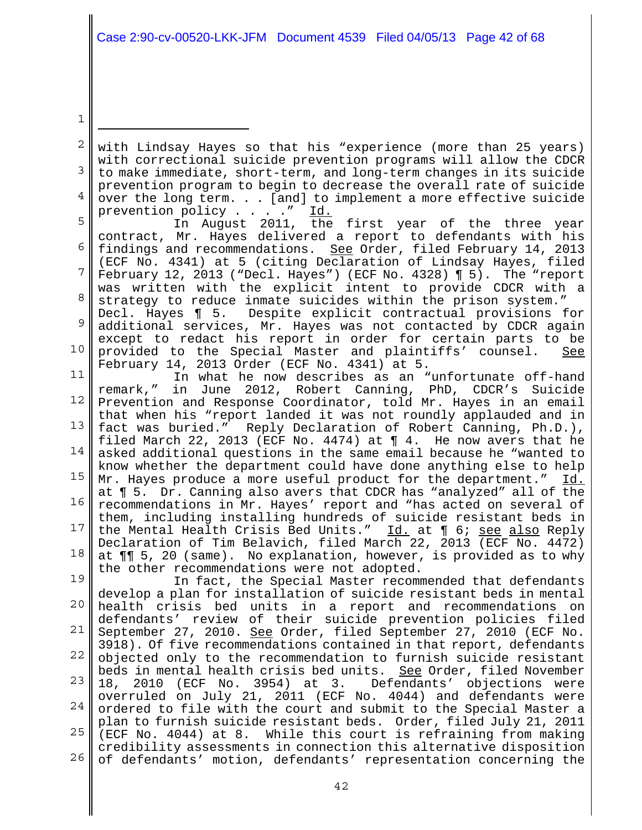1

2 3 4 with Lindsay Hayes so that his "experience (more than 25 years) with correctional suicide prevention programs will allow the CDCR to make immediate, short-term, and long-term changes in its suicide prevention program to begin to decrease the overall rate of suicide over the long term. . . [and] to implement a more effective suicide prevention policy . . . . " Id.

5 6 7 8 In August 2011, the first year of the three year contract, Mr. Hayes delivered a report to defendants with his findings and recommendations. See Order, filed February 14, 2013 (ECF No. 4341) at 5 (citing Declaration of Lindsay Hayes, filed February 12, 2013 ("Decl. Hayes") (ECF No. 4328) ¶ 5). The "report was written with the explicit intent to provide CDCR with a strategy to reduce inmate suicides within the prison system." Decl. Hayes ¶ 5. Despite explicit contractual provisions for

9 10 additional services, Mr. Hayes was not contacted by CDCR again except to redact his report in order for certain parts to be provided to the Special Master and plaintiffs' counsel. See February 14, 2013 Order (ECF No. 4341) at 5.

11 12 13 14 15 16 17 18 In what he now describes as an "unfortunate off-hand remark," in June 2012, Robert Canning, PhD, CDCR's Suicide Prevention and Response Coordinator, told Mr. Hayes in an email that when his "report landed it was not roundly applauded and in fact was buried." Reply Declaration of Robert Canning, Ph.D.), filed March 22, 2013 (ECF No. 4474) at ¶ 4. He now avers that he asked additional questions in the same email because he "wanted to know whether the department could have done anything else to help Mr. Hayes produce a more useful product for the department." Id. at ¶ 5. Dr. Canning also avers that CDCR has "analyzed" all of the recommendations in Mr. Hayes' report and "has acted on several of them, including installing hundreds of suicide resistant beds in the Mental Health Crisis Bed Units." Id. at 1 6; see also Reply Declaration of Tim Belavich, filed March 22, 2013 (ECF No. 4472) at ¶¶ 5, 20 (same). No explanation, however, is provided as to why the other recommendations were not adopted.

19 20 21 22 23 24 25 26 In fact, the Special Master recommended that defendants develop a plan for installation of suicide resistant beds in mental health crisis bed units in a report and recommendations on defendants' review of their suicide prevention policies filed September 27, 2010. See Order, filed September 27, 2010 (ECF No. 3918). Of five recommendations contained in that report, defendants objected only to the recommendation to furnish suicide resistant beds in mental health crisis bed units. See Order, filed November 18, 2010 (ECF No. 3954) at 3. Defendants' objections were overruled on July 21, 2011 (ECF No. 4044) and defendants were ordered to file with the court and submit to the Special Master a plan to furnish suicide resistant beds. Order, filed July 21, 2011 (ECF No. 4044) at 8. While this court is refraining from making credibility assessments in connection this alternative disposition of defendants' motion, defendants' representation concerning the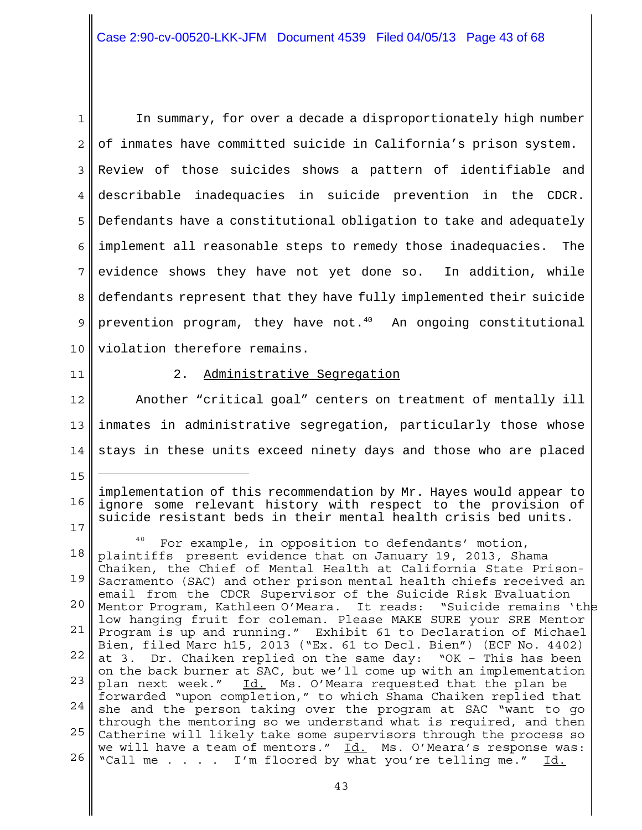1 2 3 4 5 6 7 8 9 10 In summary, for over a decade a disproportionately high number of inmates have committed suicide in California's prison system. Review of those suicides shows a pattern of identifiable and describable inadequacies in suicide prevention in the CDCR. Defendants have a constitutional obligation to take and adequately implement all reasonable steps to remedy those inadequacies. The evidence shows they have not yet done so. In addition, while defendants represent that they have fully implemented their suicide prevention program, they have not. $40$  An ongoing constitutional violation therefore remains.

11

15

## 2. Administrative Segregation

12 13 14 Another "critical goal" centers on treatment of mentally ill inmates in administrative segregation, particularly those whose stays in these units exceed ninety days and those who are placed

16 17 implementation of this recommendation by Mr. Hayes would appear to ignore some relevant history with respect to the provision of suicide resistant beds in their mental health crisis bed units.

18 19 20 21 22 23 24 25 26 For example, in opposition to defendants' motion, plaintiffs present evidence that on January 19, 2013, Shama Chaiken, the Chief of Mental Health at California State Prison-Sacramento (SAC) and other prison mental health chiefs received an email from the CDCR Supervisor of the Suicide Risk Evaluation Mentor Program, Kathleen O'Meara. It reads: "Suicide remains 'the low hanging fruit for coleman. Please MAKE SURE your SRE Mentor Program is up and running." Exhibit 61 to Declaration of Michael Bien, filed Marc h15, 2013 ("Ex. 61 to Decl. Bien") (ECF No. 4402) at 3. Dr. Chaiken replied on the same day: "OK – This has been on the back burner at SAC, but we'll come up with an implementation plan next week." Id. Ms. O'Meara requested that the plan be forwarded "upon completion," to which Shama Chaiken replied that she and the person taking over the program at SAC "want to go through the mentoring so we understand what is required, and then Catherine will likely take some supervisors through the process so we will have a team of mentors." Id. Ms. O'Meara's response was: "Call me . . . . I'm floored by what you're telling me." Id.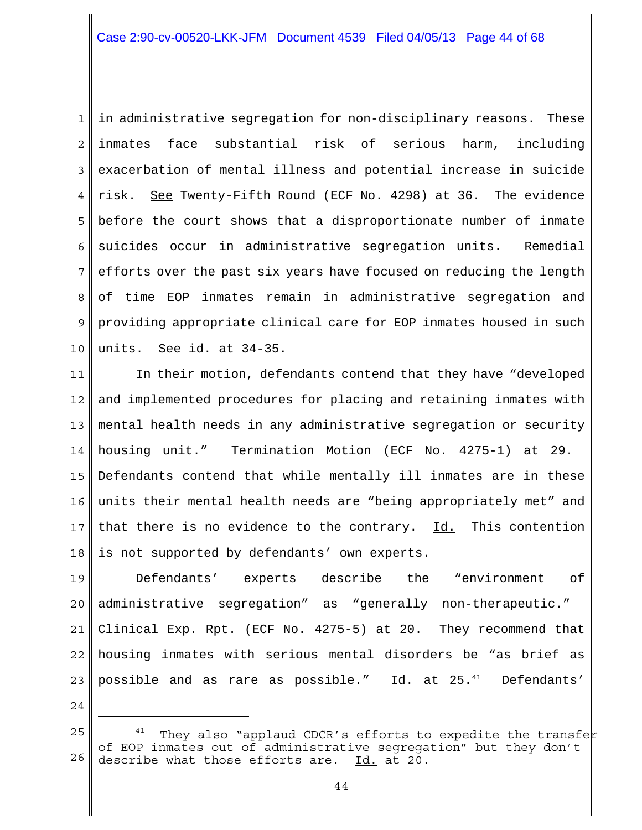1 2 3 4 5 6 7 8 9 10 in administrative segregation for non-disciplinary reasons. These inmates face substantial risk of serious harm, including exacerbation of mental illness and potential increase in suicide risk. See Twenty-Fifth Round (ECF No. 4298) at 36. The evidence before the court shows that a disproportionate number of inmate suicides occur in administrative segregation units. Remedial efforts over the past six years have focused on reducing the length of time EOP inmates remain in administrative segregation and providing appropriate clinical care for EOP inmates housed in such units. See id. at 34-35.

11 12 13 14 15 16 17 18 In their motion, defendants contend that they have "developed and implemented procedures for placing and retaining inmates with mental health needs in any administrative segregation or security housing unit." Termination Motion (ECF No. 4275-1) at 29. Defendants contend that while mentally ill inmates are in these units their mental health needs are "being appropriately met" and that there is no evidence to the contrary. Id. This contention is not supported by defendants' own experts.

19 20 21 22 23 Defendants' experts describe the "environment of administrative segregation" as "generally non-therapeutic." Clinical Exp. Rpt. (ECF No. 4275-5) at 20. They recommend that housing inmates with serious mental disorders be "as brief as possible and as rare as possible." Id. at  $25.^{41}$  Defendants'

<sup>25</sup> 26 They also "applaud CDCR's efforts to expedite the transfer of EOP inmates out of administrative segregation" but they don't describe what those efforts are. Id. at 20.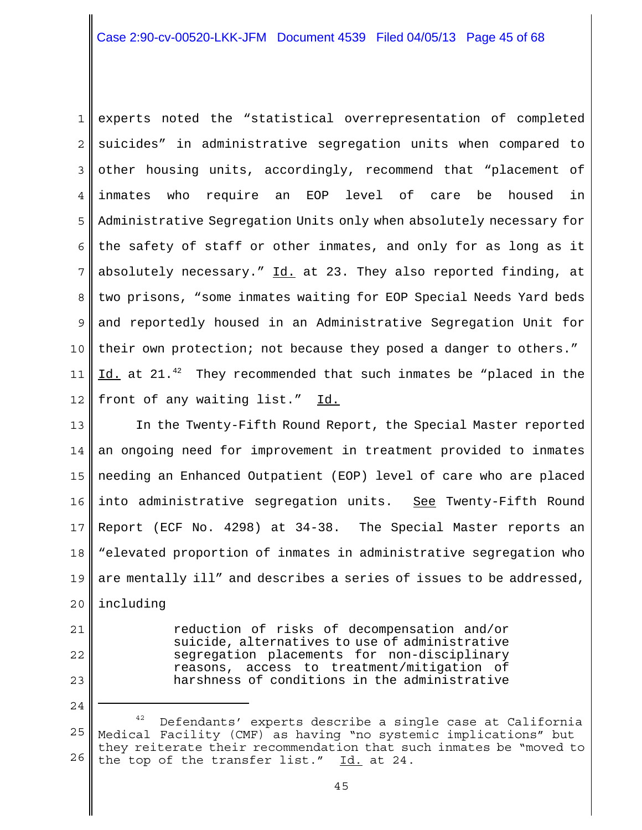1 2 3 4 5 6 7 8 9 10 11 12 experts noted the "statistical overrepresentation of completed suicides" in administrative segregation units when compared to other housing units, accordingly, recommend that "placement of inmates who require an EOP level of care be housed in Administrative Segregation Units only when absolutely necessary for the safety of staff or other inmates, and only for as long as it absolutely necessary."  $Id.$  at 23. They also reported finding, at two prisons, "some inmates waiting for EOP Special Needs Yard beds and reportedly housed in an Administrative Segregation Unit for their own protection; not because they posed a danger to others." Id. at 21.<sup>42</sup> They recommended that such inmates be "placed in the front of any waiting list." Id.

13 14 15 16 17 18 19 20 In the Twenty-Fifth Round Report, the Special Master reported an ongoing need for improvement in treatment provided to inmates needing an Enhanced Outpatient (EOP) level of care who are placed into administrative segregation units. See Twenty-Fifth Round Report (ECF No. 4298) at 34-38. The Special Master reports an "elevated proportion of inmates in administrative segregation who are mentally ill" and describes a series of issues to be addressed, including

- 21
- 22

23

24

reduction of risks of decompensation and/or suicide, alternatives to use of administrative segregation placements for non-disciplinary reasons, access to treatment/mitigation of harshness of conditions in the administrative

<sup>25</sup> 26 Defendants' experts describe a single case at California Medical Facility (CMF) as having "no systemic implications" but they reiterate their recommendation that such inmates be "moved to the top of the transfer list." Id. at 24.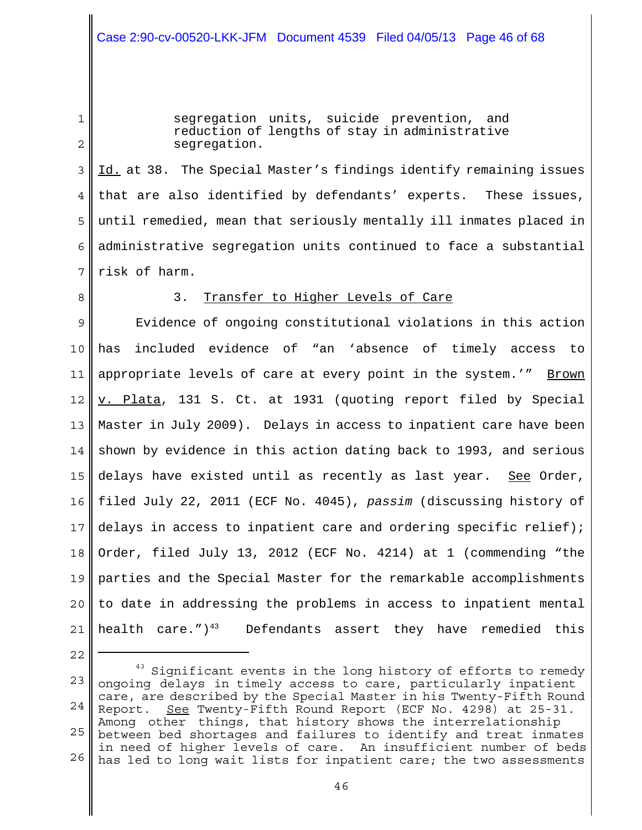1

2

segregation units, suicide prevention, and reduction of lengths of stay in administrative segregation.

3 4 5 6 7 Id. at 38. The Special Master's findings identify remaining issues that are also identified by defendants' experts. These issues, until remedied, mean that seriously mentally ill inmates placed in administrative segregation units continued to face a substantial risk of harm.

8

## 3. Transfer to Higher Levels of Care

9 10 11 12 13 14 15 16 17 18 19 20 21 Evidence of ongoing constitutional violations in this action has included evidence of "an 'absence of timely access to appropriate levels of care at every point in the system.'" Brown v. Plata, 131 S. Ct. at 1931 (quoting report filed by Special Master in July 2009). Delays in access to inpatient care have been shown by evidence in this action dating back to 1993, and serious delays have existed until as recently as last year. See Order, filed July 22, 2011 (ECF No. 4045), *passim* (discussing history of delays in access to inpatient care and ordering specific relief); Order, filed July 13, 2012 (ECF No. 4214) at 1 (commending "the parties and the Special Master for the remarkable accomplishments to date in addressing the problems in access to inpatient mental health care.") $^{43}$  Defendants assert they have remedied this

<sup>22</sup>

<sup>23</sup> 24 25 26  $43$  Significant events in the long history of efforts to remedy ongoing delays in timely access to care, particularly inpatient care, are described by the Special Master in his Twenty-Fifth Round Report. See Twenty-Fifth Round Report (ECF No. 4298) at 25-31. Among other things, that history shows the interrelationship between bed shortages and failures to identify and treat inmates in need of higher levels of care. An insufficient number of beds has led to long wait lists for inpatient care; the two assessments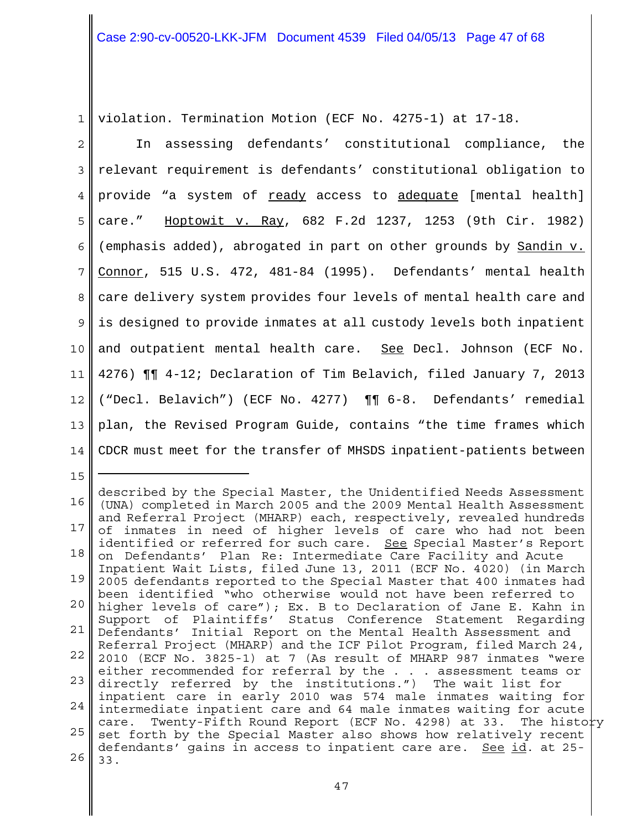1 violation. Termination Motion (ECF No. 4275-1) at 17-18.

2 3 4 5 6 7 8 9 10 11 12 13 14 In assessing defendants' constitutional compliance, the relevant requirement is defendants' constitutional obligation to provide "a system of ready access to adequate [mental health] care." Hoptowit v. Ray, 682 F.2d 1237, 1253 (9th Cir. 1982) (emphasis added), abrogated in part on other grounds by Sandin v. Connor, 515 U.S. 472, 481-84 (1995). Defendants' mental health care delivery system provides four levels of mental health care and is designed to provide inmates at all custody levels both inpatient and outpatient mental health care. See Decl. Johnson (ECF No. 4276) ¶¶ 4-12; Declaration of Tim Belavich, filed January 7, 2013 ("Decl. Belavich") (ECF No. 4277) ¶¶ 6-8. Defendants' remedial plan, the Revised Program Guide, contains "the time frames which CDCR must meet for the transfer of MHSDS inpatient-patients between

16 17 18 19 20 21 22 23 24 25 26 described by the Special Master, the Unidentified Needs Assessment (UNA) completed in March 2005 and the 2009 Mental Health Assessment and Referral Project (MHARP) each, respectively, revealed hundreds of inmates in need of higher levels of care who had not been identified or referred for such care. See Special Master's Report on Defendants' Plan Re: Intermediate Care Facility and Acute Inpatient Wait Lists, filed June 13, 2011 (ECF No. 4020) (in March 2005 defendants reported to the Special Master that 400 inmates had been identified "who otherwise would not have been referred to higher levels of care"); Ex. B to Declaration of Jane E. Kahn in Support of Plaintiffs' Status Conference Statement Regarding Defendants' Initial Report on the Mental Health Assessment and Referral Project (MHARP) and the ICF Pilot Program, filed March 24, 2010 (ECF No. 3825-1) at 7 (As result of MHARP 987 inmates "were either recommended for referral by the . . . assessment teams or directly referred by the institutions.") The wait list for inpatient care in early 2010 was 574 male inmates waiting for intermediate inpatient care and 64 male inmates waiting for acute care. Twenty-Fifth Round Report (ECF No. 4298) at 33. The history set forth by the Special Master also shows how relatively recent defendants' gains in access to inpatient care are. <u>See id</u>. at 25-33.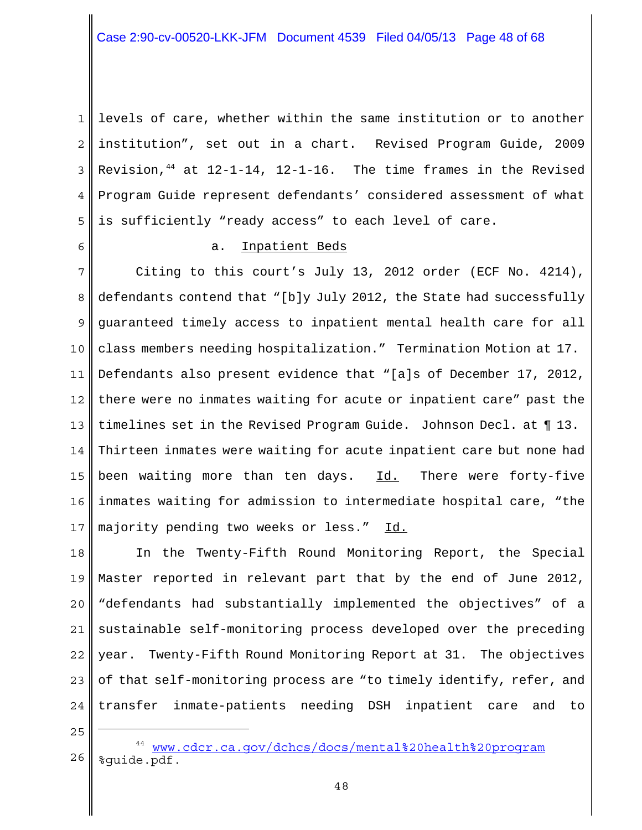1 2 3 4 5 levels of care, whether within the same institution or to another institution", set out in a chart. Revised Program Guide, 2009 Revision,  $44$  at  $12-1-14$ ,  $12-1-16$ . The time frames in the Revised Program Guide represent defendants' considered assessment of what is sufficiently "ready access" to each level of care.

6

## a. Inpatient Beds

7 8 9 10 11 12 13 14 15 16 17 Citing to this court's July 13, 2012 order (ECF No. 4214), defendants contend that "[b]y July 2012, the State had successfully guaranteed timely access to inpatient mental health care for all class members needing hospitalization." Termination Motion at 17. Defendants also present evidence that "[a]s of December 17, 2012, there were no inmates waiting for acute or inpatient care" past the timelines set in the Revised Program Guide. Johnson Decl. at ¶ 13. Thirteen inmates were waiting for acute inpatient care but none had been waiting more than ten days. Id. There were forty-five inmates waiting for admission to intermediate hospital care, "the majority pending two weeks or less." Id.

18 19 20 21 22 23 24 In the Twenty-Fifth Round Monitoring Report, the Special Master reported in relevant part that by the end of June 2012, "defendants had substantially implemented the objectives" of a sustainable self-monitoring process developed over the preceding year. Twenty-Fifth Round Monitoring Report at 31. The objectives of that self-monitoring process are "to timely identify, refer, and transfer inmate-patients needing DSH inpatient care and to

<sup>26</sup> <sup>44</sup> www.cdcr.ca.qov/dchcs/docs/mental%20health%20program %guide.pdf.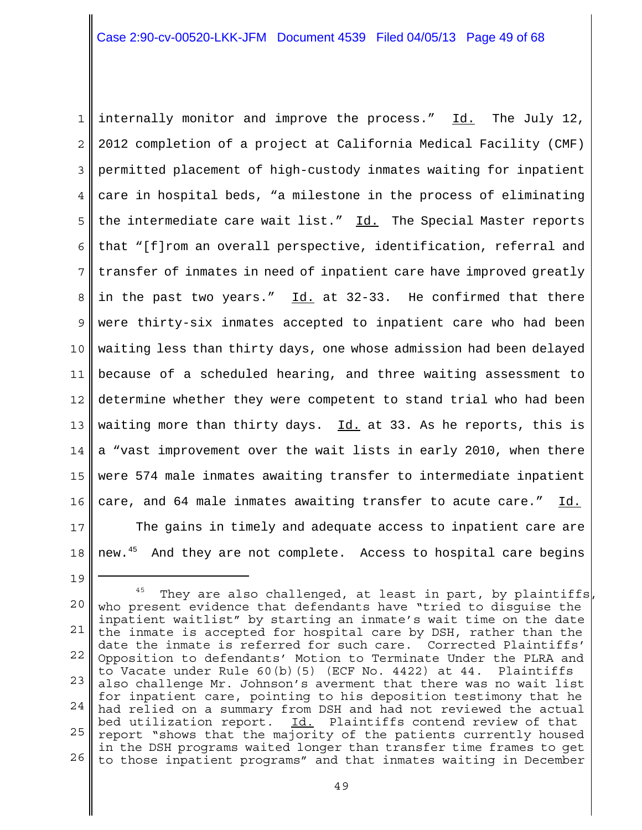1 2 3 4 5 6 7 8 9 10 11 12 13 14 15 16 17 18 internally monitor and improve the process." Id. The July 12, 2012 completion of a project at California Medical Facility (CMF) permitted placement of high-custody inmates waiting for inpatient care in hospital beds, "a milestone in the process of eliminating the intermediate care wait list." Id. The Special Master reports that "[f]rom an overall perspective, identification, referral and transfer of inmates in need of inpatient care have improved greatly in the past two years."  $Id.$  at 32-33. He confirmed that there were thirty-six inmates accepted to inpatient care who had been waiting less than thirty days, one whose admission had been delayed because of a scheduled hearing, and three waiting assessment to determine whether they were competent to stand trial who had been waiting more than thirty days.  $Id.$  at 33. As he reports, this is a "vast improvement over the wait lists in early 2010, when there were 574 male inmates awaiting transfer to intermediate inpatient care, and 64 male inmates awaiting transfer to acute care." Id. The gains in timely and adequate access to inpatient care are new.<sup>45</sup> And they are not complete. Access to hospital care begins

<sup>20</sup> 21 22 23 24 25 26  $45$  They are also challenged, at least in part, by plaintiffs who present evidence that defendants have "tried to disguise the inpatient waitlist" by starting an inmate's wait time on the date the inmate is accepted for hospital care by DSH, rather than the date the inmate is referred for such care. Corrected Plaintiffs' Opposition to defendants' Motion to Terminate Under the PLRA and to Vacate under Rule 60(b)(5) (ECF No. 4422) at 44. Plaintiffs also challenge Mr. Johnson's averment that there was no wait list for inpatient care, pointing to his deposition testimony that he had relied on a summary from DSH and had not reviewed the actual bed utilization report. Id. Plaintiffs contend review of that report "shows that the majority of the patients currently housed in the DSH programs waited longer than transfer time frames to get to those inpatient programs" and that inmates waiting in December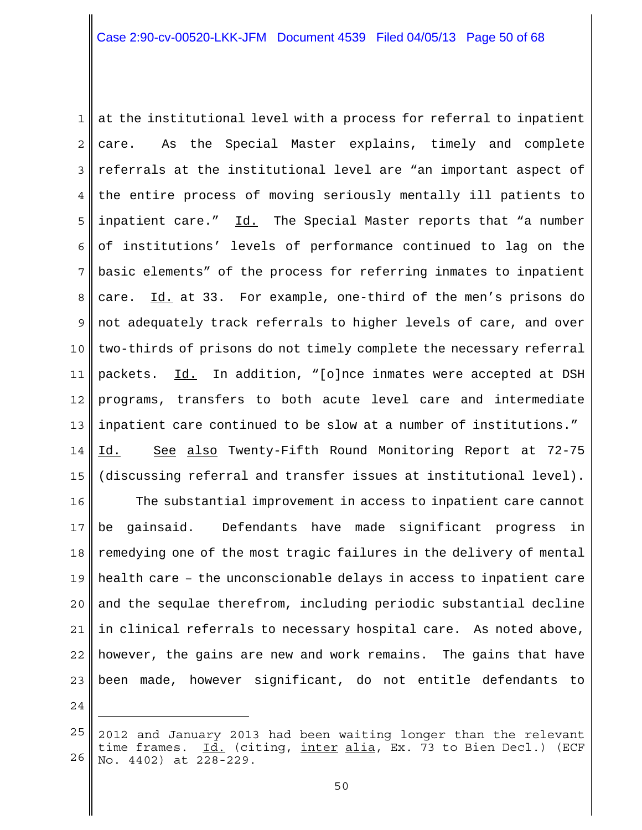1 2 3 4 5 6 7 8 9 10 11 12 13 14 15 at the institutional level with a process for referral to inpatient care. As the Special Master explains, timely and complete referrals at the institutional level are "an important aspect of the entire process of moving seriously mentally ill patients to inpatient care." Id. The Special Master reports that "a number of institutions' levels of performance continued to lag on the basic elements" of the process for referring inmates to inpatient care. Id. at 33. For example, one-third of the men's prisons do not adequately track referrals to higher levels of care, and over two-thirds of prisons do not timely complete the necessary referral packets. Id. In addition, "[o]nce inmates were accepted at DSH programs, transfers to both acute level care and intermediate inpatient care continued to be slow at a number of institutions." Id. See also Twenty-Fifth Round Monitoring Report at 72-75 (discussing referral and transfer issues at institutional level).

16 17 18 19 20 21 22 23 The substantial improvement in access to inpatient care cannot be gainsaid. Defendants have made significant progress in remedying one of the most tragic failures in the delivery of mental health care – the unconscionable delays in access to inpatient care and the sequlae therefrom, including periodic substantial decline in clinical referrals to necessary hospital care. As noted above, however, the gains are new and work remains. The gains that have been made, however significant, do not entitle defendants to

<sup>25</sup> 26 2012 and January 2013 had been waiting longer than the relevant time frames. <u>Id.</u> (citing, <u>inter alia</u>, Ex. 73 to Bien Decl.) (ECF No. 4402) at 228-229.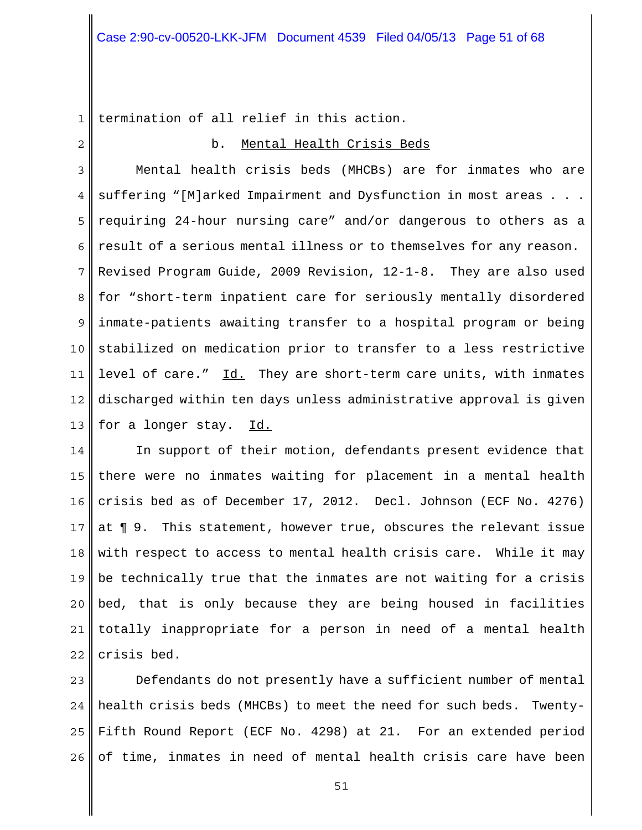1 termination of all relief in this action.

2

## b. Mental Health Crisis Beds

3 4 5 6 7 8 9 10 11 12 13 Mental health crisis beds (MHCBs) are for inmates who are suffering "[M]arked Impairment and Dysfunction in most areas . . . requiring 24-hour nursing care" and/or dangerous to others as a result of a serious mental illness or to themselves for any reason. Revised Program Guide, 2009 Revision, 12-1-8. They are also used for "short-term inpatient care for seriously mentally disordered inmate-patients awaiting transfer to a hospital program or being stabilized on medication prior to transfer to a less restrictive level of care." Id. They are short-term care units, with inmates discharged within ten days unless administrative approval is given for a longer stay. Id.

14 15 16 17 18 19 20 21 22 In support of their motion, defendants present evidence that there were no inmates waiting for placement in a mental health crisis bed as of December 17, 2012. Decl. Johnson (ECF No. 4276) at ¶ 9. This statement, however true, obscures the relevant issue with respect to access to mental health crisis care. While it may be technically true that the inmates are not waiting for a crisis bed, that is only because they are being housed in facilities totally inappropriate for a person in need of a mental health crisis bed.

23 24 25 26 Defendants do not presently have a sufficient number of mental health crisis beds (MHCBs) to meet the need for such beds. Twenty-Fifth Round Report (ECF No. 4298) at 21. For an extended period of time, inmates in need of mental health crisis care have been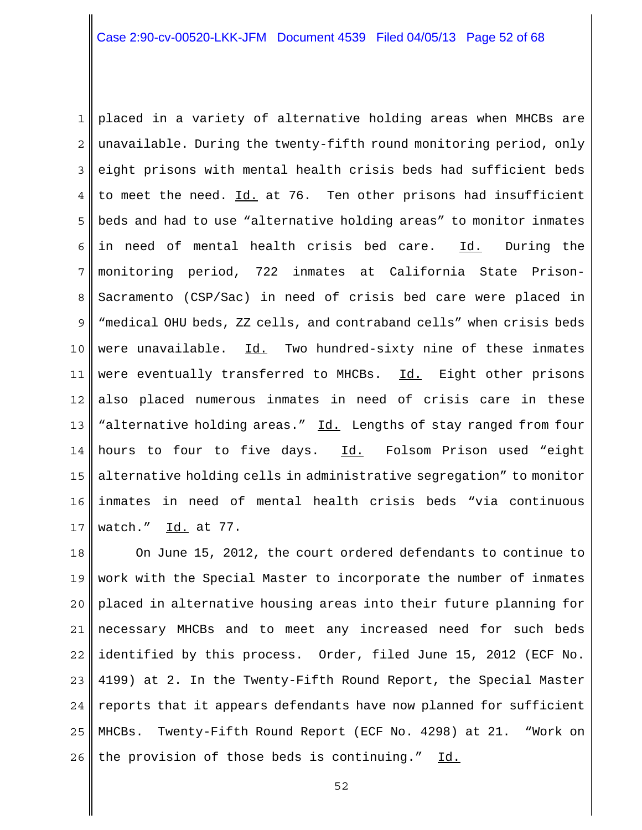1 2 3 4 5 6 7 8 9 10 11 12 13 14 15 16 17 placed in a variety of alternative holding areas when MHCBs are unavailable. During the twenty-fifth round monitoring period, only eight prisons with mental health crisis beds had sufficient beds to meet the need. Id. at 76. Ten other prisons had insufficient beds and had to use "alternative holding areas" to monitor inmates in need of mental health crisis bed care. Id. During the monitoring period, 722 inmates at California State Prison-Sacramento (CSP/Sac) in need of crisis bed care were placed in "medical OHU beds, ZZ cells, and contraband cells" when crisis beds were unavailable. Id. Two hundred-sixty nine of these inmates were eventually transferred to MHCBs. Id. Eight other prisons also placed numerous inmates in need of crisis care in these "alternative holding areas." Id. Lengths of stay ranged from four hours to four to five days. Id. Folsom Prison used "eight alternative holding cells in administrative segregation" to monitor inmates in need of mental health crisis beds "via continuous watch." Id. at 77.

18 19 20 21 22 23 24 25 26 On June 15, 2012, the court ordered defendants to continue to work with the Special Master to incorporate the number of inmates placed in alternative housing areas into their future planning for necessary MHCBs and to meet any increased need for such beds identified by this process. Order, filed June 15, 2012 (ECF No. 4199) at 2. In the Twenty-Fifth Round Report, the Special Master reports that it appears defendants have now planned for sufficient MHCBs. Twenty-Fifth Round Report (ECF No. 4298) at 21. "Work on the provision of those beds is continuing." Id.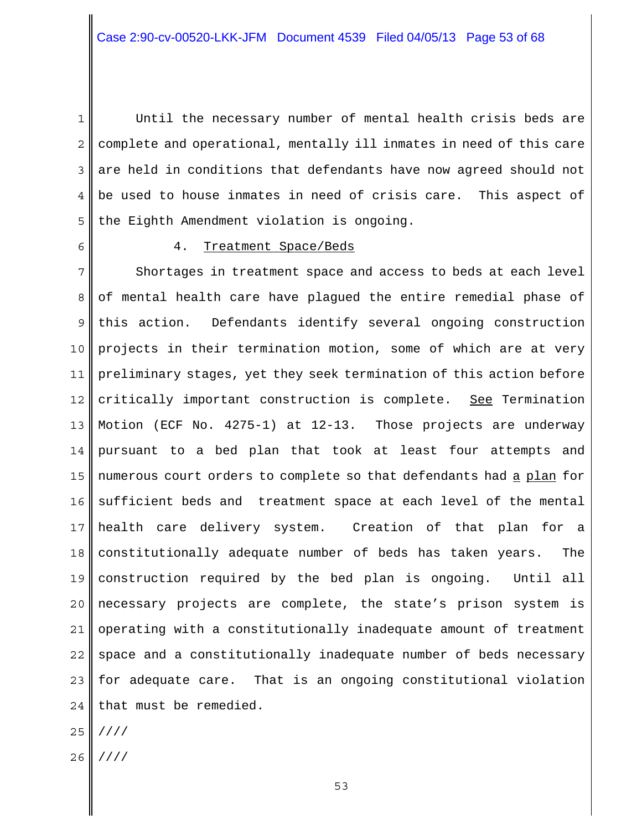1 2 3 4 5 Until the necessary number of mental health crisis beds are complete and operational, mentally ill inmates in need of this care are held in conditions that defendants have now agreed should not be used to house inmates in need of crisis care. This aspect of the Eighth Amendment violation is ongoing.

6

## 4. Treatment Space/Beds

7 8 9 10 11 12 13 14 15 16 17 18 19 20 21 22 23 24 Shortages in treatment space and access to beds at each level of mental health care have plagued the entire remedial phase of this action. Defendants identify several ongoing construction projects in their termination motion, some of which are at very preliminary stages, yet they seek termination of this action before critically important construction is complete. See Termination Motion (ECF No. 4275-1) at 12-13. Those projects are underway pursuant to a bed plan that took at least four attempts and numerous court orders to complete so that defendants had a plan for sufficient beds and treatment space at each level of the mental health care delivery system. Creation of that plan for a constitutionally adequate number of beds has taken years. The construction required by the bed plan is ongoing. Until all necessary projects are complete, the state's prison system is operating with a constitutionally inadequate amount of treatment space and a constitutionally inadequate number of beds necessary for adequate care. That is an ongoing constitutional violation that must be remedied.

- 25 ////
- 26 I ////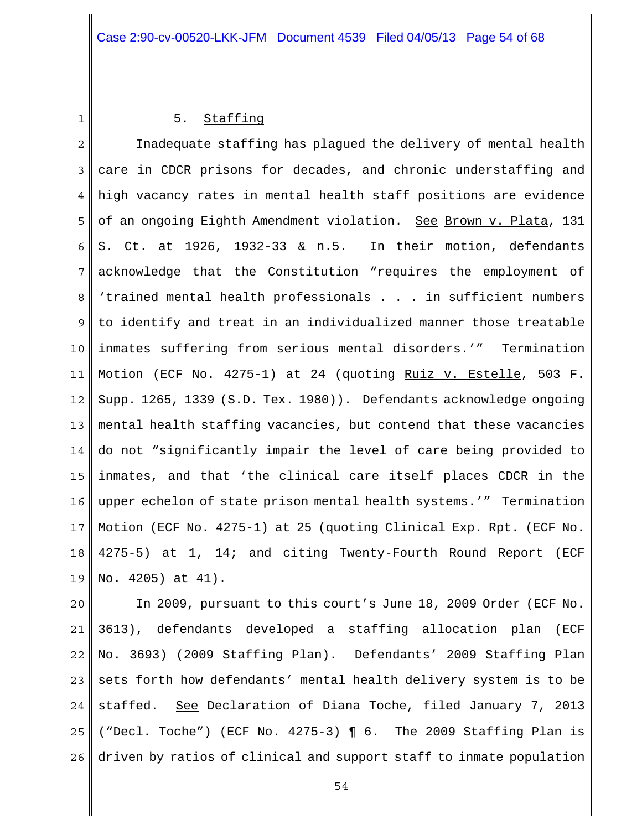1

## 5. Staffing

2 3 4 5 6 7 8 9 10 11 12 13 14 15 16 17 18 19 Inadequate staffing has plagued the delivery of mental health care in CDCR prisons for decades, and chronic understaffing and high vacancy rates in mental health staff positions are evidence of an ongoing Eighth Amendment violation. See Brown v. Plata, 131 S. Ct. at 1926, 1932-33 & n.5. In their motion, defendants acknowledge that the Constitution "requires the employment of 'trained mental health professionals . . . in sufficient numbers to identify and treat in an individualized manner those treatable inmates suffering from serious mental disorders.'" Termination Motion (ECF No. 4275-1) at 24 (quoting Ruiz v. Estelle, 503 F. Supp. 1265, 1339 (S.D. Tex. 1980)). Defendants acknowledge ongoing mental health staffing vacancies, but contend that these vacancies do not "significantly impair the level of care being provided to inmates, and that 'the clinical care itself places CDCR in the upper echelon of state prison mental health systems.'" Termination Motion (ECF No. 4275-1) at 25 (quoting Clinical Exp. Rpt. (ECF No. 4275-5) at 1, 14; and citing Twenty-Fourth Round Report (ECF No. 4205) at 41).

20 21 22 23 24 25 26 In 2009, pursuant to this court's June 18, 2009 Order (ECF No. 3613), defendants developed a staffing allocation plan (ECF No. 3693) (2009 Staffing Plan). Defendants' 2009 Staffing Plan sets forth how defendants' mental health delivery system is to be staffed. See Declaration of Diana Toche, filed January 7, 2013 ("Decl. Toche") (ECF No. 4275-3) ¶ 6. The 2009 Staffing Plan is driven by ratios of clinical and support staff to inmate population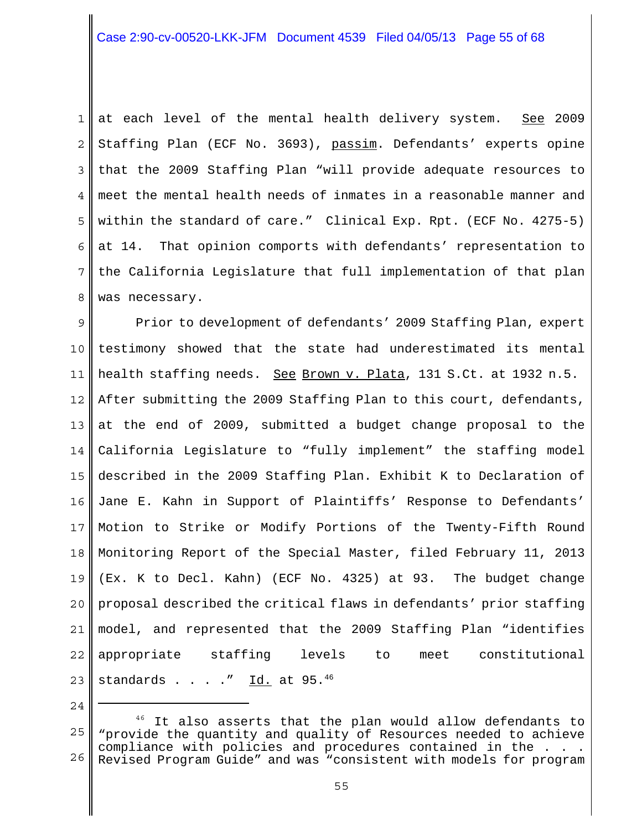1 2 3 4 5 6 7 8 at each level of the mental health delivery system. See 2009 Staffing Plan (ECF No. 3693), passim. Defendants' experts opine that the 2009 Staffing Plan "will provide adequate resources to meet the mental health needs of inmates in a reasonable manner and within the standard of care." Clinical Exp. Rpt. (ECF No. 4275-5) at 14. That opinion comports with defendants' representation to the California Legislature that full implementation of that plan was necessary.

9 10 11 12 13 14 15 16 17 18 19 20 21 22 23 Prior to development of defendants' 2009 Staffing Plan, expert testimony showed that the state had underestimated its mental health staffing needs. See Brown v. Plata, 131 S.Ct. at 1932 n.5. After submitting the 2009 Staffing Plan to this court, defendants, at the end of 2009, submitted a budget change proposal to the California Legislature to "fully implement" the staffing model described in the 2009 Staffing Plan. Exhibit K to Declaration of Jane E. Kahn in Support of Plaintiffs' Response to Defendants' Motion to Strike or Modify Portions of the Twenty-Fifth Round Monitoring Report of the Special Master, filed February 11, 2013 (Ex. K to Decl. Kahn) (ECF No. 4325) at 93. The budget change proposal described the critical flaws in defendants' prior staffing model, and represented that the 2009 Staffing Plan "identifies appropriate staffing levels to meet constitutional standards  $\ldots$  . .  $\frac{rd.}{cd.}$  at 95.46

<sup>25</sup> 26  $46$  It also asserts that the plan would allow defendants to "provide the quantity and quality of Resources needed to achieve compliance with policies and procedures contained in the . Revised Program Guide" and was "consistent with models for program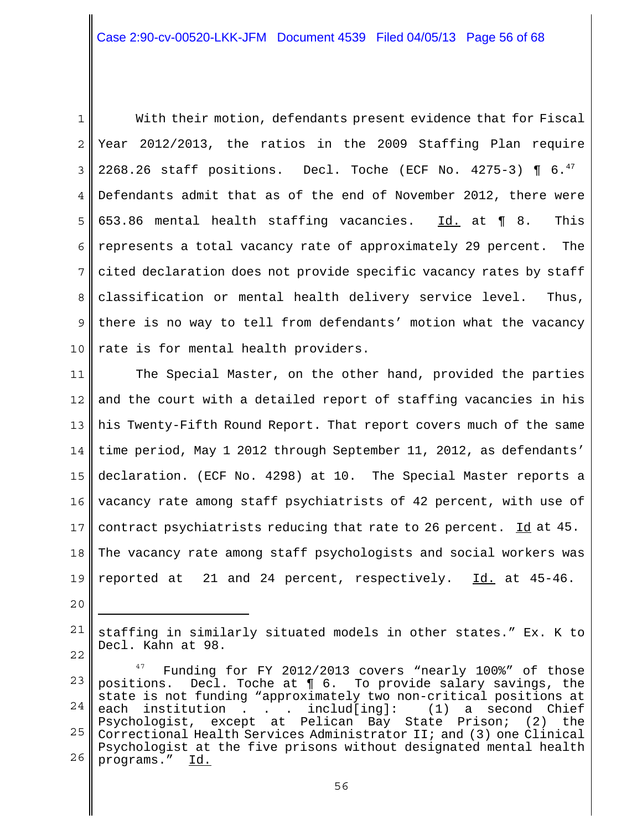1 2 3 4 5 6 7 8 9 10 With their motion, defendants present evidence that for Fiscal Year 2012/2013, the ratios in the 2009 Staffing Plan require 2268.26 staff positions. Decl. Toche (ECF No. 4275-3)  $\P$  6.<sup>47</sup> Defendants admit that as of the end of November 2012, there were 653.86 mental health staffing vacancies.  $\overline{Id}$  at ¶ 8. This represents a total vacancy rate of approximately 29 percent. The cited declaration does not provide specific vacancy rates by staff classification or mental health delivery service level. Thus, there is no way to tell from defendants' motion what the vacancy rate is for mental health providers.

11 12 13 14 15 16 17 18 19 The Special Master, on the other hand, provided the parties and the court with a detailed report of staffing vacancies in his his Twenty-Fifth Round Report. That report covers much of the same time period, May 1 2012 through September 11, 2012, as defendants' declaration. (ECF No. 4298) at 10. The Special Master reports a vacancy rate among staff psychiatrists of 42 percent, with use of contract psychiatrists reducing that rate to 26 percent. Id at 45. The vacancy rate among staff psychologists and social workers was reported at 21 and 24 percent, respectively. Id. at 45-46.

21 22 staffing in similarly situated models in other states." Ex. K to Decl. Kahn at 98.

<sup>23</sup> 24 25 26 Funding for FY 2012/2013 covers "nearly 100%" of those positions. Decl. Toche at ¶ 6. To provide salary savings, the state is not funding "approximately two non-critical positions at each institution . . . includ[ing]: (1) a second Chief Psychologist, except at Pelican Bay State Prison; (2) the Correctional Health Services Administrator II; and (3) one Clinical Psychologist at the five prisons without designated mental health programs." Id.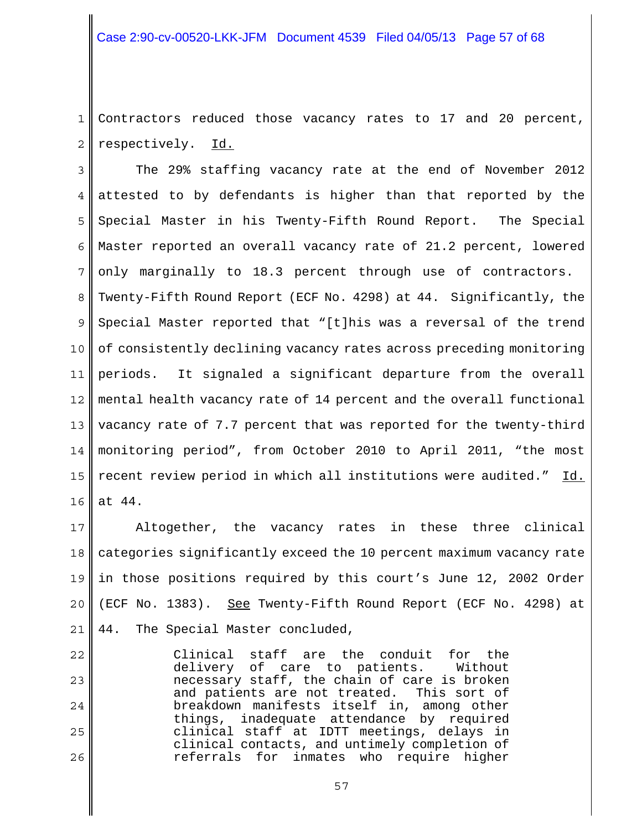1 2 Contractors reduced those vacancy rates to 17 and 20 percent, respectively. Id.

3 4 5 6 7 8 9 10 11 12 13 14 15 16 The 29% staffing vacancy rate at the end of November 2012 attested to by defendants is higher than that reported by the Special Master in his Twenty-Fifth Round Report. The Special Master reported an overall vacancy rate of 21.2 percent, lowered only marginally to 18.3 percent through use of contractors. Twenty-Fifth Round Report (ECF No. 4298) at 44. Significantly, the Special Master reported that "[t]his was a reversal of the trend of consistently declining vacancy rates across preceding monitoring periods. It signaled a significant departure from the overall mental health vacancy rate of 14 percent and the overall functional vacancy rate of 7.7 percent that was reported for the twenty-third monitoring period", from October 2010 to April 2011, "the most recent review period in which all institutions were audited." Id. at 44.

17 18 19 20 21 Altogether, the vacancy rates in these three clinical categories significantly exceed the 10 percent maximum vacancy rate in those positions required by this court's June 12, 2002 Order (ECF No. 1383). See Twenty-Fifth Round Report (ECF No. 4298) at 44. The Special Master concluded,

22 23 24 25 26 Clinical staff are the conduit for the delivery of care to patients. Without necessary staff, the chain of care is broken and patients are not treated. This sort of breakdown manifests itself in, among other things, inadequate attendance by required clinical staff at IDTT meetings, delays in clinical contacts, and untimely completion of referrals for inmates who require higher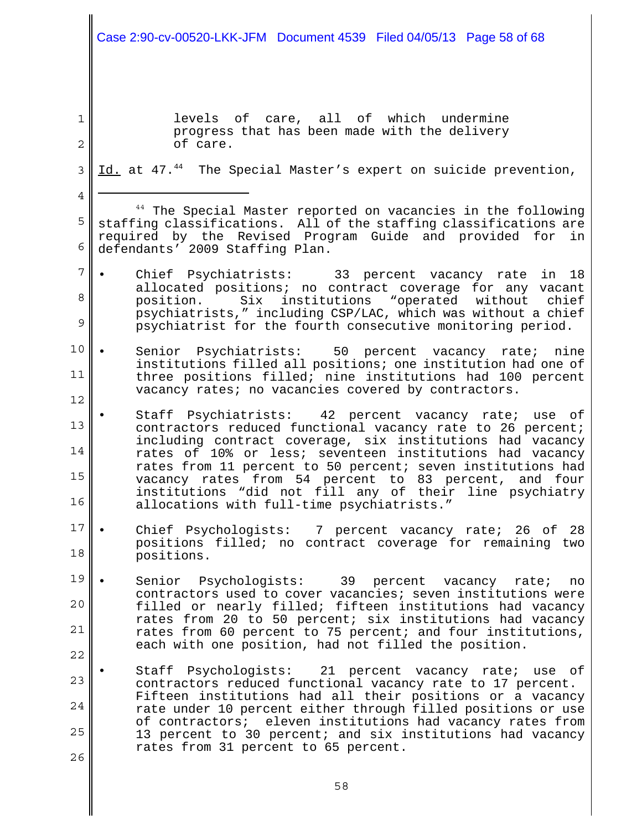# Case 2:90-cv-00520-LKK-JFM Document 4539 Filed 04/05/13 Page 58 of 68

1

2

4

levels of care, all of which undermine progress that has been made with the delivery of care.

3 Id. at 47.<sup>44</sup> The Special Master's expert on suicide prevention,

5 6 <sup>44</sup> The Special Master reported on vacancies in the following staffing classifications. All of the staffing classifications are required by the Revised Program Guide and provided for in defendants' 2009 Staffing Plan.

- 7 8 9 Chief Psychiatrists: 33 percent vacancy rate in 18 allocated positions; no contract coverage for any vacant position. Six institutions "operated without chief psychiatrists," including CSP/LAC, which was without a chief psychiatrist for the fourth consecutive monitoring period.
- 10 11 12 Senior Psychiatrists: 50 percent vacancy rate; nine institutions filled all positions; one institution had one of three positions filled; nine institutions had 100 percent vacancy rates; no vacancies covered by contractors.
- 13 14 15 16 • Staff Psychiatrists: 42 percent vacancy rate; use of contractors reduced functional vacancy rate to 26 percent; including contract coverage, six institutions had vacancy rates of 10% or less; seventeen institutions had vacancy rates from 11 percent to 50 percent; seven institutions had vacancy rates from 54 percent to 83 percent, and four institutions "did not fill any of their line psychiatry allocations with full-time psychiatrists."
- 17 18 Chief Psychologists: 7 percent vacancy rate; 26 of 28 positions filled; no contract coverage for remaining two positions.
- 19 20 21 22 • Senior Psychologists: 39 percent vacancy rate; no contractors used to cover vacancies; seven institutions were filled or nearly filled; fifteen institutions had vacancy rates from 20 to 50 percent; six institutions had vacancy rates from 60 percent to 75 percent; and four institutions, each with one position, had not filled the position.
- 23 24 25 26 Staff Psychologists: 21 percent vacancy rate; use of contractors reduced functional vacancy rate to 17 percent. Fifteen institutions had all their positions or a vacancy rate under 10 percent either through filled positions or use of contractors; eleven institutions had vacancy rates from 13 percent to 30 percent; and six institutions had vacancy rates from 31 percent to 65 percent.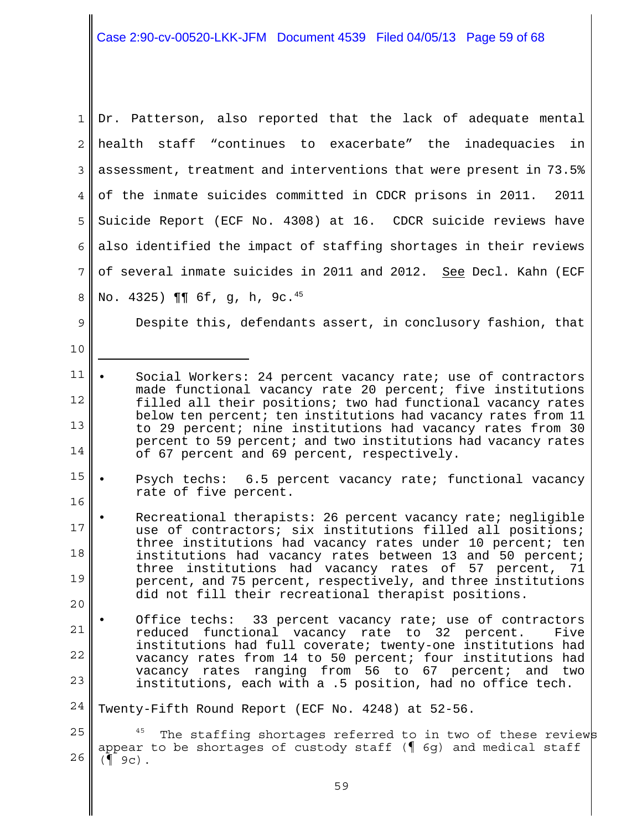1 2 3 4 5 6 7 8 Dr. Patterson, also reported that the lack of adequate mental health staff "continues to exacerbate" the inadequacies in assessment, treatment and interventions that were present in 73.5% of the inmate suicides committed in CDCR prisons in 2011. 2011 Suicide Report (ECF No. 4308) at 16. CDCR suicide reviews have also identified the impact of staffing shortages in their reviews of several inmate suicides in 2011 and 2012. See Decl. Kahn (ECF No. 4325) ¶¶ 6f, g, h, 9c.45

Despite this, defendants assert, in conclusory fashion, that

9

10

- 15 16 Psych techs: 6.5 percent vacancy rate; functional vacancy rate of five percent.
- 17 18 19 20 Recreational therapists: 26 percent vacancy rate; negligible use of contractors; six institutions filled all positions; three institutions had vacancy rates under 10 percent; ten institutions had vacancy rates between 13 and 50 percent; three institutions had vacancy rates of 57 percent, 71 percent, and 75 percent, respectively, and three institutions did not fill their recreational therapist positions.
- 21 22 23 Office techs: 33 percent vacancy rate; use of contractors reduced functional vacancy rate to 32 percent. Five institutions had full coverate; twenty-one institutions had vacancy rates from 14 to 50 percent; four institutions had vacancy rates ranging from 56 to 67 percent; and two institutions, each with a .5 position, had no office tech.
- 24 Twenty-Fifth Round Report (ECF No. 4248) at 52-56.

25 26 The staffing shortages referred to in two of these reviews appear to be shortages of custody staff (¶ 6g) and medical staff  $($  9c).

<sup>11</sup> 12 13 14 Social Workers: 24 percent vacancy rate; use of contractors made functional vacancy rate 20 percent; five institutions filled all their positions; two had functional vacancy rates below ten percent; ten institutions had vacancy rates from 11 to 29 percent; nine institutions had vacancy rates from 30 percent to 59 percent; and two institutions had vacancy rates of 67 percent and 69 percent, respectively.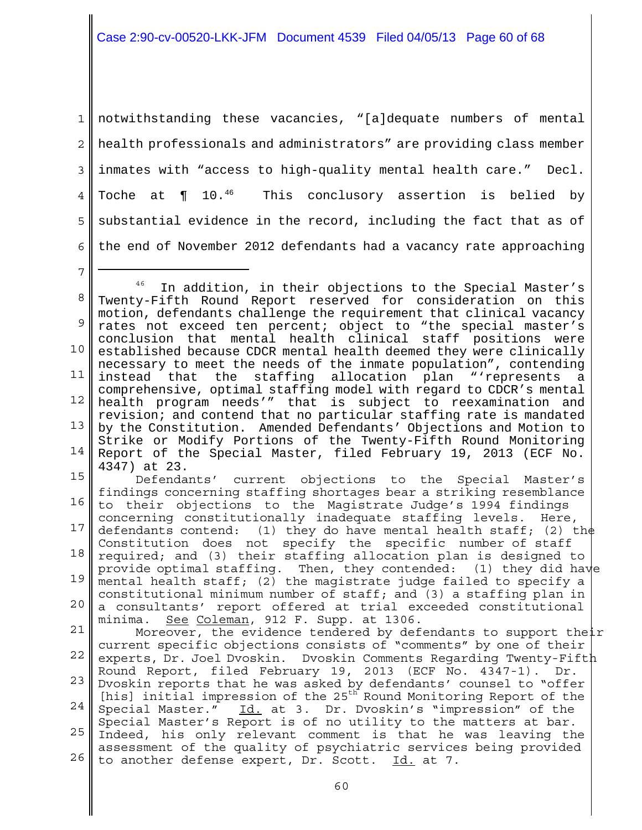## Case 2:90-cv-00520-LKK-JFM Document 4539 Filed 04/05/13 Page 60 of 68

1 2 3 4 5 6 notwithstanding these vacancies, "[a]dequate numbers of mental health professionals and administrators" are providing class member inmates with "access to high-quality mental health care." Decl. Toche at  $\P$  10.<sup>46</sup> This conclusory assertion is belied by substantial evidence in the record, including the fact that as of the end of November 2012 defendants had a vacancy rate approaching

7

8 9 10 11 12 13 14 <sup>46</sup> In addition, in their objections to the Special Master's Twenty-Fifth Round Report reserved for consideration on this motion, defendants challenge the requirement that clinical vacancy rates not exceed ten percent; object to "the special master's conclusion that mental health clinical staff positions were established because CDCR mental health deemed they were clinically necessary to meet the needs of the inmate population", contending instead that the staffing allocation plan "'represents a comprehensive, optimal staffing model with regard to CDCR's mental health program needs'" that is subject to reexamination and revision; and contend that no particular staffing rate is mandated by the Constitution. Amended Defendants' Objections and Motion to Strike or Modify Portions of the Twenty-Fifth Round Monitoring Report of the Special Master, filed February 19, 2013 (ECF No. 4347) at 23.

15 16 17 18 19 20 21 22 23 Dvoskin reports that he was asked by defendants' counsel to "offer 24 l 25 Indeed, his only relevant comment is that he was leaving the 26 Defendants' current objections to the Special Master's findings concerning staffing shortages bear a striking resemblance to their objections to the Magistrate Judge's 1994 findings concerning constitutionally inadequate staffing levels. Here, defendants contend: (1) they do have mental health staff; (2) the Constitution does not specify the specific number of staff required; and (3) their staffing allocation plan is designed to provide optimal staffing. Then, they contended: (1) they did have mental health staff; (2) the magistrate judge failed to specify a constitutional minimum number of staff; and (3) a staffing plan in a consultants' report offered at trial exceeded constitutional minima. See Coleman, 912 F. Supp. at 1306. Moreover, the evidence tendered by defendants to support their current specific objections consists of "comments" by one of their experts, Dr. Joel Dvoskin. Dvoskin Comments Regarding Twenty-Fifth Round Report, filed February 19, 2013 (ECF No. 4347-1). Dr. [his] initial impression of the 25<sup>th</sup> Round Monitoring Report of the Special Master." Id. at 3. Dr. Dvoskin's "impression" of the Special Master's Report is of no utility to the matters at bar. assessment of the quality of psychiatric services being provided

to another defense expert, Dr. Scott. Id. at 7.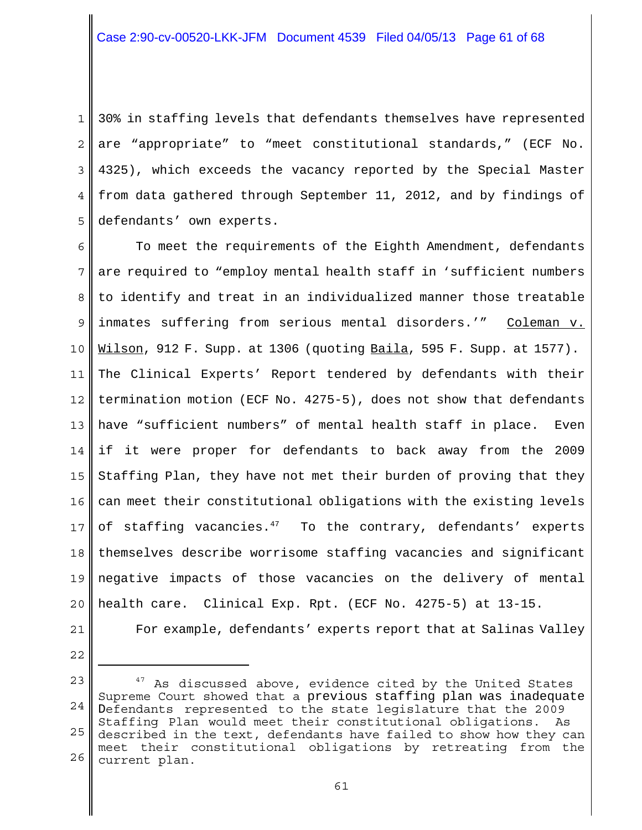1 2 3 4 5 30% in staffing levels that defendants themselves have represented are "appropriate" to "meet constitutional standards," (ECF No. 4325), which exceeds the vacancy reported by the Special Master from data gathered through September 11, 2012, and by findings of defendants' own experts.

6 7 8 9 10 11 12 13 14 15 16 17 18 19 20 To meet the requirements of the Eighth Amendment, defendants are required to "employ mental health staff in 'sufficient numbers to identify and treat in an individualized manner those treatable inmates suffering from serious mental disorders.'" Coleman v. Wilson, 912 F. Supp. at 1306 (quoting Baila, 595 F. Supp. at 1577). The Clinical Experts' Report tendered by defendants with their termination motion (ECF No. 4275-5), does not show that defendants have "sufficient numbers" of mental health staff in place. Even if it were proper for defendants to back away from the 2009 Staffing Plan, they have not met their burden of proving that they can meet their constitutional obligations with the existing levels of staffing vacancies.<sup>47</sup> To the contrary, defendants' experts themselves describe worrisome staffing vacancies and significant negative impacts of those vacancies on the delivery of mental health care. Clinical Exp. Rpt. (ECF No. 4275-5) at 13-15.

21 22 For example, defendants' experts report that at Salinas Valley

<sup>23</sup> 24 25 26  $47$  As discussed above, evidence cited by the United States Supreme Court showed that a previous staffing plan was inadequate Defendants represented to the state legislature that the 2009 Staffing Plan would meet their constitutional obligations. As described in the text, defendants have failed to show how they can meet their constitutional obligations by retreating from the current plan.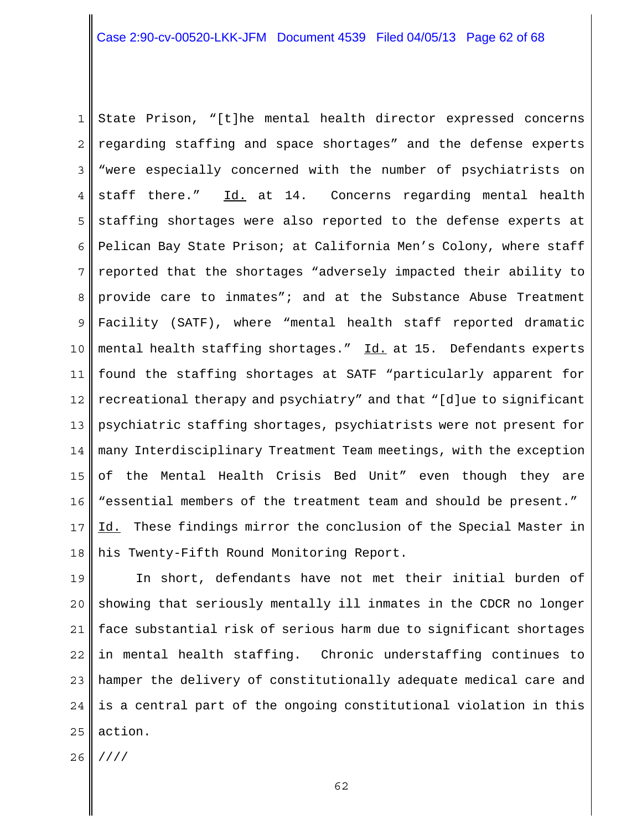1 2 3 4 5 6 7 8 9 10 11 12 13 14 15 16 17 18 State Prison, "[t]he mental health director expressed concerns regarding staffing and space shortages" and the defense experts "were especially concerned with the number of psychiatrists on staff there." Id. at 14. Concerns regarding mental health staffing shortages were also reported to the defense experts at Pelican Bay State Prison; at California Men's Colony, where staff reported that the shortages "adversely impacted their ability to provide care to inmates"; and at the Substance Abuse Treatment Facility (SATF), where "mental health staff reported dramatic mental health staffing shortages." Id. at 15. Defendants experts found the staffing shortages at SATF "particularly apparent for recreational therapy and psychiatry" and that "[d]ue to significant psychiatric staffing shortages, psychiatrists were not present for many Interdisciplinary Treatment Team meetings, with the exception of the Mental Health Crisis Bed Unit" even though they are "essential members of the treatment team and should be present." Id. These findings mirror the conclusion of the Special Master in his Twenty-Fifth Round Monitoring Report.

19 20 21 22 23 24 25 In short, defendants have not met their initial burden of showing that seriously mentally ill inmates in the CDCR no longer face substantial risk of serious harm due to significant shortages in mental health staffing. Chronic understaffing continues to hamper the delivery of constitutionally adequate medical care and is a central part of the ongoing constitutional violation in this action.

26 ////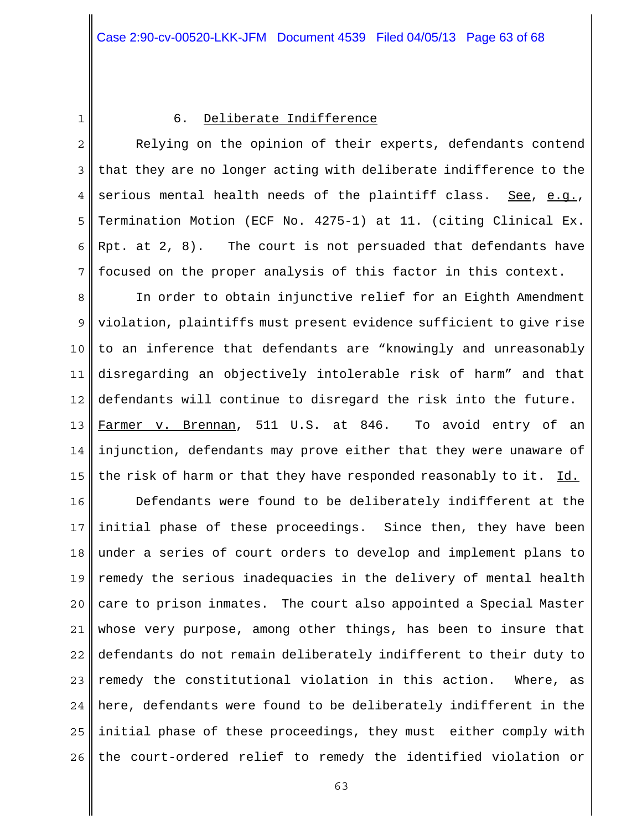1

## 6. Deliberate Indifference

2 3 4 5 6 7 Relying on the opinion of their experts, defendants contend that they are no longer acting with deliberate indifference to the serious mental health needs of the plaintiff class. See, e.g., Termination Motion (ECF No. 4275-1) at 11. (citing Clinical Ex. Rpt. at 2, 8). The court is not persuaded that defendants have focused on the proper analysis of this factor in this context.

8 9 10 11 12 13 14 15 In order to obtain injunctive relief for an Eighth Amendment violation, plaintiffs must present evidence sufficient to give rise to an inference that defendants are "knowingly and unreasonably disregarding an objectively intolerable risk of harm" and that defendants will continue to disregard the risk into the future. Farmer v. Brennan, 511 U.S. at 846. To avoid entry of an injunction, defendants may prove either that they were unaware of the risk of harm or that they have responded reasonably to it. Id.

16 17 18 19 20 21 22 23 24 25 26 Defendants were found to be deliberately indifferent at the initial phase of these proceedings. Since then, they have been under a series of court orders to develop and implement plans to remedy the serious inadequacies in the delivery of mental health care to prison inmates. The court also appointed a Special Master whose very purpose, among other things, has been to insure that defendants do not remain deliberately indifferent to their duty to remedy the constitutional violation in this action. Where, as here, defendants were found to be deliberately indifferent in the initial phase of these proceedings, they must either comply with the court-ordered relief to remedy the identified violation or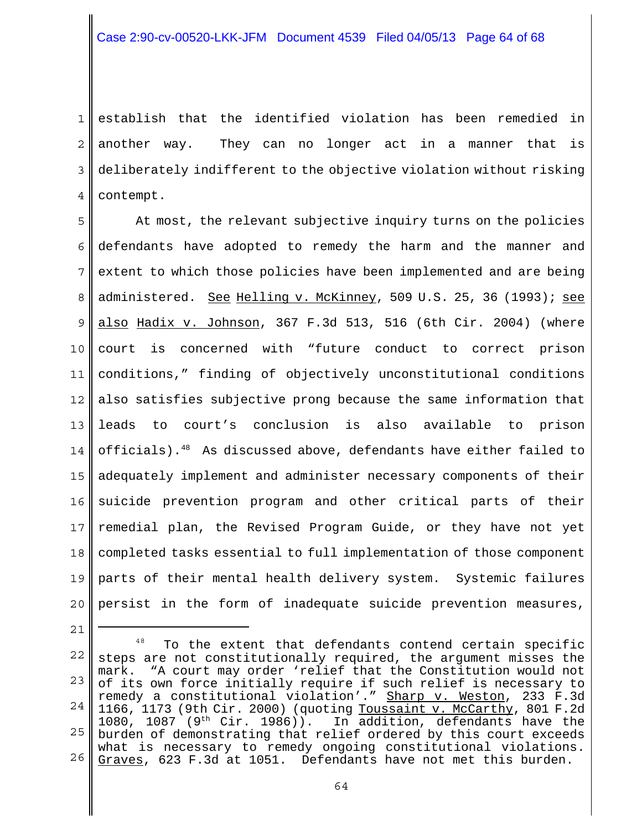1 2 3 4 establish that the identified violation has been remedied in another way. They can no longer act in a manner that is deliberately indifferent to the objective violation without risking contempt.

5 6 7 8 9 10 11 12 13 14 15 16 17 18 19 20 At most, the relevant subjective inquiry turns on the policies defendants have adopted to remedy the harm and the manner and extent to which those policies have been implemented and are being administered. See Helling v. McKinney, 509 U.S. 25, 36 (1993); see also Hadix v. Johnson, 367 F.3d 513, 516 (6th Cir. 2004) (where court is concerned with "future conduct to correct prison conditions," finding of objectively unconstitutional conditions also satisfies subjective prong because the same information that leads to court's conclusion is also available to prison officials).48 As discussed above, defendants have either failed to adequately implement and administer necessary components of their suicide prevention program and other critical parts of their remedial plan, the Revised Program Guide, or they have not yet completed tasks essential to full implementation of those component parts of their mental health delivery system. Systemic failures persist in the form of inadequate suicide prevention measures,

22 23 24 25 26 <sup>48</sup> To the extent that defendants contend certain specific steps are not constitutionally required, the argument misses the mark. "A court may order 'relief that the Constitution would not of its own force initially require if such relief is necessary to remedy a constitutional violation'." Sharp v. Weston, 233 F.3d 1166, 1173 (9th Cir. 2000) (quoting Toussaint v. McCarthy, 801 F.2d<br>1080, 1087 (9<sup>th</sup> Cir. 1986)). In addition, defendants have the In addition, defendants have the burden of demonstrating that relief ordered by this court exceeds what is necessary to remedy ongoing constitutional violations. Graves, 623 F.3d at 1051. Defendants have not met this burden.

21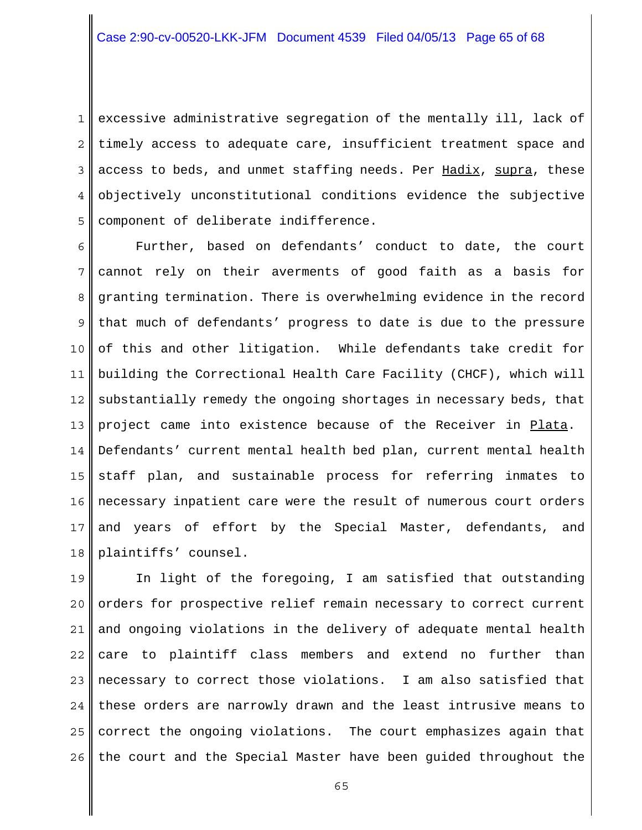1 2 3 4 5 excessive administrative segregation of the mentally ill, lack of timely access to adequate care, insufficient treatment space and access to beds, and unmet staffing needs. Per Hadix, supra, these objectively unconstitutional conditions evidence the subjective component of deliberate indifference.

6 7 8 9 10 11 12 13 14 15 16 17 18 Further, based on defendants' conduct to date, the court cannot rely on their averments of good faith as a basis for granting termination. There is overwhelming evidence in the record that much of defendants' progress to date is due to the pressure of this and other litigation. While defendants take credit for building the Correctional Health Care Facility (CHCF), which will substantially remedy the ongoing shortages in necessary beds, that project came into existence because of the Receiver in Plata. Defendants' current mental health bed plan, current mental health staff plan, and sustainable process for referring inmates to necessary inpatient care were the result of numerous court orders and years of effort by the Special Master, defendants, and plaintiffs' counsel.

19 20 21 22 23 24 25 26 In light of the foregoing, I am satisfied that outstanding orders for prospective relief remain necessary to correct current and ongoing violations in the delivery of adequate mental health care to plaintiff class members and extend no further than necessary to correct those violations.I am also satisfied that these orders are narrowly drawn and the least intrusive means to correct the ongoing violations. The court emphasizes again that the court and the Special Master have been guided throughout the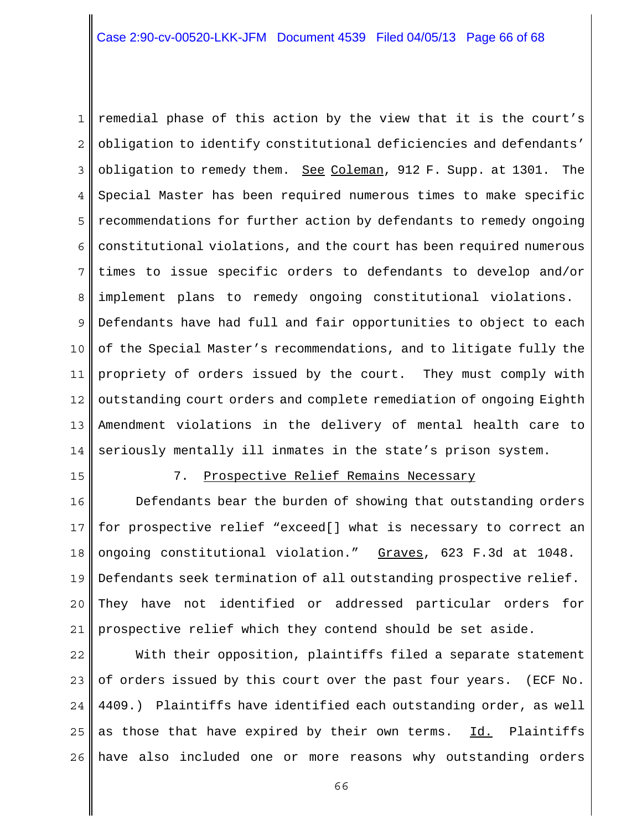1 2 3 4 5 6 7 8 9 10 11 12 13 14 remedial phase of this action by the view that it is the court's obligation to identify constitutional deficiencies and defendants' obligation to remedy them. See Coleman, 912 F. Supp. at 1301. The Special Master has been required numerous times to make specific recommendations for further action by defendants to remedy ongoing constitutional violations, and the court has been required numerous times to issue specific orders to defendants to develop and/or implement plans to remedy ongoing constitutional violations. Defendants have had full and fair opportunities to object to each of the Special Master's recommendations, and to litigate fully the propriety of orders issued by the court. They must comply with outstanding court orders and complete remediation of ongoing Eighth Amendment violations in the delivery of mental health care to seriously mentally ill inmates in the state's prison system.

15

#### 7. Prospective Relief Remains Necessary

16 17 18 19 20 21 Defendants bear the burden of showing that outstanding orders for prospective relief "exceed[] what is necessary to correct an ongoing constitutional violation." Graves, 623 F.3d at 1048. Defendants seek termination of all outstanding prospective relief. They have not identified or addressed particular orders for prospective relief which they contend should be set aside.

22 23 24 25 26 With their opposition, plaintiffs filed a separate statement of orders issued by this court over the past four years. (ECF No. 4409.) Plaintiffs have identified each outstanding order, as well as those that have expired by their own terms. Id. Plaintiffs have also included one or more reasons why outstanding orders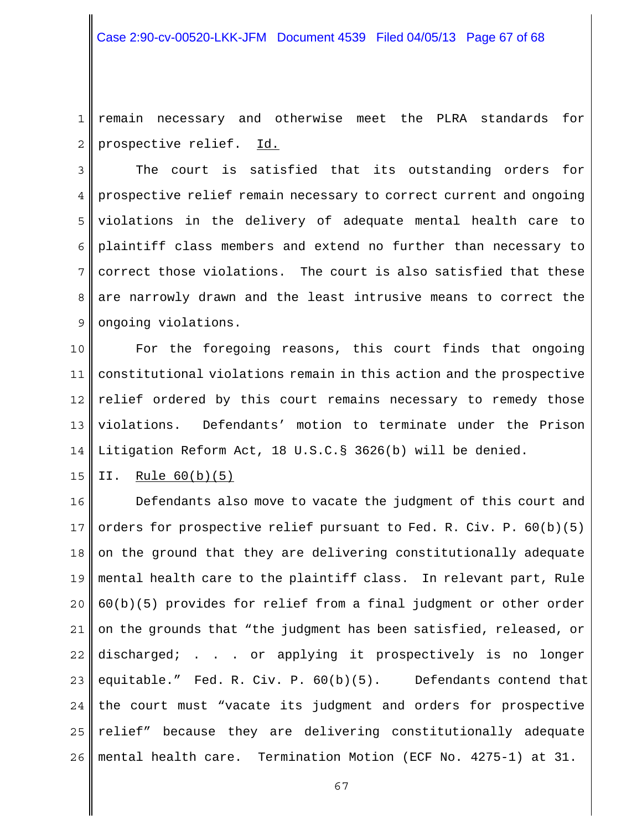1 2 remain necessary and otherwise meet the PLRA standards for prospective relief. Id.

3 4 5 6 7 8 9 The court is satisfied that its outstanding orders for prospective relief remain necessary to correct current and ongoing violations in the delivery of adequate mental health care to plaintiff class members and extend no further than necessary to correct those violations. The court is also satisfied that these are narrowly drawn and the least intrusive means to correct the ongoing violations.

10 11 12 13 14 For the foregoing reasons, this court finds that ongoing constitutional violations remain in this action and the prospective relief ordered by this court remains necessary to remedy those violations. Defendants' motion to terminate under the Prison Litigation Reform Act, 18 U.S.C.§ 3626(b) will be denied.

15 II. Rule 60(b)(5)

16 17 18 19 20 21 22 23 24 25 26 Defendants also move to vacate the judgment of this court and orders for prospective relief pursuant to Fed. R. Civ. P. 60(b)(5) on the ground that they are delivering constitutionally adequate mental health care to the plaintiff class. In relevant part, Rule 60(b)(5) provides for relief from a final judgment or other order on the grounds that "the judgment has been satisfied, released, or discharged; . . . or applying it prospectively is no longer equitable." Fed. R. Civ. P. 60(b)(5). Defendants contend that the court must "vacate its judgment and orders for prospective relief" because they are delivering constitutionally adequate mental health care. Termination Motion (ECF No. 4275-1) at 31.